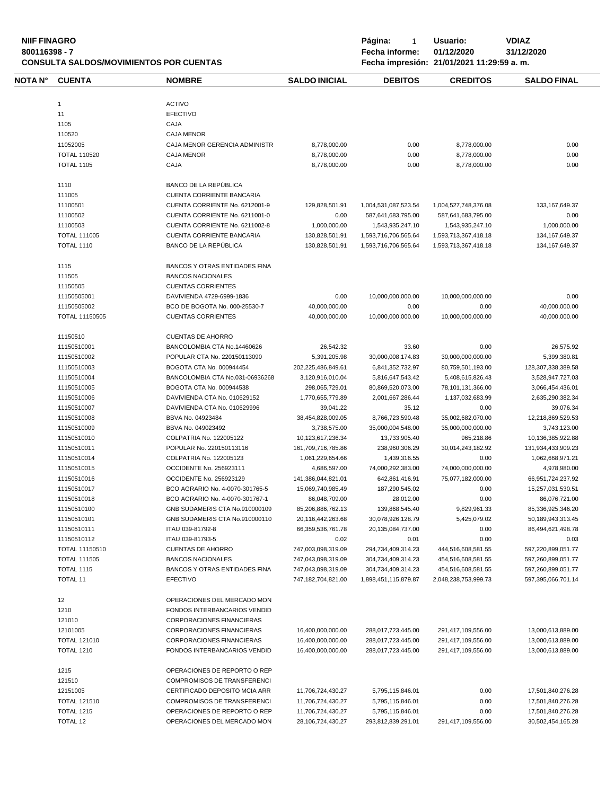**NIIF FINAGRO P á g i n a :** 1 **U s u a r i o : VDIAZ CONSULTA SALDOS/MOVIMIENTOS POR CUENTAS** 

**800116398 - 7 Fecha informe: 01/12/2020 31/12/2020**

| NOTA N° | <b>CUENTA</b>                            | <b>NOMBRE</b>                                                    | <b>SALDO INICIAL</b>                   | <b>DEBITOS</b>                           | <b>CREDITOS</b>                          | <b>SALDO FINAL</b>                     |
|---------|------------------------------------------|------------------------------------------------------------------|----------------------------------------|------------------------------------------|------------------------------------------|----------------------------------------|
|         | $\mathbf{1}$                             | <b>ACTIVO</b>                                                    |                                        |                                          |                                          |                                        |
|         | 11                                       | <b>EFECTIVO</b>                                                  |                                        |                                          |                                          |                                        |
|         | 1105                                     | CAJA                                                             |                                        |                                          |                                          |                                        |
|         | 110520                                   | <b>CAJA MENOR</b>                                                |                                        |                                          |                                          |                                        |
|         |                                          | CAJA MENOR GERENCIA ADMINISTR                                    |                                        |                                          |                                          | 0.00                                   |
|         | 11052005                                 |                                                                  | 8,778,000.00                           | 0.00                                     | 8,778,000.00                             |                                        |
|         | <b>TOTAL 110520</b>                      | <b>CAJA MENOR</b>                                                | 8,778,000.00                           | 0.00                                     | 8,778,000.00                             | 0.00                                   |
|         | <b>TOTAL 1105</b>                        | CAJA                                                             | 8,778,000.00                           | 0.00                                     | 8,778,000.00                             | 0.00                                   |
|         | 1110                                     | BANCO DE LA REPÚBLICA                                            |                                        |                                          |                                          |                                        |
|         | 111005                                   | CUENTA CORRIENTE BANCARIA                                        |                                        |                                          |                                          |                                        |
|         | 11100501                                 | CUENTA CORRIENTE No. 6212001-9                                   | 129,828,501.91                         | 1,004,531,087,523.54                     | 1,004,527,748,376.08                     | 133, 167, 649. 37                      |
|         | 11100502                                 | CUENTA CORRIENTE No. 6211001-0                                   | 0.00                                   | 587,641,683,795.00                       | 587,641,683,795.00                       | 0.00                                   |
|         | 11100503                                 | CUENTA CORRIENTE No. 6211002-8                                   | 1,000,000.00                           | 1,543,935,247.10                         | 1,543,935,247.10                         | 1,000,000.00                           |
|         | <b>TOTAL 111005</b>                      | CUENTA CORRIENTE BANCARIA                                        | 130,828,501.91                         | 1,593,716,706,565.64                     | 1,593,713,367,418.18                     | 134, 167, 649. 37                      |
|         | <b>TOTAL 1110</b>                        | BANCO DE LA REPÚBLICA                                            | 130,828,501.91                         | 1,593,716,706,565.64                     | 1,593,713,367,418.18                     | 134, 167, 649. 37                      |
|         | 1115                                     | <b>BANCOS Y OTRAS ENTIDADES FINA</b>                             |                                        |                                          |                                          |                                        |
|         | 111505                                   | <b>BANCOS NACIONALES</b>                                         |                                        |                                          |                                          |                                        |
|         | 11150505                                 | <b>CUENTAS CORRIENTES</b>                                        |                                        |                                          |                                          |                                        |
|         | 11150505001                              | DAVIVIENDA 4729-6999-1836                                        | 0.00                                   | 10,000,000,000.00                        | 10,000,000,000.00                        | 0.00                                   |
|         | 11150505002                              | BCO DE BOGOTA No. 000-25530-7                                    | 40,000,000.00                          | 0.00                                     | 0.00                                     | 40,000,000.00                          |
|         | TOTAL 11150505                           | <b>CUENTAS CORRIENTES</b>                                        | 40,000,000.00                          | 10.000.000.000.00                        | 10,000,000,000.00                        | 40,000,000.00                          |
|         |                                          |                                                                  |                                        |                                          |                                          |                                        |
|         | 11150510                                 | <b>CUENTAS DE AHORRO</b>                                         |                                        |                                          |                                          |                                        |
|         | 11150510001                              | BANCOLOMBIA CTA No.14460626                                      | 26,542.32                              | 33.60                                    | 0.00                                     | 26,575.92                              |
|         | 11150510002                              | POPULAR CTA No. 220150113090                                     | 5,391,205.98                           | 30,000,008,174.83                        | 30,000,000,000.00                        | 5,399,380.81                           |
|         | 11150510003                              | BOGOTA CTA No. 000944454                                         | 202,225,486,849.61                     | 6,841,352,732.97                         | 80,759,501,193.00                        | 128,307,338,389.58                     |
|         | 11150510004                              | BANCOLOMBIA CTA No.031-06936268                                  | 3,120,916,010.04                       | 5,816,647,543.42                         | 5,408,615,826.43                         | 3,528,947,727.03                       |
|         | 11150510005                              | BOGOTA CTA No. 000944538                                         | 298,065,729.01                         | 80,869,520,073.00                        | 78,101,131,366.00                        | 3,066,454,436.01                       |
|         | 11150510006                              | DAVIVIENDA CTA No. 010629152                                     | 1,770,655,779.89                       | 2,001,667,286.44                         | 1,137,032,683.99                         | 2,635,290,382.34                       |
|         | 11150510007                              | DAVIVIENDA CTA No. 010629996                                     | 39,041.22                              | 35.12                                    | 0.00                                     | 39,076.34                              |
|         | 11150510008                              | BBVA No. 04923484                                                | 38,454,828,009.05                      | 8,766,723,590.48                         | 35,002,682,070.00                        | 12,218,869,529.53                      |
|         | 11150510009                              | BBVA No. 049023492                                               | 3,738,575.00                           | 35,000,004,548.00                        | 35,000,000,000.00                        | 3,743,123.00                           |
|         | 11150510010                              | COLPATRIA No. 122005122                                          | 10,123,617,236.34                      | 13,733,905.40                            | 965,218.86                               | 10,136,385,922.88                      |
|         | 11150510011                              | POPULAR No. 220150113116                                         | 161,709,716,785.86                     | 238,960,306.29                           | 30,014,243,182.92                        | 131,934,433,909.23                     |
|         | 11150510014                              | COLPATRIA No. 122005123                                          | 1,061,229,654.66                       | 1,439,316.55                             | 0.00                                     | 1,062,668,971.21                       |
|         | 11150510015                              | OCCIDENTE No. 256923111                                          | 4,686,597.00                           | 74,000,292,383.00                        | 74,000,000,000.00                        | 4,978,980.00                           |
|         | 11150510016                              | OCCIDENTE No. 256923129                                          | 141,386,044,821.01                     | 642,861,416.91                           | 75,077,182,000.00                        | 66,951,724,237.92                      |
|         | 11150510017                              | BCO AGRARIO No. 4-0070-301765-5                                  | 15,069,740,985.49                      | 187,290,545.02                           | 0.00                                     | 15,257,031,530.51                      |
|         | 11150510018                              | BCO AGRARIO No. 4-0070-301767-1                                  | 86,048,709.00                          | 28,012.00                                | 0.00                                     | 86.076.721.00                          |
|         | 11150510100                              | GNB SUDAMERIS CTA No.910000109                                   | 85,206,886,762.13                      | 139,868,545.40                           | 9,829,961.33                             | 85,336,925,346.20                      |
|         | 11150510101                              | GNB SUDAMERIS CTA No.910000110                                   | 20,116,442,263.68                      | 30,078,926,128.79                        | 5,425,079.02                             | 50,189,943,313.45                      |
|         | 11150510111                              | ITAU 039-81792-8                                                 | 66,359,536,761.78                      | 20,135,084,737.00                        | 0.00                                     | 86,494,621,498.78                      |
|         | 11150510112                              | ITAU 039-81793-5                                                 | 0.02                                   | 0.01                                     | 0.00                                     | 0.03                                   |
|         | TOTAL 11150510                           | <b>CUENTAS DE AHORRO</b>                                         | 747,003,098,319.09                     | 294,734,409,314.23                       | 444,516,608,581.55                       | 597,220,899,051.77                     |
|         | <b>TOTAL 111505</b>                      | <b>BANCOS NACIONALES</b>                                         | 747,043,098,319.09                     | 304,734,409,314.23                       | 454,516,608,581.55                       | 597,260,899,051.77                     |
|         | <b>TOTAL 1115</b>                        | <b>BANCOS Y OTRAS ENTIDADES FINA</b>                             | 747,043,098,319.09                     | 304,734,409,314.23                       | 454,516,608,581.55                       | 597,260,899,051.77                     |
|         | <b>TOTAL 11</b>                          | <b>EFECTIVO</b>                                                  | 747,182,704,821.00                     | 1.898.451.115.879.87                     | 2.048.238.753.999.73                     | 597.395.066.701.14                     |
|         |                                          |                                                                  |                                        |                                          |                                          |                                        |
|         | 12                                       | OPERACIONES DEL MERCADO MON                                      |                                        |                                          |                                          |                                        |
|         | 1210                                     | FONDOS INTERBANCARIOS VENDID                                     |                                        |                                          |                                          |                                        |
|         | 121010                                   | <b>CORPORACIONES FINANCIERAS</b>                                 |                                        |                                          |                                          |                                        |
|         | 12101005                                 | CORPORACIONES FINANCIERAS                                        | 16,400,000,000.00                      | 288,017,723,445.00                       | 291,417,109,556.00                       | 13,000,613,889.00                      |
|         | <b>TOTAL 121010</b><br><b>TOTAL 1210</b> | <b>CORPORACIONES FINANCIERAS</b><br>FONDOS INTERBANCARIOS VENDID | 16,400,000,000.00<br>16,400,000,000.00 | 288,017,723,445.00<br>288,017,723,445.00 | 291,417,109,556.00<br>291,417,109,556.00 | 13,000,613,889.00<br>13,000,613,889.00 |
|         |                                          |                                                                  |                                        |                                          |                                          |                                        |
|         | 1215                                     | OPERACIONES DE REPORTO O REP                                     |                                        |                                          |                                          |                                        |
|         | 121510                                   | <b>COMPROMISOS DE TRANSFERENCI</b>                               |                                        |                                          |                                          |                                        |
|         | 12151005                                 | CERTIFICADO DEPOSITO MCIA ARR                                    | 11,706,724,430.27                      | 5,795,115,846.01                         | 0.00                                     | 17,501,840,276.28                      |
|         | <b>TOTAL 121510</b>                      | COMPROMISOS DE TRANSFERENCI                                      | 11,706,724,430.27                      | 5,795,115,846.01                         | 0.00                                     | 17,501,840,276.28                      |
|         | <b>TOTAL 1215</b>                        | OPERACIONES DE REPORTO O REP                                     | 11,706,724,430.27                      | 5,795,115,846.01                         | 0.00                                     | 17,501,840,276.28                      |
|         |                                          |                                                                  |                                        |                                          |                                          |                                        |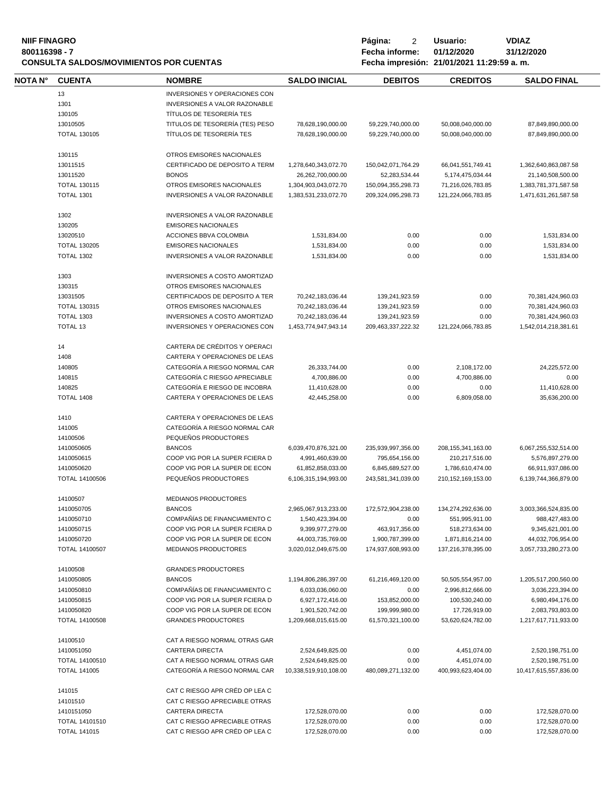| <b>NIIF FINAGRO</b><br>800116398 - 7<br><b>CONSULTA SALDOS/MOVIMIENTOS POR CUENTAS</b> |                        |                                              |                       | Página:<br>2<br>Fecha informe: | Usuario:<br>01/12/2020<br>Fecha impresión: 21/01/2021 11:29:59 a.m. | <b>VDIAZ</b><br>31/12/2020 |
|----------------------------------------------------------------------------------------|------------------------|----------------------------------------------|-----------------------|--------------------------------|---------------------------------------------------------------------|----------------------------|
| NOTA N°                                                                                | <b>CUENTA</b>          | <b>NOMBRE</b>                                | <b>SALDO INICIAL</b>  | <b>DEBITOS</b>                 | <b>CREDITOS</b>                                                     | <b>SALDO FINAL</b>         |
|                                                                                        | 13                     | INVERSIONES Y OPERACIONES CON                |                       |                                |                                                                     |                            |
|                                                                                        | 1301                   | INVERSIONES A VALOR RAZONABLE                |                       |                                |                                                                     |                            |
|                                                                                        | 130105                 | TÍTULOS DE TESORERÍA TES                     |                       |                                |                                                                     |                            |
|                                                                                        | 13010505               | TITULOS DE TESORERÍA (TES) PESO              | 78,628,190,000.00     | 59,229,740,000.00              | 50,008,040,000.00                                                   | 87,849,890,000.00          |
|                                                                                        | <b>TOTAL 130105</b>    | TÍTULOS DE TESORERÍA TES                     | 78,628,190,000.00     | 59,229,740,000.00              | 50,008,040,000.00                                                   | 87,849,890,000.00          |
|                                                                                        |                        |                                              |                       |                                |                                                                     |                            |
|                                                                                        | 130115                 | OTROS EMISORES NACIONALES                    |                       |                                |                                                                     |                            |
|                                                                                        | 13011515               | CERTIFICADO DE DEPOSITO A TERM               | 1,278,640,343,072.70  | 150,042,071,764.29             | 66,041,551,749.41                                                   | 1,362,640,863,087.58       |
|                                                                                        | 13011520               | <b>BONOS</b>                                 | 26,262,700,000.00     | 52,283,534.44                  | 5,174,475,034.44                                                    | 21,140,508,500.00          |
|                                                                                        | <b>TOTAL 130115</b>    | OTROS EMISORES NACIONALES                    | 1,304,903,043,072.70  | 150,094,355,298.73             | 71,216,026,783.85                                                   | 1,383,781,371,587.58       |
|                                                                                        | <b>TOTAL 1301</b>      | INVERSIONES A VALOR RAZONABLE                | 1,383,531,233,072.70  | 209,324,095,298.73             | 121,224,066,783.85                                                  | 1,471,631,261,587.58       |
|                                                                                        | 1302                   | INVERSIONES A VALOR RAZONABLE                |                       |                                |                                                                     |                            |
|                                                                                        | 130205                 | <b>EMISORES NACIONALES</b>                   |                       |                                |                                                                     |                            |
|                                                                                        | 13020510               | ACCIONES BBVA COLOMBIA                       | 1,531,834.00          | 0.00                           | 0.00                                                                | 1,531,834.00               |
|                                                                                        | <b>TOTAL 130205</b>    | <b>EMISORES NACIONALES</b>                   | 1,531,834.00          | 0.00                           | 0.00                                                                | 1,531,834.00               |
|                                                                                        | <b>TOTAL 1302</b>      | <b>INVERSIONES A VALOR RAZONABLE</b>         | 1,531,834.00          | 0.00                           | 0.00                                                                | 1.531.834.00               |
|                                                                                        |                        |                                              |                       |                                |                                                                     |                            |
|                                                                                        | 1303                   | <b>INVERSIONES A COSTO AMORTIZAD</b>         |                       |                                |                                                                     |                            |
|                                                                                        | 130315                 | OTROS EMISORES NACIONALES                    |                       |                                |                                                                     |                            |
|                                                                                        | 13031505               | CERTIFICADOS DE DEPOSITO A TER               | 70,242,183,036.44     | 139,241,923.59                 | 0.00                                                                | 70,381,424,960.03          |
|                                                                                        | <b>TOTAL 130315</b>    | OTROS EMISORES NACIONALES                    | 70,242,183,036.44     | 139,241,923.59                 | 0.00                                                                | 70,381,424,960.03          |
|                                                                                        | <b>TOTAL 1303</b>      | <b>INVERSIONES A COSTO AMORTIZAD</b>         | 70,242,183,036.44     | 139,241,923.59                 | 0.00                                                                | 70,381,424,960.03          |
|                                                                                        | <b>TOTAL 13</b>        | INVERSIONES Y OPERACIONES CON                | 1,453,774,947,943.14  | 209,463,337,222.32             | 121,224,066,783.85                                                  | 1,542,014,218,381.61       |
|                                                                                        | 14                     | CARTERA DE CRÉDITOS Y OPERACI                |                       |                                |                                                                     |                            |
|                                                                                        | 1408                   | CARTERA Y OPERACIONES DE LEAS                |                       |                                |                                                                     |                            |
|                                                                                        | 140805                 | CATEGORÍA A RIESGO NORMAL CAR                | 26,333,744.00         | 0.00                           | 2,108,172.00                                                        | 24,225,572.00              |
|                                                                                        | 140815                 | CATEGORÍA C RIESGO APRECIABLE                | 4,700,886.00          | 0.00                           | 4,700,886.00                                                        | 0.00                       |
|                                                                                        | 140825                 | CATEGORÍA E RIESGO DE INCOBRA                | 11,410,628.00         | 0.00                           | 0.00                                                                | 11,410,628.00              |
|                                                                                        | <b>TOTAL 1408</b>      | CARTERA Y OPERACIONES DE LEAS                | 42,445,258.00         | 0.00                           | 6,809,058.00                                                        | 35,636,200.00              |
|                                                                                        | 1410                   | CARTERA Y OPERACIONES DE LEAS                |                       |                                |                                                                     |                            |
|                                                                                        | 141005                 | CATEGORÍA A RIESGO NORMAL CAR                |                       |                                |                                                                     |                            |
|                                                                                        | 14100506               | PEQUEÑOS PRODUCTORES                         |                       |                                |                                                                     |                            |
|                                                                                        | 1410050605             | <b>BANCOS</b>                                | 6,039,470,876,321.00  | 235,939,997,356.00             | 208, 155, 341, 163.00                                               | 6,067,255,532,514.00       |
|                                                                                        | 1410050615             | COOP VIG POR LA SUPER FCIERA D               | 4,991,460,639.00      | 795,654,156.00                 | 210,217,516.00                                                      | 5,576,897,279.00           |
|                                                                                        | 1410050620             | COOP VIG POR LA SUPER DE ECON                | 61,852,858,033.00     | 6,845,689,527.00               | 1,786,610,474.00                                                    | 66,911,937,086.00          |
|                                                                                        | <b>TOTAL 14100506</b>  | PEQUEÑOS PRODUCTORES                         | 6,106,315,194,993.00  | 243,581,341,039.00             | 210, 152, 169, 153.00                                               | 6,139,744,366,879.00       |
|                                                                                        |                        |                                              |                       |                                |                                                                     |                            |
|                                                                                        | 14100507<br>1410050705 | <b>MEDIANOS PRODUCTORES</b><br><b>BANCOS</b> | 2,965,067,913,233.00  | 172,572,904,238.00             | 134,274,292,636.00                                                  | 3,003,366,524,835.00       |
|                                                                                        | 1410050710             | COMPAÑÍAS DE FINANCIAMIENTO C                | 1,540,423,394.00      | 0.00                           | 551,995,911.00                                                      | 988,427,483.00             |
|                                                                                        | 1410050715             | COOP VIG POR LA SUPER FCIERA D               | 9,399,977,279.00      | 463,917,356.00                 | 518,273,634.00                                                      | 9,345,621,001.00           |
|                                                                                        | 1410050720             | COOP VIG POR LA SUPER DE ECON                | 44,003,735,769.00     | 1,900,787,399.00               | 1,871,816,214.00                                                    | 44,032,706,954.00          |
|                                                                                        | <b>TOTAL 14100507</b>  | <b>MEDIANOS PRODUCTORES</b>                  | 3,020,012,049,675.00  | 174,937,608,993.00             | 137,216,378,395.00                                                  | 3,057,733,280,273.00       |
|                                                                                        | 14100508               | <b>GRANDES PRODUCTORES</b>                   |                       |                                |                                                                     |                            |
|                                                                                        | 1410050805             | <b>BANCOS</b>                                |                       | 61,216,469,120.00              |                                                                     |                            |
|                                                                                        |                        | COMPAÑÍAS DE FINANCIAMIENTO C                | 1,194,806,286,397.00  |                                | 50,505,554,957.00                                                   | 1,205,517,200,560.00       |
|                                                                                        | 1410050810             |                                              | 6,033,036,060.00      | 0.00                           | 2,996,812,666.00                                                    | 3,036,223,394.00           |
|                                                                                        | 1410050815             | COOP VIG POR LA SUPER FCIERA D               | 6,927,172,416.00      | 153,852,000.00                 | 100,530,240.00                                                      | 6,980,494,176.00           |
|                                                                                        | 1410050820             | COOP VIG POR LA SUPER DE ECON                | 1,901,520,742.00      | 199,999,980.00                 | 17,726,919.00                                                       | 2,083,793,803.00           |
|                                                                                        | <b>TOTAL 14100508</b>  | <b>GRANDES PRODUCTORES</b>                   | 1,209,668,015,615.00  | 61,570,321,100.00              | 53,620,624,782.00                                                   | 1,217,617,711,933.00       |
|                                                                                        | 14100510               | CAT A RIESGO NORMAL OTRAS GAR                |                       |                                |                                                                     |                            |
|                                                                                        | 1410051050             | <b>CARTERA DIRECTA</b>                       | 2,524,649,825.00      | 0.00                           | 4,451,074.00                                                        | 2,520,198,751.00           |
|                                                                                        | TOTAL 14100510         | CAT A RIESGO NORMAL OTRAS GAR                | 2,524,649,825.00      | 0.00                           | 4,451,074.00                                                        | 2,520,198,751.00           |
|                                                                                        | <b>TOTAL 141005</b>    | CATEGORÍA A RIESGO NORMAL CAR                | 10,338,519,910,108.00 | 480,089,271,132.00             | 400,993,623,404.00                                                  | 10,417,615,557,836.00      |
|                                                                                        | 141015                 | CAT C RIESGO APR CRÉD OP LEA C               |                       |                                |                                                                     |                            |
|                                                                                        | 14101510               | CAT C RIESGO APRECIABLE OTRAS                |                       |                                |                                                                     |                            |
|                                                                                        | 1410151050             | <b>CARTERA DIRECTA</b>                       | 172,528,070.00        | 0.00                           | 0.00                                                                | 172,528,070.00             |
|                                                                                        | TOTAL 14101510         | CAT C RIESGO APRECIABLE OTRAS                | 172,528,070.00        | 0.00                           | 0.00                                                                | 172,528,070.00             |
|                                                                                        | <b>TOTAL 141015</b>    | CAT C RIESGO APR CRÉD OP LEA C               | 172,528,070.00        | 0.00                           | 0.00                                                                | 172,528,070.00             |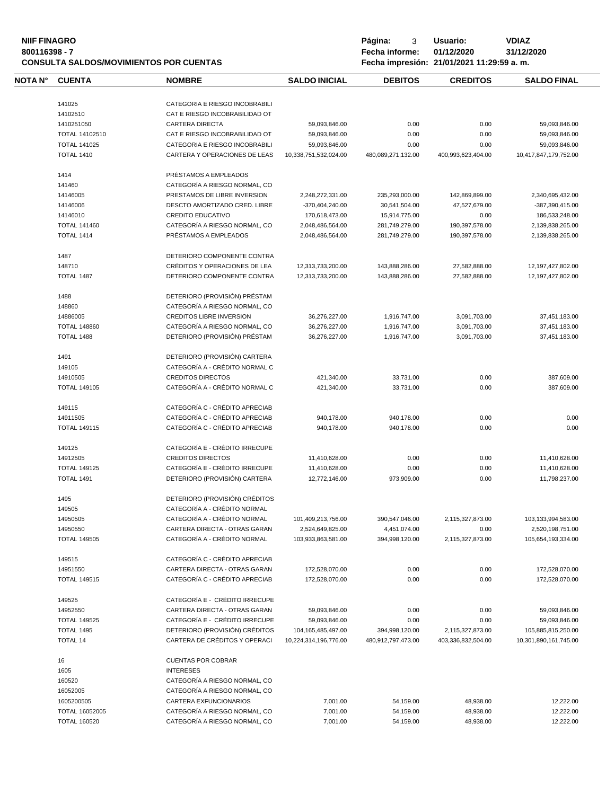# **NIIF FINAGRO P á g i n a :** 3 **U s u a r i o : VDIAZ CONSULTA SALDOS/MOVIMIENTOS POR CUENTAS Fecha impresión: 21/01/2021 11:29:59 a. m.**

**8001169** Fecha informe: 01/12/2020<br>**Fecha impresión: 21/01/2021** 

| <u>UILLAZUZU</u> |  |
|------------------|--|
|                  |  |

| impresión: 21/01/2021 |  |  |
|-----------------------|--|--|
|-----------------------|--|--|

| NOTA N° | <b>CUENTA</b>       | <b>NOMBRE</b>                   | <b>SALDO INICIAL</b>  | <b>DEBITOS</b>     | <b>CREDITOS</b>    | <b>SALDO FINAL</b>    |
|---------|---------------------|---------------------------------|-----------------------|--------------------|--------------------|-----------------------|
|         | 141025              | CATEGORIA E RIESGO INCOBRABILI  |                       |                    |                    |                       |
|         | 14102510            | CAT E RIESGO INCOBRABILIDAD OT  |                       |                    |                    |                       |
|         | 1410251050          | <b>CARTERA DIRECTA</b>          | 59,093,846.00         | 0.00               | 0.00               | 59,093,846.00         |
|         | TOTAL 14102510      | CAT E RIESGO INCOBRABILIDAD OT  | 59,093,846.00         | 0.00               | 0.00               | 59,093,846.00         |
|         | <b>TOTAL 141025</b> | CATEGORIA E RIESGO INCOBRABILI  | 59,093,846.00         | 0.00               | 0.00               | 59,093,846.00         |
|         |                     |                                 |                       |                    |                    |                       |
|         | <b>TOTAL 1410</b>   | CARTERA Y OPERACIONES DE LEAS   | 10,338,751,532,024.00 | 480,089,271,132.00 | 400,993,623,404.00 | 10,417,847,179,752.00 |
|         | 1414                | PRÉSTAMOS A EMPLEADOS           |                       |                    |                    |                       |
|         | 141460              | CATEGORÍA A RIESGO NORMAL, CO   |                       |                    |                    |                       |
|         | 14146005            | PRESTAMOS DE LIBRE INVERSION    | 2,248,272,331.00      | 235,293,000.00     | 142,869,899.00     | 2,340,695,432.00      |
|         | 14146006            | DESCTO AMORTIZADO CRED. LIBRE   | -370,404,240.00       | 30,541,504.00      | 47,527,679.00      | -387,390,415.00       |
|         | 14146010            | CREDITO EDUCATIVO               | 170,618,473.00        | 15,914,775.00      | 0.00               | 186,533,248.00        |
|         | <b>TOTAL 141460</b> | CATEGORÍA A RIESGO NORMAL, CO   | 2,048,486,564.00      | 281,749,279.00     | 190,397,578.00     | 2,139,838,265.00      |
|         | <b>TOTAL 1414</b>   | PRÉSTAMOS A EMPLEADOS           | 2,048,486,564.00      | 281,749,279.00     | 190,397,578.00     | 2,139,838,265.00      |
|         | 1487                | DETERIORO COMPONENTE CONTRA     |                       |                    |                    |                       |
|         | 148710              | CRÉDITOS Y OPERACIONES DE LEA   | 12,313,733,200.00     | 143,888,286.00     | 27,582,888.00      | 12,197,427,802.00     |
|         | TOTAL 1487          | DETERIORO COMPONENTE CONTRA     | 12,313,733,200.00     | 143,888,286.00     | 27,582,888.00      | 12,197,427,802.00     |
|         |                     |                                 |                       |                    |                    |                       |
|         | 1488                | DETERIORO (PROVISIÓN) PRÉSTAM   |                       |                    |                    |                       |
|         | 148860              | CATEGORÍA A RIESGO NORMAL, CO   |                       |                    |                    |                       |
|         | 14886005            | <b>CREDITOS LIBRE INVERSION</b> | 36,276,227.00         | 1,916,747.00       | 3,091,703.00       | 37,451,183.00         |
|         | <b>TOTAL 148860</b> | CATEGORÍA A RIESGO NORMAL, CO   | 36,276,227.00         | 1,916,747.00       | 3,091,703.00       | 37,451,183.00         |
|         | TOTAL 1488          | DETERIORO (PROVISIÓN) PRÉSTAM   | 36,276,227.00         | 1.916.747.00       | 3,091,703.00       | 37,451,183.00         |
|         | 1491                | DETERIORO (PROVISIÓN) CARTERA   |                       |                    |                    |                       |
|         | 149105              | CATEGORÍA A - CRÉDITO NORMAL C  |                       |                    |                    |                       |
|         | 14910505            | <b>CREDITOS DIRECTOS</b>        | 421,340.00            | 33,731.00          | 0.00               | 387,609.00            |
|         | <b>TOTAL 149105</b> | CATEGORÍA A - CRÉDITO NORMAL C  | 421,340.00            | 33,731.00          | 0.00               | 387,609.00            |
|         |                     |                                 |                       |                    |                    |                       |
|         | 149115              | CATEGORÍA C - CRÉDITO APRECIAB  |                       |                    |                    |                       |
|         | 14911505            | CATEGORÍA C - CRÉDITO APRECIAB  | 940,178.00            | 940,178.00         | 0.00               | 0.00                  |
|         | <b>TOTAL 149115</b> | CATEGORÍA C - CRÉDITO APRECIAB  | 940,178.00            | 940,178.00         | 0.00               | 0.00                  |
|         | 149125              | CATEGORÍA E - CRÉDITO IRRECUPE  |                       |                    |                    |                       |
|         | 14912505            | <b>CREDITOS DIRECTOS</b>        | 11,410,628.00         | 0.00               | 0.00               | 11,410,628.00         |
|         | <b>TOTAL 149125</b> | CATEGORÍA E - CRÉDITO IRRECUPE  | 11,410,628.00         | 0.00               | 0.00               | 11,410,628.00         |
|         | <b>TOTAL 1491</b>   | DETERIORO (PROVISIÓN) CARTERA   | 12,772,146.00         | 973,909.00         | 0.00               | 11,798,237.00         |
|         | 1495                | DETERIORO (PROVISIÓN) CRÉDITOS  |                       |                    |                    |                       |
|         | 149505              | CATEGORÍA A - CRÉDITO NORMAL    |                       |                    |                    |                       |
|         | 14950505            | CATEGORÍA A - CRÉDITO NORMAL    | 101,409,213,756.00    | 390,547,046.00     | 2,115,327,873.00   | 103,133,994,583.00    |
|         | 14950550            | CARTERA DIRECTA - OTRAS GARAN   | 2,524,649,825.00      | 4,451,074.00       | 0.00               | 2,520,198,751.00      |
|         | <b>TOTAL 149505</b> | CATEGORÍA A - CRÉDITO NORMAL    | 103,933,863,581.00    | 394,998,120.00     | 2,115,327,873.00   | 105,654,193,334.00    |
|         |                     |                                 |                       |                    |                    |                       |
|         | 149515              | CATEGORÍA C - CRÉDITO APRECIAB  |                       |                    |                    |                       |
|         | 14951550            | CARTERA DIRECTA - OTRAS GARAN   | 172,528,070.00        | 0.00               | 0.00               | 172,528,070.00        |
|         | <b>TOTAL 149515</b> | CATEGORÍA C - CRÉDITO APRECIAB  | 172,528,070.00        | 0.00               | 0.00               | 172,528,070.00        |
|         | 149525              | CATEGORÍA E - CRÉDITO IRRECUPE  |                       |                    |                    |                       |
|         | 14952550            | CARTERA DIRECTA - OTRAS GARAN   | 59,093,846.00         | 0.00               | 0.00               | 59,093,846.00         |
|         | <b>TOTAL 149525</b> | CATEGORÍA E - CRÉDITO IRRECUPE  | 59,093,846.00         | 0.00               | 0.00               | 59,093,846.00         |
|         | <b>TOTAL 1495</b>   | DETERIORO (PROVISIÓN) CRÉDITOS  | 104,165,485,497.00    | 394,998,120.00     | 2,115,327,873.00   | 105,885,815,250.00    |
|         | <b>TOTAL 14</b>     | CARTERA DE CRÉDITOS Y OPERACI   | 10,224,314,196,776.00 | 480,912,797,473.00 | 403,336,832,504.00 | 10,301,890,161,745.00 |
|         | 16                  | <b>CUENTAS POR COBRAR</b>       |                       |                    |                    |                       |
|         | 1605                | <b>INTERESES</b>                |                       |                    |                    |                       |
|         |                     |                                 |                       |                    |                    |                       |
|         | 160520              | CATEGORÍA A RIESGO NORMAL, CO   |                       |                    |                    |                       |
|         | 16052005            | CATEGORÍA A RIESGO NORMAL, CO   |                       |                    |                    |                       |
|         | 1605200505          | CARTERA EXFUNCIONARIOS          | 7,001.00              | 54,159.00          | 48,938.00          | 12,222.00             |
|         | TOTAL 16052005      | CATEGORÍA A RIESGO NORMAL, CO   | 7,001.00              | 54,159.00          | 48,938.00          | 12,222.00             |
|         | <b>TOTAL 160520</b> | CATEGORÍA A RIESGO NORMAL, CO   | 7,001.00              | 54,159.00          | 48,938.00          | 12,222.00             |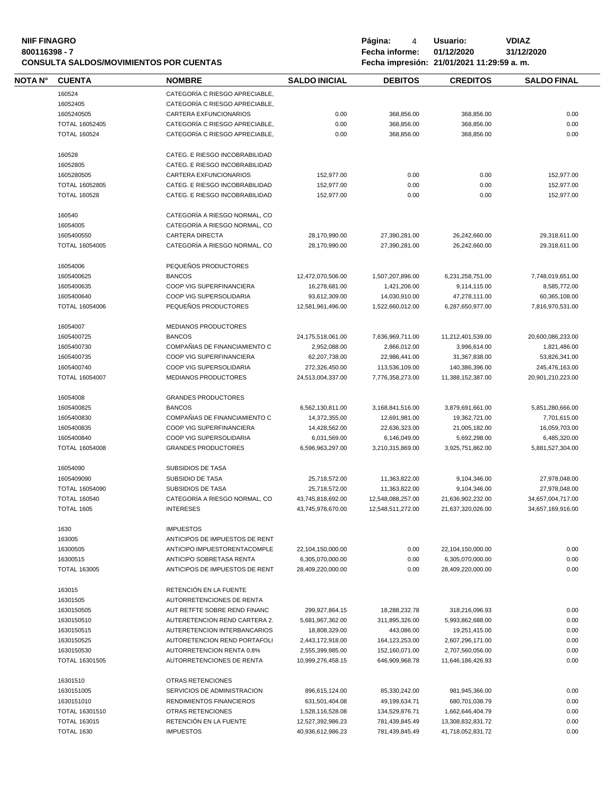| <b>NIIF FINAGRO</b><br>800116398 - 7<br><b>CONSULTA SALDOS/MOVIMIENTOS POR CUENTAS</b> |                       |                                |                      | Página:<br>4<br>Fecha informe: | Usuario:<br>01/12/2020<br>Fecha impresión: 21/01/2021 11:29:59 a.m. | <b>VDIAZ</b><br>31/12/2020 |  |
|----------------------------------------------------------------------------------------|-----------------------|--------------------------------|----------------------|--------------------------------|---------------------------------------------------------------------|----------------------------|--|
| NOTA N°                                                                                | <b>CUENTA</b>         | <b>NOMBRE</b>                  | <b>SALDO INICIAL</b> | <b>DEBITOS</b>                 | <b>CREDITOS</b>                                                     | <b>SALDO FINAL</b>         |  |
|                                                                                        | 160524                | CATEGORÍA C RIESGO APRECIABLE, |                      |                                |                                                                     |                            |  |
|                                                                                        | 16052405              | CATEGORÍA C RIESGO APRECIABLE, |                      |                                |                                                                     |                            |  |
|                                                                                        | 1605240505            | CARTERA EXFUNCIONARIOS         | 0.00                 | 368,856.00                     | 368,856.00                                                          | 0.00                       |  |
|                                                                                        |                       |                                |                      |                                |                                                                     |                            |  |
|                                                                                        | TOTAL 16052405        | CATEGORÍA C RIESGO APRECIABLE, | 0.00                 | 368,856.00                     | 368,856.00                                                          | 0.00                       |  |
|                                                                                        | <b>TOTAL 160524</b>   | CATEGORÍA C RIESGO APRECIABLE, | 0.00                 | 368,856.00                     | 368,856.00                                                          | 0.00                       |  |
|                                                                                        | 160528                | CATEG. E RIESGO INCOBRABILIDAD |                      |                                |                                                                     |                            |  |
|                                                                                        | 16052805              | CATEG. E RIESGO INCOBRABILIDAD |                      |                                |                                                                     |                            |  |
|                                                                                        | 1605280505            | CARTERA EXFUNCIONARIOS         | 152,977.00           | 0.00                           | 0.00                                                                | 152,977.00                 |  |
|                                                                                        | TOTAL 16052805        | CATEG. E RIESGO INCOBRABILIDAD | 152,977.00           | 0.00                           | 0.00                                                                | 152,977.00                 |  |
|                                                                                        | <b>TOTAL 160528</b>   | CATEG. E RIESGO INCOBRABILIDAD | 152,977.00           | 0.00                           | 0.00                                                                | 152,977.00                 |  |
|                                                                                        | 160540                | CATEGORÍA A RIESGO NORMAL, CO  |                      |                                |                                                                     |                            |  |
|                                                                                        | 16054005              | CATEGORÍA A RIESGO NORMAL, CO  |                      |                                |                                                                     |                            |  |
|                                                                                        | 1605400550            | <b>CARTERA DIRECTA</b>         | 28,170,990.00        | 27,390,281.00                  | 26,242,660.00                                                       | 29,318,611.00              |  |
|                                                                                        | <b>TOTAL 16054005</b> | CATEGORÍA A RIESGO NORMAL, CO  | 28,170,990.00        | 27.390.281.00                  | 26,242,660.00                                                       | 29,318,611.00              |  |
|                                                                                        | 16054006              | PEQUEÑOS PRODUCTORES           |                      |                                |                                                                     |                            |  |
|                                                                                        | 1605400625            | <b>BANCOS</b>                  | 12,472,070,506.00    | 1,507,207,896.00               | 6,231,258,751.00                                                    | 7,748,019,651.00           |  |
|                                                                                        | 1605400635            | COOP VIG SUPERFINANCIERA       | 16,278,681.00        |                                |                                                                     | 8,585,772.00               |  |
|                                                                                        |                       |                                |                      | 1,421,206.00                   | 9,114,115.00                                                        |                            |  |
|                                                                                        | 1605400640            | COOP VIG SUPERSOLIDARIA        | 93,612,309.00        | 14,030,910.00                  | 47,278,111.00                                                       | 60,365,108.00              |  |
|                                                                                        | <b>TOTAL 16054006</b> | PEQUENOS PRODUCTORES           | 12,581,961,496.00    | 1,522,660,012.00               | 6.287.650.977.00                                                    | 7,816,970,531.00           |  |
|                                                                                        | 16054007              | MEDIANOS PRODUCTORES           |                      |                                |                                                                     |                            |  |
|                                                                                        | 1605400725            | <b>BANCOS</b>                  | 24,175,518,061.00    | 7,636,969,711.00               | 11,212,401,539.00                                                   | 20,600,086,233.00          |  |
|                                                                                        | 1605400730            | COMPAÑIAS DE FINANCIAMIENTO C  | 2,952,088.00         | 2,866,012.00                   | 3,996,614.00                                                        | 1,821,486.00               |  |
|                                                                                        | 1605400735            | COOP VIG SUPERFINANCIERA       | 62,207,738.00        | 22,986,441.00                  | 31,367,838.00                                                       | 53,826,341.00              |  |
|                                                                                        | 1605400740            | COOP VIG SUPERSOLIDARIA        | 272,326,450.00       | 113,536,109.00                 | 140,386,396.00                                                      | 245,476,163.00             |  |
|                                                                                        | <b>TOTAL 16054007</b> | <b>MEDIANOS PRODUCTORES</b>    | 24,513,004,337.00    | 7,776,358,273.00               | 11,388,152,387.00                                                   | 20,901,210,223.00          |  |
|                                                                                        | 16054008              | <b>GRANDES PRODUCTORES</b>     |                      |                                |                                                                     |                            |  |
|                                                                                        | 1605400825            | <b>BANCOS</b>                  | 6,562,130,811.00     | 3,168,841,516.00               | 3,879,691,661.00                                                    | 5,851,280,666.00           |  |
|                                                                                        | 1605400830            | COMPAÑIAS DE FINANCIAMIENTO C  | 14,372,355.00        | 12,691,981.00                  | 19,362,721.00                                                       | 7,701,615.00               |  |
|                                                                                        | 1605400835            | COOP VIG SUPERFINANCIERA       | 14,428,562.00        | 22,636,323.00                  | 21,005,182.00                                                       | 16,059,703.00              |  |
|                                                                                        | 1605400840            | COOP VIG SUPERSOLIDARIA        | 6,031,569.00         | 6,146,049.00                   | 5,692,298.00                                                        | 6,485,320.00               |  |
|                                                                                        | TOTAL 16054008        | <b>GRANDES PRODUCTORES</b>     | 6,596,963,297.00     | 3,210,315,869.00               | 3,925,751,862.00                                                    | 5,881,527,304.00           |  |
|                                                                                        | 16054090              | <b>SUBSIDIOS DE TASA</b>       |                      |                                |                                                                     |                            |  |
|                                                                                        |                       | <b>SUBSIDIO DE TASA</b>        |                      |                                |                                                                     |                            |  |
|                                                                                        | 1605409090            |                                | 25,718,572.00        | 11,363,822.00                  | 9,104,346.00                                                        | 27,978,048.00              |  |
|                                                                                        | TOTAL 16054090        | SUBSIDIOS DE TASA              | 25,718,572.00        | 11,363,822.00                  | 9,104,346.00                                                        | 27,978,048.00              |  |
|                                                                                        | <b>TOTAL 160540</b>   | CATEGORÍA A RIESGO NORMAL. CO  | 43,745,818,692.00    | 12,548,088,257.00              | 21,636,902,232.00                                                   | 34,657,004,717.00          |  |
|                                                                                        | <b>TOTAL 1605</b>     | <b>INTERESES</b>               | 43,745,978,670.00    | 12,548,511,272.00              | 21,637,320,026.00                                                   | 34,657,169,916.00          |  |
|                                                                                        | 1630                  | <b>IMPUESTOS</b>               |                      |                                |                                                                     |                            |  |
|                                                                                        | 163005                | ANTICIPOS DE IMPUESTOS DE RENT |                      |                                |                                                                     |                            |  |
|                                                                                        | 16300505              | ANTICIPO IMPUESTORENTACOMPLE   | 22,104,150,000.00    | 0.00                           | 22,104,150,000.00                                                   | 0.00                       |  |
|                                                                                        | 16300515              | ANTICIPO SOBRETASA RENTA       | 6,305,070,000.00     | 0.00                           | 6,305,070,000.00                                                    | 0.00                       |  |
|                                                                                        | <b>TOTAL 163005</b>   | ANTICIPOS DE IMPUESTOS DE RENT | 28,409,220,000.00    | 0.00                           | 28,409,220,000.00                                                   | 0.00                       |  |
|                                                                                        | 163015                | RETENCIÓN EN LA FUENTE         |                      |                                |                                                                     |                            |  |
|                                                                                        | 16301505              | AUTORRETENCIONES DE RENTA      |                      |                                |                                                                     |                            |  |
|                                                                                        | 1630150505            | AUT RETFTE SOBRE REND FINANC   | 299,927,864.15       | 18,288,232.78                  | 318,216,096.93                                                      | 0.00                       |  |
|                                                                                        | 1630150510            | AUTERETENCION REND CARTERA 2.  | 5,681,967,362.00     | 311,895,326.00                 | 5,993,862,688.00                                                    | 0.00                       |  |
|                                                                                        | 1630150515            | AUTERETENCION INTERBANCARIOS   | 18,808,329.00        | 443,086.00                     | 19,251,415.00                                                       | 0.00                       |  |
|                                                                                        | 1630150525            | AUTORETENCION REND PORTAFOLI   | 2,443,172,918.00     | 164, 123, 253.00               | 2,607,296,171.00                                                    | 0.00                       |  |
|                                                                                        | 1630150530            | AUTORRETENCION RENTA 0.8%      | 2,555,399,985.00     | 152,160,071.00                 | 2,707,560,056.00                                                    | 0.00                       |  |
|                                                                                        | TOTAL 16301505        | AUTORRETENCIONES DE RENTA      | 10,999,276,458.15    | 646,909,968.78                 | 11,646,186,426.93                                                   | 0.00                       |  |
|                                                                                        |                       |                                |                      |                                |                                                                     |                            |  |
|                                                                                        | 16301510              | OTRAS RETENCIONES              |                      |                                |                                                                     |                            |  |
|                                                                                        | 1630151005            | SERVICIOS DE ADMINISTRACION    | 896,615,124.00       | 85,330,242.00                  | 981,945,366.00                                                      | 0.00                       |  |
|                                                                                        | 1630151010            | RENDIMIENTOS FINANCIEROS       | 631,501,404.08       | 49,199,634.71                  | 680,701,038.79                                                      | 0.00                       |  |
|                                                                                        | TOTAL 16301510        | <b>OTRAS RETENCIONES</b>       | 1,528,116,528.08     | 134,529,876.71                 | 1,662,646,404.79                                                    | 0.00                       |  |
|                                                                                        | <b>TOTAL 163015</b>   | RETENCIÓN EN LA FUENTE         | 12,527,392,986.23    | 781,439,845.49                 | 13,308,832,831.72                                                   | 0.00                       |  |
|                                                                                        | <b>TOTAL 1630</b>     | <b>IMPUESTOS</b>               | 40,936,612,986.23    | 781,439,845.49                 | 41,718,052,831.72                                                   | 0.00                       |  |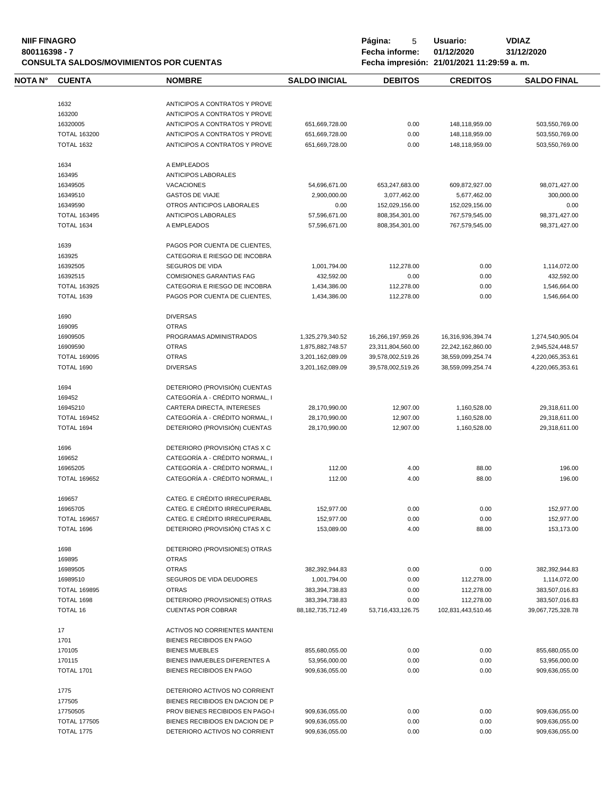#### **NIIF FINAGRO P á g i n a :** 5 **U s u a r i o : VDIAZ 800116398 - 7 Fecha informe: 01/12/2020 31/12/2020 CONSULTA SALDOS/MOVIMIENTOS POR CUENTAS Fecha impresión: 21/01/2021 11:29:59 a. m.**

| Fecha impresión |
|-----------------|
|                 |

| NOTA N° | <b>CUENTA</b> | <b>NOMBRE</b> |
|---------|---------------|---------------|
|         |               |               |

| <b>NOTA N°</b> | <b>CUENTA</b>                   | <b>NOMBRE</b>                                     | <b>SALDO INICIAL</b>  | <b>DEBITOS</b>    | <b>CREDITOS</b>    | <b>SALDO FINAL</b>                   |
|----------------|---------------------------------|---------------------------------------------------|-----------------------|-------------------|--------------------|--------------------------------------|
|                |                                 |                                                   |                       |                   |                    |                                      |
|                | 1632                            | ANTICIPOS A CONTRATOS Y PROVE                     |                       |                   |                    |                                      |
|                | 163200                          | ANTICIPOS A CONTRATOS Y PROVE                     |                       |                   |                    |                                      |
|                | 16320005                        | ANTICIPOS A CONTRATOS Y PROVE                     | 651,669,728.00        | 0.00              | 148,118,959.00     | 503,550,769.00                       |
|                | <b>TOTAL 163200</b>             | ANTICIPOS A CONTRATOS Y PROVE                     | 651,669,728.00        | 0.00              | 148,118,959.00     | 503,550,769.00                       |
|                | <b>TOTAL 1632</b>               | ANTICIPOS A CONTRATOS Y PROVE                     | 651,669,728.00        | 0.00              | 148,118,959.00     | 503,550,769.00                       |
|                | 1634                            | A EMPLEADOS                                       |                       |                   |                    |                                      |
|                | 163495                          | ANTICIPOS LABORALES                               |                       |                   |                    |                                      |
|                | 16349505                        | <b>VACACIONES</b>                                 | 54,696,671.00         | 653,247,683.00    | 609,872,927.00     | 98,071,427.00                        |
|                | 16349510                        | <b>GASTOS DE VIAJE</b>                            | 2,900,000.00          | 3,077,462.00      | 5,677,462.00       | 300,000.00                           |
|                | 16349590                        | OTROS ANTICIPOS LABORALES                         | 0.00                  | 152,029,156.00    | 152,029,156.00     | 0.00                                 |
|                | <b>TOTAL 163495</b>             | <b>ANTICIPOS LABORALES</b>                        | 57,596,671.00         | 808,354,301.00    | 767,579,545.00     | 98,371,427.00                        |
|                | <b>TOTAL 1634</b>               | A EMPLEADOS                                       | 57,596,671.00         | 808,354,301.00    | 767,579,545.00     | 98,371,427.00                        |
|                | 1639                            | PAGOS POR CUENTA DE CLIENTES,                     |                       |                   |                    |                                      |
|                | 163925                          | CATEGORIA E RIESGO DE INCOBRA                     |                       |                   |                    |                                      |
|                | 16392505                        | SEGUROS DE VIDA                                   | 1,001,794.00          | 112,278.00        | 0.00               | 1,114,072.00                         |
|                | 16392515                        | <b>COMISIONES GARANTIAS FAG</b>                   | 432,592.00            | 0.00              | 0.00               | 432,592.00                           |
|                | <b>TOTAL 163925</b>             | CATEGORIA E RIESGO DE INCOBRA                     | 1,434,386.00          | 112,278.00        | 0.00               | 1,546,664.00                         |
|                | <b>TOTAL 1639</b>               | PAGOS POR CUENTA DE CLIENTES,                     | 1,434,386.00          | 112,278.00        | 0.00               | 1.546.664.00                         |
|                |                                 |                                                   |                       |                   |                    |                                      |
|                | 1690                            | <b>DIVERSAS</b><br><b>OTRAS</b>                   |                       |                   |                    |                                      |
|                | 169095                          |                                                   |                       |                   |                    |                                      |
|                | 16909505                        | PROGRAMAS ADMINISTRADOS                           | 1,325,279,340.52      | 16,266,197,959.26 | 16,316,936,394.74  | 1,274,540,905.04                     |
|                | 16909590<br><b>TOTAL 169095</b> | <b>OTRAS</b><br><b>OTRAS</b>                      | 1,875,882,748.57      | 23,311,804,560.00 | 22,242,162,860.00  | 2,945,524,448.57                     |
|                | <b>TOTAL 1690</b>               | <b>DIVERSAS</b>                                   | 3,201,162,089.09      | 39,578,002,519.26 | 38,559,099,254.74  | 4,220,065,353.61<br>4,220,065,353.61 |
|                |                                 |                                                   | 3,201,162,089.09      | 39,578,002,519.26 | 38,559,099,254.74  |                                      |
|                | 1694                            | DETERIORO (PROVISIÓN) CUENTAS                     |                       |                   |                    |                                      |
|                | 169452                          | CATEGORÍA A - CRÉDITO NORMAL, I                   |                       |                   |                    |                                      |
|                | 16945210                        | CARTERA DIRECTA, INTERESES                        | 28,170,990.00         | 12,907.00         | 1,160,528.00       | 29,318,611.00                        |
|                | <b>TOTAL 169452</b>             | CATEGORÍA A - CRÉDITO NORMAL, I                   | 28,170,990.00         | 12,907.00         | 1,160,528.00       | 29,318,611.00                        |
|                | TOTAL 1694                      | DETERIORO (PROVISIÓN) CUENTAS                     | 28,170,990.00         | 12,907.00         | 1,160,528.00       | 29,318,611.00                        |
|                | 1696                            | DETERIORO (PROVISIÓN) CTAS X C                    |                       |                   |                    |                                      |
|                | 169652                          | CATEGORÍA A - CRÉDITO NORMAL, I                   |                       |                   |                    |                                      |
|                | 16965205                        | CATEGORÍA A - CRÉDITO NORMAL. I                   | 112.00                | 4.00              | 88.00              | 196.00                               |
|                | <b>TOTAL 169652</b>             | CATEGORÍA A - CRÉDITO NORMAL. I                   | 112.00                | 4.00              | 88.00              | 196.00                               |
|                | 169657                          | CATEG. E CRÉDITO IRRECUPERABL                     |                       |                   |                    |                                      |
|                | 16965705                        | CATEG. E CRÉDITO IRRECUPERABL                     | 152,977.00            | 0.00              | 0.00               | 152,977.00                           |
|                | <b>TOTAL 169657</b>             | CATEG. E CRÉDITO IRRECUPERABL                     | 152,977.00            | 0.00              | 0.00               | 152,977.00                           |
|                | TOTAL 1696                      | DETERIORO (PROVISIÓN) CTAS X C                    | 153,089.00            | 4.00              | 88.00              | 153,173.00                           |
|                | 1698                            | DETERIORO (PROVISIONES) OTRAS                     |                       |                   |                    |                                      |
|                | 169895                          | <b>OTRAS</b>                                      |                       |                   |                    |                                      |
|                | 16989505                        | <b>OTRAS</b>                                      | 382,392,944.83        | 0.00              | 0.00               | 382,392,944.83                       |
|                | 16989510                        | SEGUROS DE VIDA DEUDORES                          | 1,001,794.00          | 0.00              | 112,278.00         | 1,114,072.00                         |
|                | <b>TOTAL 169895</b>             | <b>OTRAS</b>                                      | 383,394,738.83        | 0.00              | 112,278.00         | 383,507,016.83                       |
|                | TOTAL 1698                      | DETERIORO (PROVISIONES) OTRAS                     | 383,394,738.83        | 0.00              | 112,278.00         | 383,507,016.83                       |
|                | <b>TOTAL 16</b>                 | <b>CUENTAS POR COBRAR</b>                         | 88, 182, 735, 712. 49 | 53,716,433,126.75 | 102,831,443,510.46 | 39,067,725,328.78                    |
|                | 17                              |                                                   |                       |                   |                    |                                      |
|                |                                 | <b>ACTIVOS NO CORRIENTES MANTENI</b>              |                       |                   |                    |                                      |
|                | 1701<br>170105                  | BIENES RECIBIDOS EN PAGO<br><b>BIENES MUEBLES</b> | 855,680,055.00        | 0.00              | 0.00               | 855,680,055.00                       |
|                | 170115                          | BIENES INMUEBLES DIFERENTES A                     | 53,956,000.00         | 0.00              | 0.00               | 53,956,000.00                        |
|                | <b>TOTAL 1701</b>               | BIENES RECIBIDOS EN PAGO                          | 909,636,055.00        | 0.00              | 0.00               | 909,636,055.00                       |
|                |                                 |                                                   |                       |                   |                    |                                      |
|                | 1775                            | DETERIORO ACTIVOS NO CORRIENT                     |                       |                   |                    |                                      |
|                | 177505                          | BIENES RECIBIDOS EN DACION DE P                   |                       |                   |                    |                                      |
|                | 17750505                        | PROV BIENES RECIBIDOS EN PAGO-I                   | 909,636,055.00        | 0.00              | 0.00               | 909,636,055.00                       |
|                | <b>TOTAL 177505</b>             | BIENES RECIBIDOS EN DACION DE P                   | 909,636,055.00        | 0.00              | 0.00               | 909,636,055.00                       |
|                | TOTAL 1775                      | DETERIORO ACTIVOS NO CORRIENT                     | 909,636,055.00        | 0.00              | 0.00               | 909,636,055.00                       |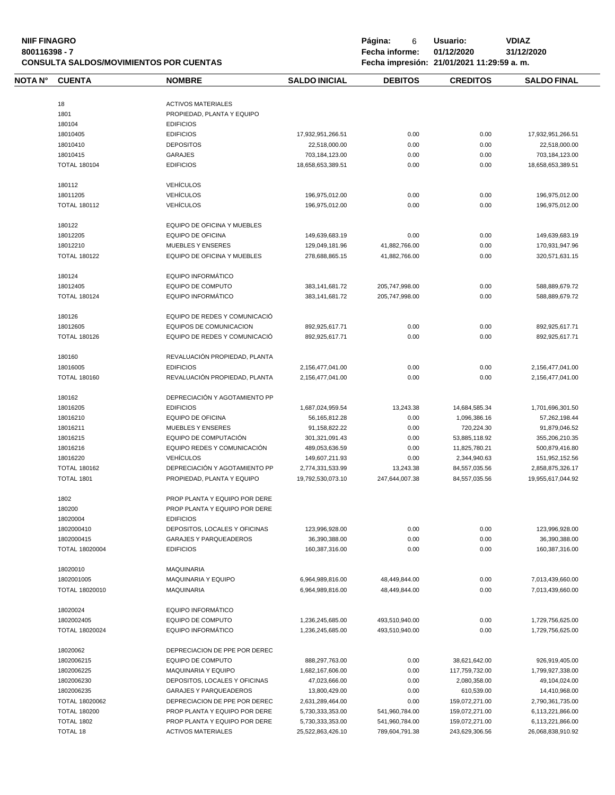| <b>NIIF FINAGRO</b><br>800116398 - 7 |                       | <b>CONSULTA SALDOS/MOVIMIENTOS POR CUENTAS</b>                 | Página:<br>6<br>Fecha informe: | Usuario:<br>01/12/2020<br>Fecha impresión: 21/01/2021 11:29:59 a.m. | <b>VDIAZ</b><br>31/12/2020 |                    |
|--------------------------------------|-----------------------|----------------------------------------------------------------|--------------------------------|---------------------------------------------------------------------|----------------------------|--------------------|
| NOTA N°                              | <b>CUENTA</b>         | <b>NOMBRE</b>                                                  | <b>SALDO INICIAL</b>           | <b>DEBITOS</b>                                                      | <b>CREDITOS</b>            | <b>SALDO FINAL</b> |
|                                      | 18                    | <b>ACTIVOS MATERIALES</b>                                      |                                |                                                                     |                            |                    |
|                                      | 1801                  | PROPIEDAD, PLANTA Y EQUIPO                                     |                                |                                                                     |                            |                    |
|                                      | 180104                | <b>EDIFICIOS</b>                                               |                                |                                                                     |                            |                    |
|                                      |                       |                                                                |                                |                                                                     |                            |                    |
|                                      | 18010405              | <b>EDIFICIOS</b>                                               | 17,932,951,266.51              | 0.00                                                                | 0.00                       | 17,932,951,266.51  |
|                                      | 18010410              | <b>DEPOSITOS</b>                                               | 22,518,000.00                  | 0.00                                                                | 0.00                       | 22,518,000.00      |
|                                      | 18010415              | <b>GARAJES</b>                                                 | 703,184,123.00                 | 0.00                                                                | 0.00                       | 703,184,123.00     |
|                                      | <b>TOTAL 180104</b>   | <b>EDIFICIOS</b>                                               | 18.658.653.389.51              | 0.00                                                                | 0.00                       | 18,658,653,389.51  |
|                                      | 180112                | <b>VEHÍCULOS</b>                                               |                                |                                                                     |                            |                    |
|                                      | 18011205              | <b>VEHÍCULOS</b>                                               | 196,975,012.00                 | 0.00                                                                | 0.00                       | 196,975,012.00     |
|                                      | <b>TOTAL 180112</b>   | <b>VEHÍCULOS</b>                                               | 196,975,012.00                 | 0.00                                                                | 0.00                       | 196,975,012.00     |
|                                      | 180122                | EQUIPO DE OFICINA Y MUEBLES                                    |                                |                                                                     |                            |                    |
|                                      | 18012205              | <b>EQUIPO DE OFICINA</b>                                       | 149,639,683.19                 | 0.00                                                                | 0.00                       | 149,639,683.19     |
|                                      | 18012210              | <b>MUEBLES Y ENSERES</b>                                       | 129,049,181.96                 | 41,882,766.00                                                       | 0.00                       | 170,931,947.96     |
|                                      |                       |                                                                |                                |                                                                     |                            |                    |
|                                      | <b>TOTAL 180122</b>   | EQUIPO DE OFICINA Y MUEBLES                                    | 278,688,865.15                 | 41,882,766.00                                                       | 0.00                       | 320,571,631.15     |
|                                      | 180124                | EQUIPO INFORMÁTICO                                             |                                |                                                                     |                            |                    |
|                                      | 18012405              | <b>EQUIPO DE COMPUTO</b>                                       | 383,141,681.72                 | 205,747,998.00                                                      | 0.00                       | 588,889,679.72     |
|                                      | <b>TOTAL 180124</b>   | EQUIPO INFORMÁTICO                                             | 383, 141, 681. 72              | 205,747,998.00                                                      | 0.00                       | 588,889,679.72     |
|                                      | 180126                | EQUIPO DE REDES Y COMUNICACIÓ                                  |                                |                                                                     |                            |                    |
|                                      | 18012605              | <b>EQUIPOS DE COMUNICACION</b>                                 | 892,925,617.71                 | 0.00                                                                | 0.00                       | 892,925,617.71     |
|                                      | <b>TOTAL 180126</b>   | EQUIPO DE REDES Y COMUNICACIÓ                                  | 892,925,617.71                 | 0.00                                                                | 0.00                       | 892,925,617.71     |
|                                      | 180160                | REVALUACIÓN PROPIEDAD, PLANTA                                  |                                |                                                                     |                            |                    |
|                                      | 18016005              | <b>EDIFICIOS</b>                                               | 2,156,477,041.00               | 0.00                                                                | 0.00                       | 2,156,477,041.00   |
|                                      | <b>TOTAL 180160</b>   | REVALUACIÓN PROPIEDAD, PLANTA                                  | 2,156,477,041.00               | 0.00                                                                | 0.00                       | 2,156,477,041.00   |
|                                      |                       |                                                                |                                |                                                                     |                            |                    |
|                                      | 180162                | DEPRECIACIÓN Y AGOTAMIENTO PP                                  |                                |                                                                     |                            |                    |
|                                      | 18016205              | <b>EDIFICIOS</b>                                               | 1,687,024,959.54               | 13,243.38                                                           | 14,684,585.34              | 1,701,696,301.50   |
|                                      | 18016210              | <b>EQUIPO DE OFICINA</b>                                       | 56, 165, 812. 28               | 0.00                                                                | 1,096,386.16               | 57,262,198.44      |
|                                      | 18016211              | <b>MUEBLES Y ENSERES</b>                                       | 91,158,822.22                  | 0.00                                                                | 720,224.30                 | 91,879,046.52      |
|                                      | 18016215              | EQUIPO DE COMPUTACIÓN                                          | 301,321,091.43                 | 0.00                                                                | 53,885,118.92              | 355,206,210.35     |
|                                      | 18016216              | EQUIPO REDES Y COMUNICACIÓN                                    | 489,053,636.59                 | 0.00                                                                | 11,825,780.21              | 500,879,416.80     |
|                                      | 18016220              | <b>VEHÍCULOS</b>                                               | 149,607,211.93                 | 0.00                                                                | 2,344,940.63               | 151,952,152.56     |
|                                      | <b>TOTAL 180162</b>   | DEPRECIACIÓN Y AGOTAMIENTO PP                                  | 2,774,331,533.99               | 13,243.38                                                           | 84,557,035.56              | 2,858,875,326.17   |
|                                      | <b>TOTAL 1801</b>     | PROPIEDAD, PLANTA Y EQUIPO                                     | 19,792,530,073.10              | 247,644,007.38                                                      | 84,557,035.56              | 19,955,617,044.92  |
|                                      |                       |                                                                |                                |                                                                     |                            |                    |
|                                      | 1802<br>180200        | PROP PLANTA Y EQUIPO POR DERE<br>PROP PLANTA Y EQUIPO POR DERE |                                |                                                                     |                            |                    |
|                                      |                       |                                                                |                                |                                                                     |                            |                    |
|                                      | 18020004              | <b>EDIFICIOS</b>                                               |                                |                                                                     |                            |                    |
|                                      | 1802000410            | DEPOSITOS, LOCALES Y OFICINAS                                  | 123,996,928.00                 | 0.00                                                                | 0.00                       | 123,996,928.00     |
|                                      | 1802000415            | <b>GARAJES Y PARQUEADEROS</b>                                  | 36,390,388.00                  | 0.00                                                                | 0.00                       | 36,390,388.00      |
|                                      | <b>TOTAL 18020004</b> | <b>EDIFICIOS</b>                                               | 160,387,316.00                 | 0.00                                                                | 0.00                       | 160,387,316.00     |
|                                      | 18020010              | <b>MAQUINARIA</b>                                              |                                |                                                                     |                            |                    |
|                                      | 1802001005            | <b>MAQUINARIA Y EQUIPO</b>                                     | 6,964,989,816.00               | 48,449,844.00                                                       | 0.00                       | 7,013,439,660.00   |
|                                      | TOTAL 18020010        | <b>MAQUINARIA</b>                                              | 6,964,989,816.00               | 48,449,844.00                                                       | 0.00                       | 7,013,439,660.00   |
|                                      | 18020024              | <b>EQUIPO INFORMÁTICO</b>                                      |                                |                                                                     |                            |                    |
|                                      | 1802002405            | EQUIPO DE COMPUTO                                              | 1,236,245,685.00               | 493,510,940.00                                                      | 0.00                       | 1,729,756,625.00   |
|                                      | <b>TOTAL 18020024</b> | <b>EQUIPO INFORMATICO</b>                                      | 1,236,245,685.00               | 493,510,940.00                                                      | 0.00                       | 1,729,756,625.00   |
|                                      | 18020062              | DEPRECIACION DE PPE POR DEREC                                  |                                |                                                                     |                            |                    |
|                                      | 1802006215            | <b>EQUIPO DE COMPUTO</b>                                       |                                | 0.00                                                                |                            |                    |
|                                      |                       |                                                                | 888,297,763.00                 |                                                                     | 38,621,642.00              | 926,919,405.00     |
|                                      | 1802006225            | <b>MAQUINARIA Y EQUIPO</b>                                     | 1,682,167,606.00               | 0.00                                                                | 117,759,732.00             | 1,799,927,338.00   |
|                                      | 1802006230            | DEPOSITOS, LOCALES Y OFICINAS                                  | 47,023,666.00                  | 0.00                                                                | 2,080,358.00               | 49,104,024.00      |
|                                      | 1802006235            | <b>GARAJES Y PARQUEADEROS</b>                                  | 13,800,429.00                  | 0.00                                                                | 610,539.00                 | 14,410,968.00      |
|                                      | TOTAL 18020062        | DEPRECIACION DE PPE POR DEREC                                  | 2,631,289,464.00               | 0.00                                                                | 159,072,271.00             | 2,790,361,735.00   |
|                                      | <b>TOTAL 180200</b>   | PROP PLANTA Y EQUIPO POR DERE                                  | 5,730,333,353.00               | 541,960,784.00                                                      | 159,072,271.00             | 6,113,221,866.00   |
|                                      | <b>TOTAL 1802</b>     | PROP PLANTA Y EQUIPO POR DERE                                  | 5,730,333,353.00               | 541,960,784.00                                                      | 159,072,271.00             | 6,113,221,866.00   |
|                                      | <b>TOTAL 18</b>       | <b>ACTIVOS MATERIALES</b>                                      | 25,522,863,426.10              | 789,604,791.38                                                      | 243,629,306.56             | 26,068,838,910.92  |
|                                      |                       |                                                                |                                |                                                                     |                            |                    |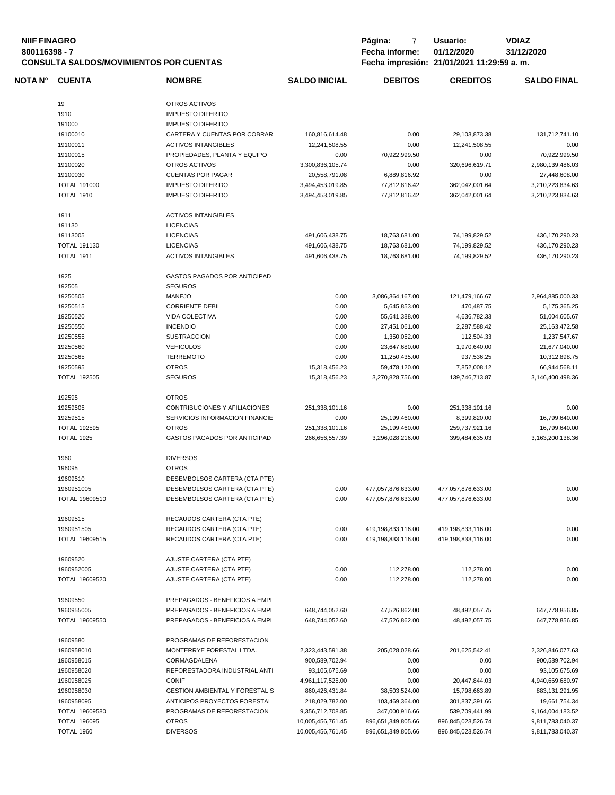| <b>NIIF FINAGRO</b><br>800116398 - 7 |                     | <b>CONSULTA SALDOS/MOVIMIENTOS POR CUENTAS</b> | Página:<br>7<br>Fecha informe: | Usuario:<br>01/12/2020<br>Fecha impresión: 21/01/2021 11:29:59 a.m. | <b>VDIAZ</b><br>31/12/2020 |                    |
|--------------------------------------|---------------------|------------------------------------------------|--------------------------------|---------------------------------------------------------------------|----------------------------|--------------------|
| NOTA N°                              | <b>CUENTA</b>       | <b>NOMBRE</b>                                  | <b>SALDO INICIAL</b>           | <b>DEBITOS</b>                                                      | <b>CREDITOS</b>            | <b>SALDO FINAL</b> |
|                                      | 19                  | OTROS ACTIVOS                                  |                                |                                                                     |                            |                    |
|                                      | 1910                | <b>IMPUESTO DIFERIDO</b>                       |                                |                                                                     |                            |                    |
|                                      |                     |                                                |                                |                                                                     |                            |                    |
|                                      | 191000              | <b>IMPUESTO DIFERIDO</b>                       |                                |                                                                     |                            |                    |
|                                      | 19100010            | CARTERA Y CUENTAS POR COBRAR                   | 160,816,614.48                 | 0.00                                                                | 29,103,873.38              | 131,712,741.10     |
|                                      | 19100011            | <b>ACTIVOS INTANGIBLES</b>                     | 12,241,508.55                  | 0.00                                                                | 12,241,508.55              | 0.00               |
|                                      | 19100015            | PROPIEDADES, PLANTA Y EQUIPO                   | 0.00                           | 70,922,999.50                                                       | 0.00                       | 70,922,999.50      |
|                                      | 19100020            | OTROS ACTIVOS                                  | 3,300,836,105.74               | 0.00                                                                | 320,696,619.71             | 2,980,139,486.03   |
|                                      | 19100030            | <b>CUENTAS POR PAGAR</b>                       | 20,558,791.08                  | 6,889,816.92                                                        | 0.00                       | 27,448,608.00      |
|                                      | <b>TOTAL 191000</b> | <b>IMPUESTO DIFERIDO</b>                       | 3,494,453,019.85               | 77,812,816.42                                                       | 362,042,001.64             | 3,210,223,834.63   |
|                                      | <b>TOTAL 1910</b>   | <b>IMPUESTO DIFERIDO</b>                       | 3,494,453,019.85               | 77,812,816.42                                                       | 362,042,001.64             | 3,210,223,834.63   |
|                                      | 1911                | <b>ACTIVOS INTANGIBLES</b>                     |                                |                                                                     |                            |                    |
|                                      | 191130              | <b>LICENCIAS</b>                               |                                |                                                                     |                            |                    |
|                                      | 19113005            | <b>LICENCIAS</b>                               | 491,606,438.75                 | 18,763,681.00                                                       | 74,199,829.52              | 436,170,290.23     |
|                                      | <b>TOTAL 191130</b> |                                                |                                |                                                                     |                            |                    |
|                                      |                     | <b>LICENCIAS</b>                               | 491,606,438.75                 | 18,763,681.00                                                       | 74,199,829.52              | 436,170,290.23     |
|                                      | TOTAL 1911          | <b>ACTIVOS INTANGIBLES</b>                     | 491,606,438.75                 | 18,763,681.00                                                       | 74,199,829.52              | 436,170,290.23     |
|                                      | 1925                | <b>GASTOS PAGADOS POR ANTICIPAD</b>            |                                |                                                                     |                            |                    |
|                                      | 192505              | <b>SEGUROS</b>                                 |                                |                                                                     |                            |                    |
|                                      | 19250505            | <b>MANEJO</b>                                  | 0.00                           | 3,086,364,167.00                                                    | 121,479,166.67             | 2,964,885,000.33   |
|                                      | 19250515            | <b>CORRIENTE DEBIL</b>                         | 0.00                           | 5,645,853.00                                                        | 470,487.75                 | 5,175,365.25       |
|                                      | 19250520            | VIDA COLECTIVA                                 | 0.00                           | 55,641,388.00                                                       | 4,636,782.33               | 51,004,605.67      |
|                                      | 19250550            | <b>INCENDIO</b>                                | 0.00                           | 27,451,061.00                                                       | 2,287,588.42               | 25, 163, 472.58    |
|                                      | 19250555            | <b>SUSTRACCION</b>                             | 0.00                           | 1,350,052.00                                                        | 112,504.33                 | 1,237,547.67       |
|                                      | 19250560            | <b>VEHICULOS</b>                               | 0.00                           | 23,647,680.00                                                       | 1,970,640.00               | 21,677,040.00      |
|                                      |                     |                                                |                                |                                                                     |                            |                    |
|                                      | 19250565            | <b>TERREMOTO</b>                               | 0.00                           | 11,250,435.00                                                       | 937,536.25                 | 10,312,898.75      |
|                                      | 19250595            | <b>OTROS</b>                                   | 15,318,456.23                  | 59,478,120.00                                                       | 7,852,008.12               | 66,944,568.11      |
|                                      | <b>TOTAL 192505</b> | <b>SEGUROS</b>                                 | 15,318,456.23                  | 3,270,828,756.00                                                    | 139,746,713.87             | 3,146,400,498.36   |
|                                      | 192595              | <b>OTROS</b>                                   |                                |                                                                     |                            |                    |
|                                      | 19259505            | CONTRIBUCIONES Y AFILIACIONES                  | 251,338,101.16                 | 0.00                                                                | 251,338,101.16             | 0.00               |
|                                      | 19259515            | SERVICIOS INFORMACION FINANCIE                 | 0.00                           | 25,199,460.00                                                       | 8,399,820.00               | 16,799,640.00      |
|                                      | <b>TOTAL 192595</b> | <b>OTROS</b>                                   | 251,338,101.16                 | 25,199,460.00                                                       | 259,737,921.16             | 16,799,640.00      |
|                                      | <b>TOTAL 1925</b>   | <b>GASTOS PAGADOS POR ANTICIPAD</b>            | 266,656,557.39                 | 3,296,028,216.00                                                    | 399,484,635.03             | 3,163,200,138.36   |
|                                      | 1960                | <b>DIVERSOS</b>                                |                                |                                                                     |                            |                    |
|                                      |                     | <b>OTROS</b>                                   |                                |                                                                     |                            |                    |
|                                      | 196095              |                                                |                                |                                                                     |                            |                    |
|                                      | 19609510            | DESEMBOLSOS CARTERA (CTA PTE)                  |                                |                                                                     |                            |                    |
|                                      | 1960951005          | DESEMBOLSOS CARTERA (CTA PTE)                  | 0.00                           | 477,057,876,633.00                                                  | 477,057,876,633.00         | 0.00               |
|                                      | TOTAL 19609510      | DESEMBOLSOS CARTERA (CTA PTE)                  | 0.00                           | 477,057,876,633.00                                                  | 477,057,876,633.00         | 0.00               |
|                                      | 19609515            | RECAUDOS CARTERA (CTA PTE)                     |                                |                                                                     |                            |                    |
|                                      | 1960951505          | RECAUDOS CARTERA (CTA PTE)                     | 0.00                           | 419,198,833,116.00                                                  | 419,198,833,116.00         | 0.00               |
|                                      | TOTAL 19609515      | RECAUDOS CARTERA (CTA PTE)                     | 0.00                           | 419,198,833,116.00                                                  | 419,198,833,116.00         | 0.00               |
|                                      | 19609520            | AJUSTE CARTERA (CTA PTE)                       |                                |                                                                     |                            |                    |
|                                      | 1960952005          | AJUSTE CARTERA (CTA PTE)                       | 0.00                           | 112,278.00                                                          | 112,278.00                 | 0.00               |
|                                      | TOTAL 19609520      | AJUSTE CARTERA (CTA PTE)                       | 0.00                           | 112,278.00                                                          | 112,278.00                 | 0.00               |
|                                      | 19609550            | PREPAGADOS - BENEFICIOS A EMPL                 |                                |                                                                     |                            |                    |
|                                      | 1960955005          | PREPAGADOS - BENEFICIOS A EMPL                 | 648,744,052.60                 | 47,526,862.00                                                       | 48,492,057.75              | 647,778,856.85     |
|                                      | TOTAL 19609550      | PREPAGADOS - BENEFICIOS A EMPL                 | 648,744,052.60                 | 47,526,862.00                                                       | 48,492,057.75              | 647,778,856.85     |
|                                      |                     |                                                |                                |                                                                     |                            |                    |
|                                      | 19609580            | PROGRAMAS DE REFORESTACION                     |                                |                                                                     |                            |                    |
|                                      | 1960958010          | MONTERRYE FORESTAL LTDA.                       | 2,323,443,591.38               | 205,028,028.66                                                      | 201,625,542.41             | 2,326,846,077.63   |
|                                      | 1960958015          | CORMAGDALENA                                   | 900,589,702.94                 | 0.00                                                                | 0.00                       | 900,589,702.94     |
|                                      | 1960958020          | REFORESTADORA INDUSTRIAL ANTI                  | 93,105,675.69                  | 0.00                                                                | 0.00                       | 93,105,675.69      |
|                                      | 1960958025          | <b>CONIF</b>                                   | 4,961,117,525.00               | 0.00                                                                | 20,447,844.03              | 4,940,669,680.97   |
|                                      | 1960958030          | <b>GESTION AMBIENTAL Y FORESTAL S</b>          | 860,426,431.84                 | 38,503,524.00                                                       | 15,798,663.89              | 883, 131, 291. 95  |
|                                      | 1960958095          | ANTICIPOS PROYECTOS FORESTAL                   | 218,029,782.00                 | 103,469,364.00                                                      | 301,837,391.66             | 19,661,754.34      |
|                                      | TOTAL 19609580      | PROGRAMAS DE REFORESTACION                     | 9,356,712,708.85               | 347,000,916.66                                                      | 539,709,441.99             | 9,164,004,183.52   |
|                                      | <b>TOTAL 196095</b> | <b>OTROS</b>                                   | 10,005,456,761.45              | 896,651,349,805.66                                                  | 896,845,023,526.74         | 9,811,783,040.37   |
|                                      | TOTAL 1960          | <b>DIVERSOS</b>                                | 10,005,456,761.45              | 896,651,349,805.66                                                  | 896,845,023,526.74         | 9,811,783,040.37   |
|                                      |                     |                                                |                                |                                                                     |                            |                    |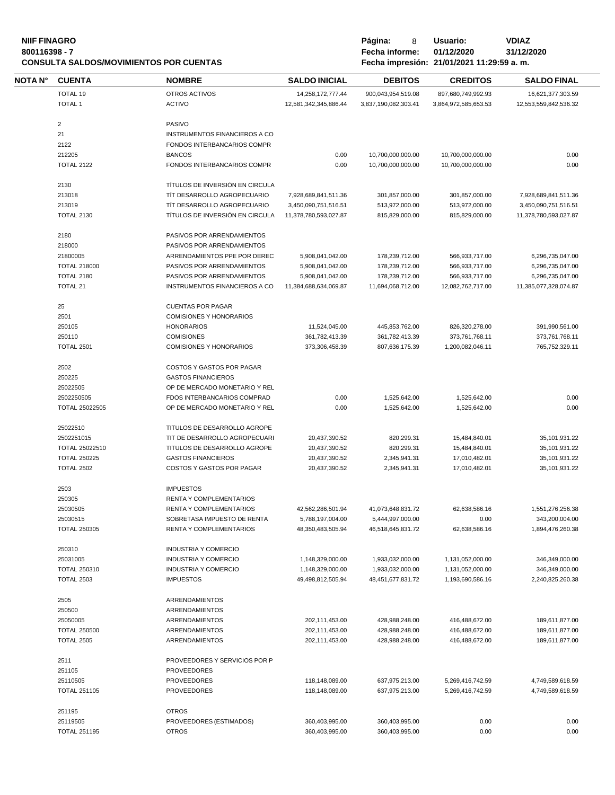#### **NIIF FINAGRO P á g i n a :** 8 **U s u a r i o : VDIAZ 800116398 - 7 Fecha informe: 01/12/2020 31/12/2020 CONSULTA SALDOS/MOVIMIENTOS POR CUENTAS**

| Página:        | 8 | Usuario:                          |
|----------------|---|-----------------------------------|
| Fecha informe: |   | 01/12/2020                        |
|                |   | Eacha impresión: 21/01/2021 11:20 |

| NOTA N° | <b>CUENTA</b>           | <b>NOMBRE</b>                           | <b>SALDO INICIAL</b>  | <b>DEBITOS</b>       | <b>CREDITOS</b>      | <b>SALDO FINAL</b>    |
|---------|-------------------------|-----------------------------------------|-----------------------|----------------------|----------------------|-----------------------|
|         | TOTAL 19                | OTROS ACTIVOS                           | 14,258,172,777.44     | 900,043,954,519.08   | 897,680,749,992.93   | 16,621,377,303.59     |
|         | <b>TOTAL 1</b>          | <b>ACTIVO</b>                           | 12,581,342,345,886.44 | 3,837,190,082,303.41 | 3,864,972,585,653.53 | 12,553,559,842,536.32 |
|         |                         |                                         |                       |                      |                      |                       |
|         | $\overline{\mathbf{c}}$ | PASIVO                                  |                       |                      |                      |                       |
|         | 21                      | INSTRUMENTOS FINANCIEROS A CO           |                       |                      |                      |                       |
|         | 2122                    | FONDOS INTERBANCARIOS COMPR             |                       |                      |                      |                       |
|         | 212205                  | <b>BANCOS</b>                           | 0.00                  | 10,700,000,000.00    | 10,700,000,000.00    | 0.00                  |
|         | <b>TOTAL 2122</b>       | FONDOS INTERBANCARIOS COMPR             | 0.00                  | 10,700,000,000.00    | 10,700,000,000.00    | 0.00                  |
|         |                         |                                         |                       |                      |                      |                       |
|         | 2130                    | TÍTULOS DE INVERSIÓN EN CIRCULA         |                       |                      |                      |                       |
|         | 213018                  | TÍT DESARROLLO AGROPECUARIO             | 7,928,689,841,511.36  | 301,857,000.00       | 301,857,000.00       | 7,928,689,841,511.36  |
|         | 213019                  | TÍT DESARROLLO AGROPECUARIO             | 3,450,090,751,516.51  | 513,972,000.00       | 513,972,000.00       | 3,450,090,751,516.51  |
|         | <b>TOTAL 2130</b>       | TÍTULOS DE INVERSIÓN EN CIRCULA         | 11,378,780,593,027.87 | 815,829,000.00       | 815,829,000.00       | 11,378,780,593,027.87 |
|         |                         |                                         |                       |                      |                      |                       |
|         | 2180                    | PASIVOS POR ARRENDAMIENTOS              |                       |                      |                      |                       |
|         | 218000                  | PASIVOS POR ARRENDAMIENTOS              |                       |                      |                      |                       |
|         | 21800005                | ARRENDAMIENTOS PPE POR DEREC            | 5,908,041,042.00      | 178,239,712.00       | 566,933,717.00       | 6,296,735,047.00      |
|         | <b>TOTAL 218000</b>     | PASIVOS POR ARRENDAMIENTOS              | 5,908,041,042.00      | 178,239,712.00       | 566,933,717.00       | 6,296,735,047.00      |
|         | <b>TOTAL 2180</b>       | PASIVOS POR ARRENDAMIENTOS              | 5,908,041,042.00      | 178,239,712.00       | 566,933,717.00       | 6,296,735,047.00      |
|         | <b>TOTAL 21</b>         | INSTRUMENTOS FINANCIEROS A CO           | 11,384,688,634,069.87 | 11,694,068,712.00    | 12,082,762,717.00    | 11,385,077,328,074.87 |
|         |                         |                                         |                       |                      |                      |                       |
|         | 25                      | <b>CUENTAS POR PAGAR</b>                |                       |                      |                      |                       |
|         | 2501                    | <b>COMISIONES Y HONORARIOS</b>          |                       |                      |                      |                       |
|         | 250105                  | <b>HONORARIOS</b>                       | 11,524,045.00         | 445,853,762.00       | 826,320,278.00       | 391,990,561.00        |
|         | 250110                  | <b>COMISIONES</b>                       | 361,782,413.39        | 361,782,413.39       | 373,761,768.11       | 373,761,768.11        |
|         | <b>TOTAL 2501</b>       | COMISIONES Y HONORARIOS                 | 373,306,458.39        | 807,636,175.39       | 1,200,082,046.11     | 765,752,329.11        |
|         |                         |                                         |                       |                      |                      |                       |
|         | 2502                    | COSTOS Y GASTOS POR PAGAR               |                       |                      |                      |                       |
|         |                         |                                         |                       |                      |                      |                       |
|         | 250225                  | <b>GASTOS FINANCIEROS</b>               |                       |                      |                      |                       |
|         | 25022505                | OP DE MERCADO MONETARIO Y REL           |                       |                      |                      |                       |
|         | 2502250505              | FDOS INTERBANCARIOS COMPRAD             | 0.00                  | 1,525,642.00         | 1,525,642.00         | 0.00                  |
|         | TOTAL 25022505          | OP DE MERCADO MONETARIO Y REL           | 0.00                  | 1,525,642.00         | 1,525,642.00         | 0.00                  |
|         | 25022510                | TITULOS DE DESARROLLO AGROPE            |                       |                      |                      |                       |
|         |                         |                                         |                       |                      |                      |                       |
|         | 2502251015              | TIT DE DESARROLLO AGROPECUARI           | 20,437,390.52         | 820,299.31           | 15,484,840.01        | 35,101,931.22         |
|         | TOTAL 25022510          | TITULOS DE DESARROLLO AGROPE            | 20,437,390.52         | 820,299.31           | 15,484,840.01        | 35,101,931.22         |
|         | <b>TOTAL 250225</b>     | <b>GASTOS FINANCIEROS</b>               | 20,437,390.52         | 2,345,941.31         | 17,010,482.01        | 35,101,931.22         |
|         | <b>TOTAL 2502</b>       | COSTOS Y GASTOS POR PAGAR               | 20,437,390.52         | 2,345,941.31         | 17,010,482.01        | 35,101,931.22         |
|         |                         |                                         |                       |                      |                      |                       |
|         | 2503                    | <b>IMPUESTOS</b>                        |                       |                      |                      |                       |
|         | 250305                  | RENTA Y COMPLEMENTARIOS                 |                       |                      |                      |                       |
|         | 25030505                | <b>RENTA Y COMPLEMENTARIOS</b>          | 42,562,286,501.94     | 41,073,648,831.72    | 62,638,586.16        | 1,551,276,256.38      |
|         | 25030515                | SOBRETASA IMPUESTO DE RENTA             | 5,788,197,004.00      | 5,444,997,000.00     | 0.00                 | 343,200,004.00        |
|         | <b>TOTAL 250305</b>     | RENTA Y COMPLEMENTARIOS                 | 48,350,483,505.94     | 46,518,645,831.72    | 62,638,586.16        | 1,894,476,260.38      |
|         |                         |                                         |                       |                      |                      |                       |
|         | 250310                  | <b>INDUSTRIA Y COMERCIO</b>             |                       |                      |                      |                       |
|         | 25031005                | INDUSTRIA Y COMERCIO                    | 1,148,329,000.00      | 1,933,032,000.00     | 1,131,052,000.00     | 346,349,000.00        |
|         | <b>TOTAL 250310</b>     | INDUSTRIA Y COMERCIO                    | 1,148,329,000.00      | 1,933,032,000.00     | 1,131,052,000.00     | 346,349,000.00        |
|         | <b>TOTAL 2503</b>       | <b>IMPUESTOS</b>                        | 49,498,812,505.94     | 48,451,677,831.72    | 1,193,690,586.16     | 2,240,825,260.38      |
|         |                         |                                         |                       |                      |                      |                       |
|         | 2505                    | ARRENDAMIENTOS                          |                       |                      |                      |                       |
|         | 250500                  | ARRENDAMIENTOS                          |                       |                      |                      |                       |
|         | 25050005                | ARRENDAMIENTOS                          | 202,111,453.00        | 428,988,248.00       | 416,488,672.00       | 189,611,877.00        |
|         | <b>TOTAL 250500</b>     | <b>ARRENDAMIENTOS</b>                   | 202,111,453.00        | 428,988,248.00       | 416,488,672.00       | 189,611,877.00        |
|         | <b>TOTAL 2505</b>       | ARRENDAMIENTOS                          | 202,111,453.00        | 428,988,248.00       | 416,488,672.00       | 189,611,877.00        |
|         |                         |                                         |                       |                      |                      |                       |
|         | 2511                    | PROVEEDORES Y SERVICIOS POR P           |                       |                      |                      |                       |
|         | 251105                  | <b>PROVEEDORES</b>                      |                       |                      |                      |                       |
|         | 25110505                | <b>PROVEEDORES</b>                      | 118,148,089.00        | 637,975,213.00       | 5,269,416,742.59     | 4,749,589,618.59      |
|         | <b>TOTAL 251105</b>     | <b>PROVEEDORES</b>                      | 118,148,089.00        | 637,975,213.00       | 5,269,416,742.59     | 4,749,589,618.59      |
|         |                         |                                         |                       |                      |                      |                       |
|         |                         |                                         |                       |                      |                      |                       |
|         | 251195                  | <b>OTROS</b>                            |                       |                      |                      |                       |
|         | 25119505                | PROVEEDORES (ESTIMADOS)<br><b>OTROS</b> | 360,403,995.00        | 360,403,995.00       | 0.00<br>0.00         | 0.00<br>0.00          |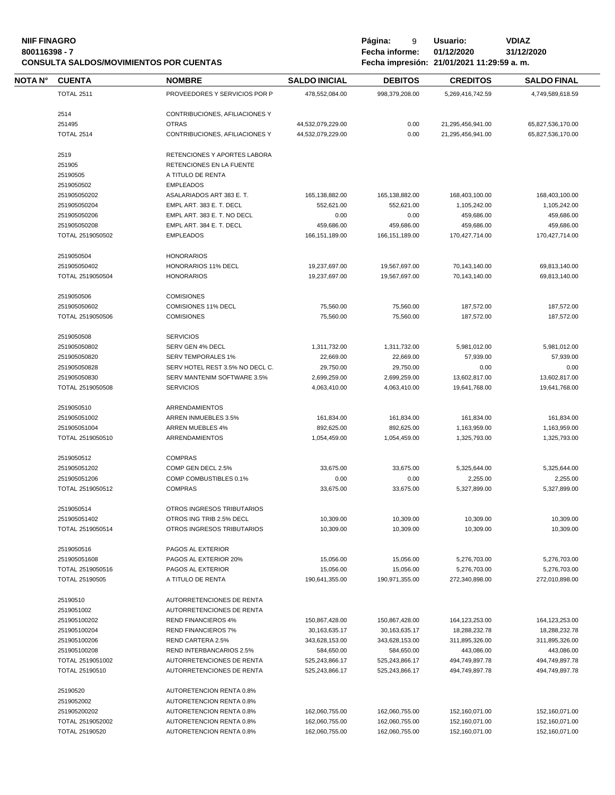# **NIIF FINAGRO P á g i n a :** 9 **U s u a r i o : VDIAZ CONSULTA SALDOS/MOVIMIENTOS POR CUENTAS**

**800116398 - 7 Fecha informe: 01/12/2020 31/12/2020**

| NOTA N° | <b>CUENTA</b>                    | <b>NOMBRE</b>                                        | <b>SALDO INICIAL</b>             | <b>DEBITOS</b>                   | <b>CREDITOS</b>                  | <b>SALDO FINAL</b>               |
|---------|----------------------------------|------------------------------------------------------|----------------------------------|----------------------------------|----------------------------------|----------------------------------|
|         | <b>TOTAL 2511</b>                | PROVEEDORES Y SERVICIOS POR P                        | 478,552,084.00                   | 998,379,208.00                   | 5,269,416,742.59                 | 4,749,589,618.59                 |
|         | 2514                             | CONTRIBUCIONES, AFILIACIONES Y                       |                                  |                                  |                                  |                                  |
|         | 251495                           | <b>OTRAS</b>                                         | 44,532,079,229.00                | 0.00                             | 21,295,456,941.00                | 65,827,536,170.00                |
|         | <b>TOTAL 2514</b>                | CONTRIBUCIONES, AFILIACIONES Y                       | 44,532,079,229.00                | 0.00                             | 21,295,456,941.00                | 65,827,536,170.00                |
|         | 2519                             | RETENCIONES Y APORTES LABORA                         |                                  |                                  |                                  |                                  |
|         | 251905                           | RETENCIONES EN LA FUENTE                             |                                  |                                  |                                  |                                  |
|         | 25190505                         | A TITULO DE RENTA                                    |                                  |                                  |                                  |                                  |
|         | 2519050502                       | <b>EMPLEADOS</b>                                     |                                  |                                  |                                  |                                  |
|         | 251905050202                     | ASALARIADOS ART 383 E. T.                            | 165,138,882.00                   | 165,138,882.00                   | 168,403,100.00                   | 168,403,100.00                   |
|         | 251905050204                     | EMPL ART. 383 E. T. DECL                             | 552,621.00                       | 552,621.00                       | 1,105,242.00                     | 1,105,242.00                     |
|         | 251905050206                     | EMPL ART. 383 E. T. NO DECL                          | 0.00                             | 0.00                             | 459,686.00                       | 459,686.00                       |
|         | 251905050208                     | EMPL ART. 384 E. T. DECL                             | 459,686.00                       | 459,686.00                       | 459,686.00                       | 459,686.00                       |
|         | TOTAL 2519050502                 | <b>EMPLEADOS</b>                                     | 166, 151, 189.00                 | 166, 151, 189.00                 | 170,427,714.00                   | 170,427,714.00                   |
|         | 2519050504                       | <b>HONORARIOS</b>                                    |                                  |                                  |                                  |                                  |
|         | 251905050402                     | HONORARIOS 11% DECL                                  | 19,237,697.00                    | 19,567,697.00                    | 70,143,140.00                    | 69,813,140.00                    |
|         | TOTAL 2519050504                 | <b>HONORARIOS</b>                                    | 19,237,697.00                    | 19,567,697.00                    | 70,143,140.00                    | 69,813,140.00                    |
|         |                                  |                                                      |                                  |                                  |                                  |                                  |
|         | 2519050506                       | <b>COMISIONES</b>                                    |                                  |                                  |                                  |                                  |
|         | 251905050602                     | <b>COMISIONES 11% DECL</b>                           | 75,560.00                        | 75,560.00                        | 187,572.00                       | 187,572.00                       |
|         | TOTAL 2519050506                 | <b>COMISIONES</b>                                    | 75,560.00                        | 75,560.00                        | 187.572.00                       | 187.572.00                       |
|         | 2519050508                       | <b>SERVICIOS</b>                                     |                                  |                                  |                                  |                                  |
|         | 251905050802                     | SERV GEN 4% DECL                                     | 1,311,732.00                     | 1,311,732.00                     | 5,981,012.00                     | 5,981,012.00                     |
|         | 251905050820                     | <b>SERV TEMPORALES 1%</b>                            | 22,669.00                        | 22,669.00                        | 57,939.00                        | 57,939.00                        |
|         | 251905050828                     | SERV HOTEL REST 3.5% NO DECL C.                      | 29,750.00                        | 29,750.00                        | 0.00                             | 0.00                             |
|         | 251905050830                     | SERV MANTENIM SOFTWARE 3.5%                          | 2,699,259.00                     | 2,699,259.00                     | 13,602,817.00                    | 13,602,817.00                    |
|         | TOTAL 2519050508                 | <b>SERVICIOS</b>                                     | 4,063,410.00                     | 4,063,410.00                     | 19,641,768.00                    | 19,641,768.00                    |
|         | 2519050510                       | ARRENDAMIENTOS                                       |                                  |                                  |                                  |                                  |
|         | 251905051002                     | ARREN INMUEBLES 3.5%                                 | 161,834.00                       | 161,834.00                       | 161,834.00                       | 161,834.00                       |
|         | 251905051004                     | <b>ARREN MUEBLES 4%</b>                              | 892,625.00                       | 892,625.00                       | 1,163,959.00                     | 1,163,959.00                     |
|         | TOTAL 2519050510                 | ARRENDAMIENTOS                                       | 1,054,459.00                     | 1,054,459.00                     | 1,325,793.00                     | 1,325,793.00                     |
|         | 2519050512                       | <b>COMPRAS</b>                                       |                                  |                                  |                                  |                                  |
|         | 251905051202                     | COMP GEN DECL 2.5%                                   | 33,675.00                        | 33,675.00                        | 5,325,644.00                     | 5,325,644.00                     |
|         | 251905051206                     | COMP COMBUSTIBLES 0.1%                               | 0.00                             | 0.00                             | 2,255.00                         | 2,255.00                         |
|         | TOTAL 2519050512                 | <b>COMPRAS</b>                                       | 33,675.00                        | 33,675.00                        | 5,327,899.00                     | 5,327,899.00                     |
|         | 2519050514                       | OTROS INGRESOS TRIBUTARIOS                           |                                  |                                  |                                  |                                  |
|         | 251905051402                     | OTROS ING TRIB 2.5% DECL                             | 10,309.00                        | 10,309.00                        | 10,309.00                        | 10,309.00                        |
|         | TOTAL 2519050514                 | OTROS INGRESOS TRIBUTARIOS                           | 10,309.00                        | 10,309.00                        | 10,309.00                        | 10,309.00                        |
|         | 2519050516                       | PAGOS AL EXTERIOR                                    |                                  |                                  |                                  |                                  |
|         | 251905051608                     | PAGOS AL EXTERIOR 20%                                | 15,056.00                        | 15,056.00                        | 5,276,703.00                     | 5,276,703.00                     |
|         | TOTAL 2519050516                 | PAGOS AL EXTERIOR                                    | 15,056.00                        | 15,056.00                        | 5,276,703.00                     | 5,276,703.00                     |
|         | TOTAL 25190505                   | A TITULO DE RENTA                                    | 190,641,355.00                   | 190,971,355.00                   | 272,340,898.00                   | 272,010,898.00                   |
|         | 25190510                         | AUTORRETENCIONES DE RENTA                            |                                  |                                  |                                  |                                  |
|         | 2519051002                       | AUTORRETENCIONES DE RENTA                            |                                  |                                  |                                  |                                  |
|         | 251905100202                     | <b>REND FINANCIEROS 4%</b>                           | 150,867,428.00                   | 150,867,428.00                   | 164, 123, 253.00                 | 164,123,253.00                   |
|         | 251905100204                     | <b>REND FINANCIEROS 7%</b>                           | 30, 163, 635. 17                 | 30,163,635.17                    | 18,288,232.78                    | 18,288,232.78                    |
|         | 251905100206                     | REND CARTERA 2.5%                                    | 343,628,153.00                   | 343,628,153.00                   | 311,895,326.00                   | 311,895,326.00                   |
|         | 251905100208                     | REND INTERBANCARIOS 2.5%                             | 584,650.00                       | 584,650.00                       | 443,086.00                       | 443,086.00                       |
|         |                                  | AUTORRETENCIONES DE RENTA                            | 525,243,866.17                   | 525,243,866.17                   | 494,749,897.78                   | 494,749,897.78                   |
|         | TOTAL 2519051002                 |                                                      |                                  | 525,243,866.17                   | 494,749,897.78                   | 494,749,897.78                   |
|         | TOTAL 25190510                   | AUTORRETENCIONES DE RENTA                            | 525,243,866.17                   |                                  |                                  |                                  |
|         |                                  |                                                      |                                  |                                  |                                  |                                  |
|         | 25190520                         | AUTORETENCION RENTA 0.8%                             |                                  |                                  |                                  |                                  |
|         | 2519052002                       | AUTORETENCION RENTA 0.8%                             |                                  |                                  |                                  |                                  |
|         | 251905200202<br>TOTAL 2519052002 | AUTORETENCION RENTA 0.8%<br>AUTORETENCION RENTA 0.8% | 162,060,755.00<br>162,060,755.00 | 162,060,755.00<br>162,060,755.00 | 152,160,071.00<br>152,160,071.00 | 152,160,071.00<br>152,160,071.00 |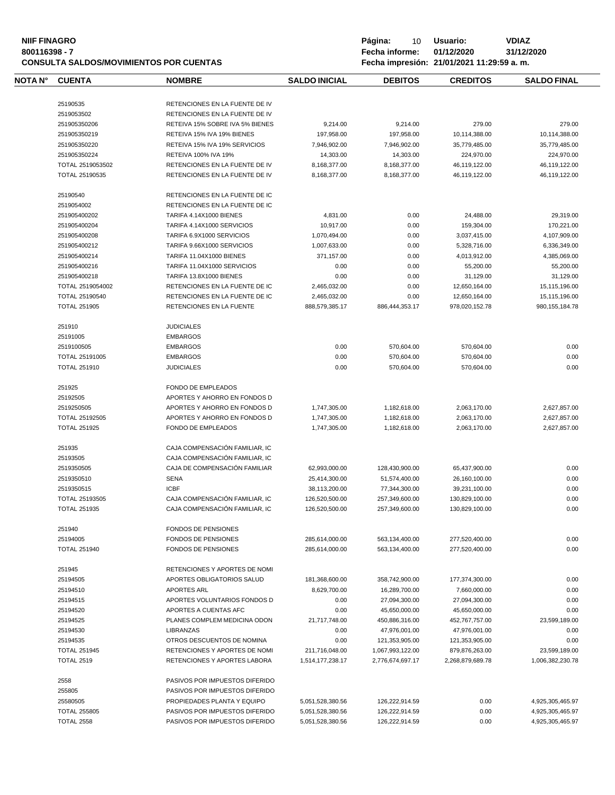|         | Página:<br><b>VDIAZ</b><br><b>NIIF FINAGRO</b><br>10<br>Usuario:<br>Fecha informe:<br>01/12/2020<br>31/12/2020<br>800116398 - 7<br>Fecha impresión: 21/01/2021 11:29:59 a.m.<br><b>CONSULTA SALDOS/MOVIMIENTOS POR CUENTAS</b> |                                 |                      |                |                 |                    |
|---------|--------------------------------------------------------------------------------------------------------------------------------------------------------------------------------------------------------------------------------|---------------------------------|----------------------|----------------|-----------------|--------------------|
| NOTA N° | <b>CUENTA</b>                                                                                                                                                                                                                  | <b>NOMBRE</b>                   | <b>SALDO INICIAL</b> | <b>DEBITOS</b> | <b>CREDITOS</b> | <b>SALDO FINAL</b> |
|         | 25190535                                                                                                                                                                                                                       | RETENCIONES EN LA FUENTE DE IV  |                      |                |                 |                    |
|         | 2519053502                                                                                                                                                                                                                     | RETENCIONES EN LA FUENTE DE IV  |                      |                |                 |                    |
|         | 251905350206                                                                                                                                                                                                                   | RETEIVA 15% SOBRE IVA 5% BIENES | 9.214.00             | 9.214.00       | 279.00          | 279.00             |
|         | 251905350219                                                                                                                                                                                                                   | RETEIVA 15% IVA 19% BIENES      | 197.958.00           | 197.958.00     | 10.114.388.00   | 10.114.388.00      |
|         | 251905350220                                                                                                                                                                                                                   | RETEIVA 15% IVA 19% SERVICIOS   | 7.946.902.00         | 7.946.902.00   | 35.779.485.00   | 35.779.485.00      |
|         |                                                                                                                                                                                                                                |                                 |                      |                |                 |                    |

| 251905350224        | RETEIVA 100% IVA 19%            | 14,303.00        | 14,303.00        | 224,970.00       | 224,970.00        |
|---------------------|---------------------------------|------------------|------------------|------------------|-------------------|
| TOTAL 2519053502    | RETENCIONES EN LA FUENTE DE IV  | 8,168,377.00     | 8,168,377.00     | 46,119,122.00    | 46,119,122.00     |
| TOTAL 25190535      | RETENCIONES EN LA FUENTE DE IV  | 8,168,377.00     | 8,168,377.00     | 46,119,122.00    | 46,119,122.00     |
| 25190540            | RETENCIONES EN LA FUENTE DE IC  |                  |                  |                  |                   |
| 2519054002          | RETENCIONES EN LA FUENTE DE IC  |                  |                  |                  |                   |
| 251905400202        | <b>TARIFA 4.14X1000 BIENES</b>  | 4,831.00         | 0.00             | 24,488.00        | 29,319.00         |
| 251905400204        | TARIFA 4.14X1000 SERVICIOS      | 10,917.00        | 0.00             | 159.304.00       | 170,221.00        |
| 251905400208        | TARIFA 6.9X1000 SERVICIOS       | 1,070,494.00     | 0.00             | 3,037,415.00     | 4,107,909.00      |
| 251905400212        | TARIFA 9.66X1000 SERVICIOS      | 1,007,633.00     | 0.00             | 5,328,716.00     | 6,336,349.00      |
| 251905400214        | <b>TARIFA 11.04X1000 BIENES</b> | 371,157.00       | 0.00             | 4,013,912.00     | 4,385,069.00      |
| 251905400216        | TARIFA 11.04X1000 SERVICIOS     | 0.00             | 0.00             | 55,200.00        | 55,200.00         |
| 251905400218        | <b>TARIFA 13.8X1000 BIENES</b>  | 0.00             | 0.00             | 31,129.00        | 31,129.00         |
| TOTAL 2519054002    | RETENCIONES EN LA FUENTE DE IC  | 2,465,032.00     | 0.00             | 12,650,164.00    | 15,115,196.00     |
| TOTAL 25190540      | RETENCIONES EN LA FUENTE DE IC  | 2,465,032.00     | 0.00             | 12,650,164.00    | 15,115,196.00     |
| <b>TOTAL 251905</b> | RETENCIONES EN LA FUENTE        | 888,579,385.17   | 886,444,353.17   | 978,020,152.78   | 980, 155, 184. 78 |
| 251910              | <b>JUDICIALES</b>               |                  |                  |                  |                   |
| 25191005            | <b>EMBARGOS</b>                 |                  |                  |                  |                   |
| 2519100505          | <b>EMBARGOS</b>                 | 0.00             | 570,604.00       | 570,604.00       | 0.00              |
| TOTAL 25191005      | <b>EMBARGOS</b>                 | 0.00             | 570,604.00       | 570,604.00       | 0.00              |
| <b>TOTAL 251910</b> | <b>JUDICIALES</b>               | 0.00             | 570.604.00       | 570.604.00       | 0.00              |
| 251925              | FONDO DE EMPLEADOS              |                  |                  |                  |                   |
| 25192505            | APORTES Y AHORRO EN FONDOS D    |                  |                  |                  |                   |
| 2519250505          | APORTES Y AHORRO EN FONDOS D    | 1,747,305.00     | 1,182,618.00     | 2,063,170.00     | 2,627,857.00      |
| TOTAL 25192505      | APORTES Y AHORRO EN FONDOS D    | 1,747,305.00     | 1,182,618.00     | 2,063,170.00     | 2,627,857.00      |
| <b>TOTAL 251925</b> | FONDO DE EMPLEADOS              | 1,747,305.00     | 1,182,618.00     | 2,063,170.00     | 2,627,857.00      |
| 251935              | CAJA COMPENSACIÓN FAMILIAR, IC  |                  |                  |                  |                   |
| 25193505            | CAJA COMPENSACIÓN FAMILIAR, IC  |                  |                  |                  |                   |
| 2519350505          | CAJA DE COMPENSACIÓN FAMILIAR   | 62,993,000.00    | 128,430,900.00   | 65,437,900.00    | 0.00              |
| 2519350510          | <b>SENA</b>                     | 25,414,300.00    | 51,574,400.00    | 26,160,100.00    | 0.00              |
| 2519350515          | <b>ICBF</b>                     | 38,113,200.00    | 77,344,300.00    | 39,231,100.00    | 0.00              |
| TOTAL 25193505      | CAJA COMPENSACIÓN FAMILIAR, IC  | 126,520,500.00   | 257,349,600.00   | 130,829,100.00   | 0.00              |
| <b>TOTAL 251935</b> | CAJA COMPENSACIÓN FAMILIAR, IC  | 126,520,500.00   | 257,349,600.00   | 130,829,100.00   | 0.00              |
| 251940              | <b>FONDOS DE PENSIONES</b>      |                  |                  |                  |                   |
| 25194005            | <b>FONDOS DE PENSIONES</b>      | 285,614,000.00   | 563,134,400.00   | 277,520,400.00   | 0.00              |
| <b>TOTAL 251940</b> | <b>FONDOS DE PENSIONES</b>      | 285,614,000.00   | 563,134,400.00   | 277,520,400.00   | 0.00              |
| 251945              | RETENCIONES Y APORTES DE NOMI   |                  |                  |                  |                   |
| 25194505            | APORTES OBLIGATORIOS SALUD      | 181,368,600.00   | 358,742,900.00   | 177,374,300.00   | 0.00              |
| 25194510            | <b>APORTES ARL</b>              | 8,629,700.00     | 16.289.700.00    | 7,660,000.00     | 0.00              |
| 25194515            | APORTES VOLUNTARIOS FONDOS D    | 0.00             | 27,094,300.00    | 27,094,300.00    | 0.00              |
| 25194520            | APORTES A CUENTAS AFC           | 0.00             | 45,650,000.00    | 45,650,000.00    | 0.00              |
| 25194525            | PLANES COMPLEM MEDICINA ODON    | 21,717,748.00    | 450,886,316.00   | 452,767,757.00   | 23,599,189.00     |
| 25194530            | LIBRANZAS                       | 0.00             | 47,976,001.00    | 47,976,001.00    | 0.00              |
| 25194535            | OTROS DESCUENTOS DE NOMINA      | 0.00             | 121,353,905.00   | 121,353,905.00   | 0.00              |
| <b>TOTAL 251945</b> | RETENCIONES Y APORTES DE NOMI   | 211,716,048.00   | 1,067,993,122.00 | 879,876,263.00   | 23,599,189.00     |
| <b>TOTAL 2519</b>   | RETENCIONES Y APORTES LABORA    | 1,514,177,238.17 | 2,776,674,697.17 | 2,268,879,689.78 | 1,006,382,230.78  |
| 2558                | PASIVOS POR IMPUESTOS DIFERIDO  |                  |                  |                  |                   |
| 255805              | PASIVOS POR IMPUESTOS DIFERIDO  |                  |                  |                  |                   |
| 25580505            | PROPIEDADES PLANTA Y EQUIPO     | 5,051,528,380.56 | 126,222,914.59   | 0.00             | 4,925,305,465.97  |
| <b>TOTAL 255805</b> | PASIVOS POR IMPUESTOS DIFERIDO  | 5,051,528,380.56 | 126,222,914.59   | 0.00             | 4,925,305,465.97  |

TOTAL 2558 PASIVOS POR IMPUESTOS DIFERIDO 5,051,528,380.56 126,222,914.59 0.00 4,925,305,465.97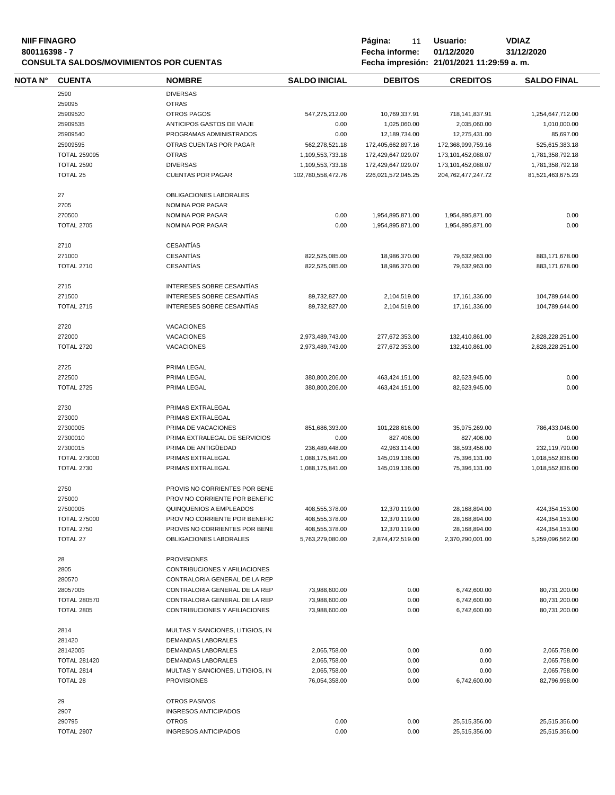| <b>NIIF FINAGRO</b><br>800116398 - 7 |                     | <b>CONSULTA SALDOS/MOVIMIENTOS POR CUENTAS</b> |                      | Página:<br>11<br>Fecha informe:<br>Fecha impresión: 21/01/2021 11:29:59 a.m. | <b>VDIAZ</b><br>31/12/2020 |                    |
|--------------------------------------|---------------------|------------------------------------------------|----------------------|------------------------------------------------------------------------------|----------------------------|--------------------|
| NOTA N°                              | <b>CUENTA</b>       | <b>NOMBRE</b>                                  | <b>SALDO INICIAL</b> | <b>DEBITOS</b>                                                               | <b>CREDITOS</b>            | <b>SALDO FINAL</b> |
|                                      | 2590                | <b>DIVERSAS</b>                                |                      |                                                                              |                            |                    |
|                                      | 259095              | <b>OTRAS</b>                                   |                      |                                                                              |                            |                    |
|                                      | 25909520            | <b>OTROS PAGOS</b>                             | 547,275,212.00       | 10,769,337.91                                                                | 718,141,837.91             | 1,254,647,712.00   |
|                                      | 25909535            | ANTICIPOS GASTOS DE VIAJE                      | 0.00                 | 1,025,060.00                                                                 | 2,035,060.00               | 1,010,000.00       |
|                                      | 25909540            | PROGRAMAS ADMINISTRADOS                        | 0.00                 | 12,189,734.00                                                                | 12,275,431.00              | 85,697.00          |
|                                      | 25909595            | OTRAS CUENTAS POR PAGAR                        | 562,278,521.18       | 172,405,662,897.16                                                           | 172,368,999,759.16         | 525,615,383.18     |
|                                      | <b>TOTAL 259095</b> | <b>OTRAS</b>                                   | 1,109,553,733.18     | 172,429,647,029.07                                                           | 173, 101, 452, 088.07      | 1,781,358,792.18   |
|                                      | <b>TOTAL 2590</b>   | <b>DIVERSAS</b>                                | 1,109,553,733.18     | 172,429,647,029.07                                                           | 173, 101, 452, 088.07      | 1,781,358,792.18   |
|                                      | TOTAL 25            | <b>CUENTAS POR PAGAR</b>                       | 102,780,558,472.76   | 226,021,572,045.25                                                           | 204,762,477,247.72         | 81,521,463,675.23  |
|                                      | 27                  | OBLIGACIONES LABORALES                         |                      |                                                                              |                            |                    |
|                                      | 2705                | NOMINA POR PAGAR                               |                      |                                                                              |                            |                    |
|                                      | 270500              | NOMINA POR PAGAR                               | 0.00                 | 1,954,895,871.00                                                             | 1,954,895,871.00           | 0.00               |
|                                      | <b>TOTAL 2705</b>   | NOMINA POR PAGAR                               | 0.00                 | 1,954,895,871.00                                                             | 1,954,895,871.00           | 0.00               |
|                                      | 2710                | <b>CESANTÍAS</b>                               |                      |                                                                              |                            |                    |
|                                      | 271000              | <b>CESANTÍAS</b>                               | 822,525,085.00       | 18,986,370.00                                                                | 79,632,963.00              | 883,171,678.00     |
|                                      | <b>TOTAL 2710</b>   | <b>CESANTÍAS</b>                               | 822,525,085.00       | 18,986,370.00                                                                | 79,632,963.00              | 883,171,678.00     |
|                                      | 2715                | INTERESES SOBRE CESANTÍAS                      |                      |                                                                              |                            |                    |
|                                      | 271500              | INTERESES SOBRE CESANTÍAS                      | 89,732,827.00        | 2,104,519.00                                                                 | 17,161,336.00              | 104,789,644.00     |
|                                      | <b>TOTAL 2715</b>   | INTERESES SOBRE CESANTÍAS                      | 89,732,827.00        | 2,104,519.00                                                                 | 17,161,336.00              | 104,789,644.00     |
|                                      | 2720                | <b>VACACIONES</b>                              |                      |                                                                              |                            |                    |
|                                      | 272000              | <b>VACACIONES</b>                              | 2,973,489,743.00     | 277,672,353.00                                                               | 132,410,861.00             | 2,828,228,251.00   |
|                                      | <b>TOTAL 2720</b>   | <b>VACACIONES</b>                              | 2,973,489,743.00     | 277,672,353.00                                                               | 132,410,861.00             | 2,828,228,251.00   |
|                                      | 2725                | PRIMA LEGAL                                    |                      |                                                                              |                            |                    |
|                                      | 272500              | PRIMA LEGAL                                    | 380,800,206.00       | 463,424,151.00                                                               | 82,623,945.00              | 0.00               |
|                                      | <b>TOTAL 2725</b>   | PRIMA LEGAL                                    | 380,800,206.00       | 463,424,151.00                                                               | 82,623,945.00              | 0.00               |
|                                      | 2730                | PRIMAS EXTRALEGAL                              |                      |                                                                              |                            |                    |
|                                      | 273000              | PRIMAS EXTRALEGAL                              |                      |                                                                              |                            |                    |
|                                      | 27300005            | PRIMA DE VACACIONES                            | 851,686,393.00       | 101,228,616.00                                                               | 35,975,269.00              | 786,433,046.00     |
|                                      | 27300010            | PRIMA EXTRALEGAL DE SERVICIOS                  | 0.00                 | 827,406.00                                                                   | 827,406.00                 | 0.00               |
|                                      | 27300015            | PRIMA DE ANTIGÜEDAD                            | 236,489,448.00       | 42,963,114.00                                                                | 38,593,456.00              | 232,119,790.00     |
|                                      | <b>TOTAL 273000</b> | PRIMAS EXTRALEGAL                              | 1,088,175,841.00     | 145,019,136.00                                                               | 75,396,131.00              | 1,018,552,836.00   |
|                                      | <b>TOTAL 2730</b>   | PRIMAS EXTRALEGAL                              | 1,088,175,841.00     | 145,019,136.00                                                               | 75,396,131.00              | 1,018,552,836.00   |
|                                      | 2750                | PROVIS NO CORRIENTES POR BENE                  |                      |                                                                              |                            |                    |
|                                      | 275000              | PROV NO CORRIENTE POR BENEFIC                  |                      |                                                                              |                            |                    |
|                                      | 27500005            | QUINQUENIOS A EMPLEADOS                        | 408,555,378.00       | 12,370,119.00                                                                | 28,168,894.00              | 424,354,153.00     |
|                                      | <b>TOTAL 275000</b> | PROV NO CORRIENTE POR BENEFIC                  | 408,555,378.00       | 12,370,119.00                                                                | 28,168,894.00              | 424,354,153.00     |
|                                      | <b>TOTAL 2750</b>   | PROVIS NO CORRIENTES POR BENE                  | 408,555,378.00       | 12,370,119.00                                                                | 28,168,894.00              | 424,354,153.00     |
|                                      | <b>TOTAL 27</b>     | OBLIGACIONES LABORALES                         | 5,763,279,080.00     | 2,874,472,519.00                                                             | 2,370,290,001.00           | 5,259,096,562.00   |

 PROVISIONES CONTRIBUCIONES Y AFILIACIONES CONTRALORIA GENERAL DE LA REP CONTRALORIA GENERAL DE LA REP 73,988,600.00 0.00 6,742,600.00 80,731,200.00 TOTAL 280570 CONTRALORIA GENERAL DE LA REP 73,988,600.00 0.00 6,742,600.00 80,731,200.00 TOTAL 2805 CONTRIBUCIONES Y AFILIACIONES 73,988,600.00 0.00 6,742,600.00 80,731,200.00 MULTAS Y SANCIONES, LITIGIOS, IN DEMANDAS LABORALES DEMANDAS LABORALES 2,065,758.00 0.00 0.00 2,065,758.00 TOTAL 281420 DEMANDAS LABORALES 2,065,758.00 0.00 0.00 2,065,758.00 TOTAL 2814 MULTAS Y SANCIONES, LITIGIOS, IN 2,065,758.00 0.00 0.00 2,065,758.00

TOTAL 28 PROVISIONES 76,054,358.00 0.00 6,742,600.00 82,796,958.00 OTROS PASIVOS INGRESOS ANTICIPADOS OTROS 0.00 0.00 25,515,356.00 25,515,356.00 TOTAL 2907 INGRESOS ANTICIPADOS 0.00 0.00 25,515,356.00 25,515,356.00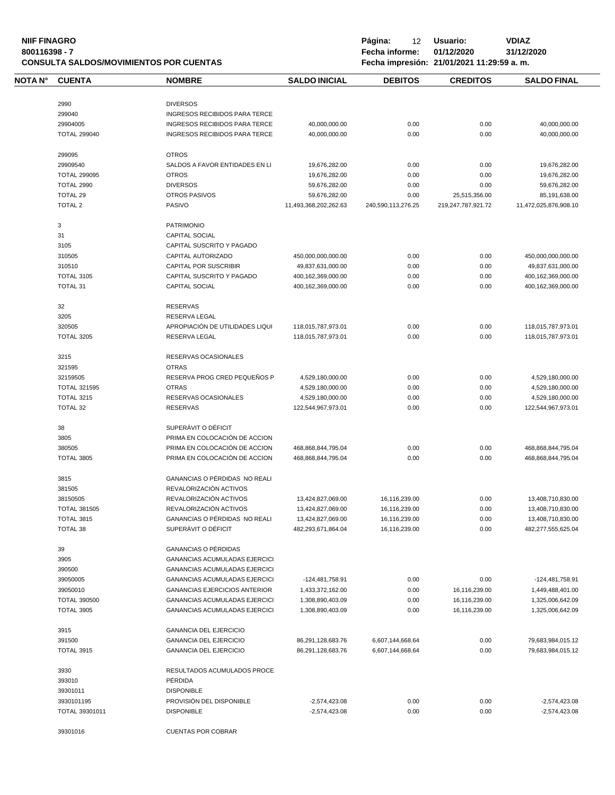| <b>NIIF FINAGRO</b><br>800116398 - 7<br><b>CONSULTA SALDOS/MOVIMIENTOS POR CUENTAS</b> |                     |                                      |                       | Página:<br>12<br>Fecha informe: | Usuario:<br>01/12/2020<br>Fecha impresión: 21/01/2021 11:29:59 a.m. | <b>VDIAZ</b><br>31/12/2020 |  |
|----------------------------------------------------------------------------------------|---------------------|--------------------------------------|-----------------------|---------------------------------|---------------------------------------------------------------------|----------------------------|--|
| <b>NOTA N°</b>                                                                         | <b>CUENTA</b>       | <b>NOMBRE</b>                        | <b>SALDO INICIAL</b>  | <b>DEBITOS</b>                  | <b>CREDITOS</b>                                                     | <b>SALDO FINAL</b>         |  |
|                                                                                        | 2990                | <b>DIVERSOS</b>                      |                       |                                 |                                                                     |                            |  |
|                                                                                        | 299040              | <b>INGRESOS RECIBIDOS PARA TERCE</b> |                       |                                 |                                                                     |                            |  |
|                                                                                        | 29904005            | INGRESOS RECIBIDOS PARA TERCE        | 40,000,000.00         | 0.00                            | 0.00                                                                | 40,000,000.00              |  |
|                                                                                        | <b>TOTAL 299040</b> | <b>INGRESOS RECIBIDOS PARA TERCE</b> | 40,000,000.00         | 0.00                            | 0.00                                                                | 40,000,000.00              |  |
|                                                                                        | 299095              | <b>OTROS</b>                         |                       |                                 |                                                                     |                            |  |
|                                                                                        | 29909540            | SALDOS A FAVOR ENTIDADES EN LI       | 19,676,282.00         | 0.00                            | 0.00                                                                | 19,676,282.00              |  |
|                                                                                        | <b>TOTAL 299095</b> | <b>OTROS</b>                         | 19,676,282.00         | 0.00                            | 0.00                                                                | 19,676,282.00              |  |
|                                                                                        | TOTAL 2990          | <b>DIVERSOS</b>                      | 59,676,282.00         | 0.00                            | 0.00                                                                | 59,676,282.00              |  |
|                                                                                        | <b>TOTAL 29</b>     | <b>OTROS PASIVOS</b>                 | 59,676,282.00         | 0.00                            | 25,515,356.00                                                       | 85,191,638.00              |  |
|                                                                                        | <b>TOTAL 2</b>      | PASIVO                               | 11,493,368,202,262.63 | 240,590,113,276.25              | 219,247,787,921.72                                                  | 11,472,025,876,908.10      |  |
|                                                                                        | 3                   | <b>PATRIMONIO</b>                    |                       |                                 |                                                                     |                            |  |
|                                                                                        | 31                  | <b>CAPITAL SOCIAL</b>                |                       |                                 |                                                                     |                            |  |
|                                                                                        | 3105                | CAPITAL SUSCRITO Y PAGADO            |                       |                                 |                                                                     |                            |  |
|                                                                                        | 310505              | CAPITAL AUTORIZADO                   | 450,000,000,000.00    | 0.00                            | 0.00                                                                | 450,000,000,000.00         |  |
|                                                                                        | 310510              | <b>CAPITAL POR SUSCRIBIR</b>         | 49,837,631,000.00     | 0.00                            | 0.00                                                                | 49,837,631,000.00          |  |
|                                                                                        | <b>TOTAL 3105</b>   | CAPITAL SUSCRITO Y PAGADO            | 400,162,369,000.00    | 0.00                            | 0.00                                                                | 400,162,369,000.00         |  |
|                                                                                        | TOTAL 31            | <b>CAPITAL SOCIAL</b>                | 400,162,369,000.00    | 0.00                            | 0.00                                                                | 400,162,369,000.00         |  |
|                                                                                        | 32                  | <b>RESERVAS</b>                      |                       |                                 |                                                                     |                            |  |
|                                                                                        | 3205                | <b>RESERVA LEGAL</b>                 |                       |                                 |                                                                     |                            |  |
|                                                                                        | 320505              | APROPIACIÓN DE UTILIDADES LIQUI      | 118,015,787,973.01    | 0.00                            | 0.00                                                                | 118,015,787,973.01         |  |
|                                                                                        | <b>TOTAL 3205</b>   | RESERVA LEGAL                        | 118,015,787,973.01    | 0.00                            | 0.00                                                                | 118,015,787,973.01         |  |
|                                                                                        | 3215                | RESERVAS OCASIONALES                 |                       |                                 |                                                                     |                            |  |
|                                                                                        | 321595              | <b>OTRAS</b>                         |                       |                                 |                                                                     |                            |  |
|                                                                                        | 32159505            | RESERVA PROG CRED PEQUEÑOS P         | 4,529,180,000.00      | 0.00                            | 0.00                                                                | 4,529,180,000.00           |  |
|                                                                                        | <b>TOTAL 321595</b> | <b>OTRAS</b>                         | 4,529,180,000.00      | 0.00                            | 0.00                                                                | 4,529,180,000.00           |  |
|                                                                                        | <b>TOTAL 3215</b>   | RESERVAS OCASIONALES                 | 4,529,180,000.00      | 0.00                            | 0.00                                                                | 4,529,180,000.00           |  |
|                                                                                        | TOTAL 32            | <b>RESERVAS</b>                      | 122,544,967,973.01    | 0.00                            | 0.00                                                                | 122,544,967,973.01         |  |
|                                                                                        | 38                  | SUPERÁVIT O DÉFICIT                  |                       |                                 |                                                                     |                            |  |
|                                                                                        | 3805                | PRIMA EN COLOCACIÓN DE ACCION        |                       |                                 |                                                                     |                            |  |
|                                                                                        | 380505              | PRIMA EN COLOCACIÓN DE ACCION        | 468,868,844,795.04    | 0.00                            | 0.00                                                                | 468,868,844,795.04         |  |
|                                                                                        | <b>TOTAL 3805</b>   | PRIMA EN COLOCACIÓN DE ACCION        | 468,868,844,795.04    | 0.00                            | 0.00                                                                | 468,868,844,795.04         |  |
|                                                                                        | 3815                | GANANCIAS O PÉRDIDAS NO REALI        |                       |                                 |                                                                     |                            |  |
|                                                                                        | 381505              | REVALORIZACIÓN ACTIVOS               |                       |                                 |                                                                     |                            |  |
|                                                                                        | 38150505            | REVALORIZACIÓN ACTIVOS               | 13,424,827,069.00     | 16,116,239.00                   | 0.00                                                                | 13,408,710,830.00          |  |
|                                                                                        | <b>TOTAL 381505</b> | REVALORIZACIÓN ACTIVOS               | 13,424,827,069.00     | 16,116,239.00                   | 0.00                                                                | 13,408,710,830.00          |  |
|                                                                                        | TOTAL 3815          | GANANCIAS O PÉRDIDAS NO REALI        | 13,424,827,069.00     | 16,116,239.00                   | 0.00                                                                | 13,408,710,830.00          |  |
|                                                                                        | TOTAL 38            | SUPERÁVIT O DÉFICIT                  | 482,293,671,864.04    | 16,116,239.00                   | 0.00                                                                | 482,277,555,625.04         |  |
|                                                                                        | 39                  | <b>GANANCIAS O PÉRDIDAS</b>          |                       |                                 |                                                                     |                            |  |
|                                                                                        | 3905                | <b>GANANCIAS ACUMULADAS EJERCICI</b> |                       |                                 |                                                                     |                            |  |

39050005 GANANCIAS ACUMULADAS EJERCICI -124,481,758.91 0.00 0.00 0.00 -124,481,758.91 39050010 GANANCIAS EJERCICIOS ANTERIOR 1,433,372,162.00 0.00 16,116,239.00 1,449,488,401.00

TOTAL 390500 GANANCIAS ACUMULADAS EJERCICI 1,308,890,403.09 0.00 16,116,239.00 1,325,006,642.09 TOTAL 3905 GANANCIAS ACUMULADAS EJERCICI 1,308,890,403.09 0.00 16,116,239.00 1,325,006,642.09 3915 GANANCIA DEL EJERCICIO 391500 GANANCIA DEL EJERCICIO 86,291,128,683.76 6,607,144,668.64 0.00 79,683,984,015.12 TOTAL 3915 GANANCIA DEL EJERCICIO 86,291,128,683.76 6,607,144,668.64 0.00 79,683,984,015.12 3930 RESULTADOS ACUMULADOS PROCE 393010 PÉRDIDA 39301011 DISPONIBLE 3930101195 PROVISIÓN DEL DISPONIBLE -2,574,423.08 0.00 0.00 -2,574,423.08 TOTAL 39301011 DISPONIBLE -2,574,423.08 0.00 0.00 -2,574,423.08

390500 GANANCIAS ACUMULADAS EJERCICI

39301016 CUENTAS POR COBRAR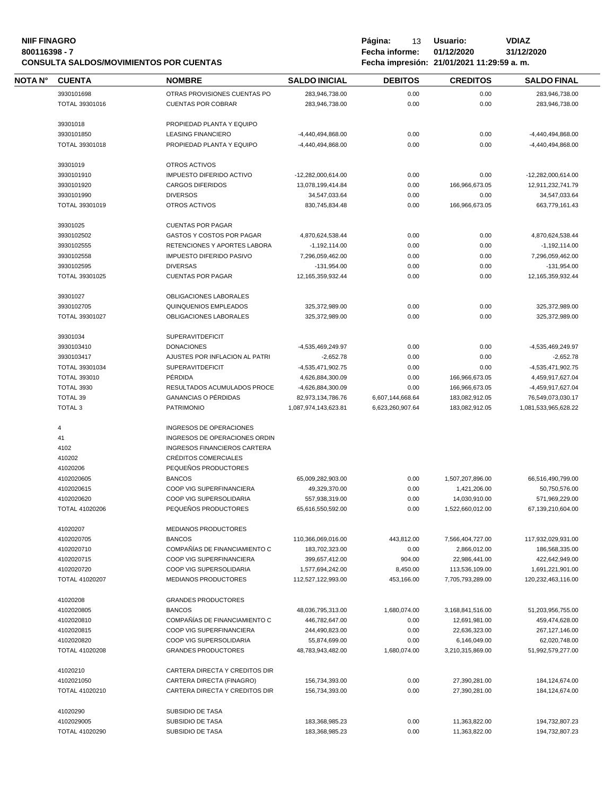#### **NIIF FINAGRO P á g i n a :** 13 **U s u a r i o : VDIAZ 800116398 - 7 Fecha informe: 01/12/2020 31/12/2020**

|         |                       | <b>CONSULTA SALDOS/MOVIMIENTOS POR CUENTAS</b> | Fecha impresión: 21/01/2021 11:29:59 a.m. |                  |                  |                      |  |
|---------|-----------------------|------------------------------------------------|-------------------------------------------|------------------|------------------|----------------------|--|
| NOTA N° | <b>CUENTA</b>         | <b>NOMBRE</b>                                  | <b>SALDO INICIAL</b>                      | <b>DEBITOS</b>   | <b>CREDITOS</b>  | <b>SALDO FINAL</b>   |  |
|         | 3930101698            | OTRAS PROVISIONES CUENTAS PO                   | 283,946,738.00                            | 0.00             | 0.00             | 283,946,738.00       |  |
|         | TOTAL 39301016        | <b>CUENTAS POR COBRAR</b>                      | 283,946,738.00                            | 0.00             | 0.00             | 283,946,738.00       |  |
|         | 39301018              | PROPIEDAD PLANTA Y EQUIPO                      |                                           |                  |                  |                      |  |
|         | 3930101850            | <b>LEASING FINANCIERO</b>                      | -4,440,494,868.00                         | 0.00             | 0.00             | -4,440,494,868.00    |  |
|         | TOTAL 39301018        | PROPIEDAD PLANTA Y EQUIPO                      | -4,440,494,868.00                         | 0.00             | 0.00             | -4,440,494,868.00    |  |
|         | 39301019              | OTROS ACTIVOS                                  |                                           |                  |                  |                      |  |
|         | 3930101910            | <b>IMPUESTO DIFERIDO ACTIVO</b>                | -12,282,000,614.00                        | 0.00             | 0.00             | -12,282,000,614.00   |  |
|         | 3930101920            | <b>CARGOS DIFERIDOS</b>                        | 13,078,199,414.84                         | 0.00             | 166,966,673.05   | 12,911,232,741.79    |  |
|         | 3930101990            | <b>DIVERSOS</b>                                | 34,547,033.64                             | 0.00             | 0.00             | 34,547,033.64        |  |
|         | TOTAL 39301019        | OTROS ACTIVOS                                  | 830,745,834.48                            | 0.00             | 166,966,673.05   | 663,779,161.43       |  |
|         | 39301025              | <b>CUENTAS POR PAGAR</b>                       |                                           |                  |                  |                      |  |
|         | 3930102502            | GASTOS Y COSTOS POR PAGAR                      | 4,870,624,538.44                          | 0.00             | 0.00             | 4,870,624,538.44     |  |
|         | 3930102555            | RETENCIONES Y APORTES LABORA                   | $-1,192,114.00$                           | 0.00             | 0.00             | $-1,192,114.00$      |  |
|         | 3930102558            | <b>IMPUESTO DIFERIDO PASIVO</b>                | 7,296,059,462.00                          | 0.00             | 0.00             | 7,296,059,462.00     |  |
|         | 3930102595            | <b>DIVERSAS</b>                                | $-131,954.00$                             | 0.00             | 0.00             | $-131,954.00$        |  |
|         | TOTAL 39301025        | <b>CUENTAS POR PAGAR</b>                       | 12, 165, 359, 932. 44                     | 0.00             | 0.00             | 12,165,359,932.44    |  |
|         | 39301027              | OBLIGACIONES LABORALES                         |                                           |                  |                  |                      |  |
|         | 3930102705            | QUINQUENIOS EMPLEADOS                          | 325,372,989.00                            | 0.00             | 0.00             | 325,372,989.00       |  |
|         | TOTAL 39301027        | OBLIGACIONES LABORALES                         | 325,372,989.00                            | 0.00             | 0.00             | 325,372,989.00       |  |
|         | 39301034              | <b>SUPERAVITDEFICIT</b>                        |                                           |                  |                  |                      |  |
|         | 3930103410            | <b>DONACIONES</b>                              | -4,535,469,249.97                         | 0.00             | 0.00             | -4,535,469,249.97    |  |
|         | 3930103417            | AJUSTES POR INFLACION AL PATRI                 | $-2,652.78$                               | 0.00             | 0.00             | $-2,652.78$          |  |
|         | TOTAL 39301034        | <b>SUPERAVITDEFICIT</b>                        | -4,535,471,902.75                         | 0.00             | 0.00             | -4,535,471,902.75    |  |
|         | <b>TOTAL 393010</b>   | PÉRDIDA                                        | 4,626,884,300.09                          | 0.00             | 166,966,673.05   | 4,459,917,627.04     |  |
|         | <b>TOTAL 3930</b>     | RESULTADOS ACUMULADOS PROCE                    | -4,626,884,300.09                         | 0.00             | 166,966,673.05   | -4,459,917,627.04    |  |
|         | TOTAL 39              | <b>GANANCIAS O PÉRDIDAS</b>                    | 82,973,134,786.76                         | 6,607,144,668.64 | 183,082,912.05   | 76,549,073,030.17    |  |
|         | <b>TOTAL 3</b>        | <b>PATRIMONIO</b>                              | 1,087,974,143,623.81                      | 6,623,260,907.64 | 183,082,912.05   | 1,081,533,965,628.22 |  |
|         | 4                     | INGRESOS DE OPERACIONES                        |                                           |                  |                  |                      |  |
|         | 41                    | INGRESOS DE OPERACIONES ORDIN                  |                                           |                  |                  |                      |  |
|         | 4102                  | INGRESOS FINANCIEROS CARTERA                   |                                           |                  |                  |                      |  |
|         | 410202                | CRÉDITOS COMERCIALES                           |                                           |                  |                  |                      |  |
|         | 41020206              | PEQUEÑOS PRODUCTORES                           |                                           |                  |                  |                      |  |
|         | 4102020605            | <b>BANCOS</b>                                  | 65,009,282,903.00                         | 0.00             | 1,507,207,896.00 | 66,516,490,799.00    |  |
|         | 4102020615            | COOP VIG SUPERFINANCIERA                       | 49,329,370.00                             | 0.00             | 1,421,206.00     | 50,750,576.00        |  |
|         | 4102020620            | COOP VIG SUPERSOLIDARIA                        | 557,938,319.00                            | 0.00             | 14,030,910.00    | 571,969,229.00       |  |
|         | TOTAL 41020206        | PEQUEÑOS PRODUCTORES                           | 65,616,550,592.00                         | 0.00             | 1,522,660,012.00 | 67,139,210,604.00    |  |
|         | 41020207              | <b>MEDIANOS PRODUCTORES</b>                    |                                           |                  |                  |                      |  |
|         | 4102020705            | <b>BANCOS</b>                                  | 110,366,069,016.00                        | 443,812.00       | 7,566,404,727.00 | 117,932,029,931.00   |  |
|         | 4102020710            | COMPAÑÍAS DE FINANCIAMIENTO C                  | 183,702,323.00                            | 0.00             | 2,866,012.00     | 186,568,335.00       |  |
|         | 4102020715            | COOP VIG SUPERFINANCIERA                       | 399,657,412.00                            | 904.00           | 22,986,441.00    | 422,642,949.00       |  |
|         | 4102020720            | COOP VIG SUPERSOLIDARIA                        | 1,577,694,242.00                          | 8,450.00         | 113,536,109.00   | 1,691,221,901.00     |  |
|         | <b>TOTAL 41020207</b> | MEDIANOS PRODUCTORES                           | 112,527,122,993.00                        | 453,166.00       | 7,705,793,289.00 | 120,232,463,116.00   |  |
|         | 41020208              | <b>GRANDES PRODUCTORES</b>                     |                                           |                  |                  |                      |  |
|         | 4102020805            | <b>BANCOS</b>                                  | 48,036,795,313.00                         | 1,680,074.00     | 3,168,841,516.00 | 51,203,956,755.00    |  |
|         | 4102020810            | COMPAÑÍAS DE FINANCIAMIENTO C                  | 446,782,647.00                            | 0.00             | 12,691,981.00    | 459,474,628.00       |  |
|         | 4102020815            | COOP VIG SUPERFINANCIERA                       | 244,490,823.00                            | 0.00             | 22,636,323.00    | 267,127,146.00       |  |
|         | 4102020820            | COOP VIG SUPERSOLIDARIA                        | 55,874,699.00                             | 0.00             | 6,146,049.00     | 62,020,748.00        |  |
|         | <b>TOTAL 41020208</b> | <b>GRANDES PRODUCTORES</b>                     | 48,783,943,482.00                         | 1,680,074.00     | 3,210,315,869.00 | 51,992,579,277.00    |  |
|         | 41020210              | CARTERA DIRECTA Y CREDITOS DIR                 |                                           |                  |                  |                      |  |
|         | 4102021050            | CARTERA DIRECTA (FINAGRO)                      | 156,734,393.00                            | 0.00             | 27,390,281.00    | 184,124,674.00       |  |
|         | TOTAL 41020210        | CARTERA DIRECTA Y CREDITOS DIR                 | 156,734,393.00                            | 0.00             | 27,390,281.00    | 184, 124, 674.00     |  |
|         | 41020290              | SUBSIDIO DE TASA                               |                                           |                  |                  |                      |  |
|         | 4102029005            | SUBSIDIO DE TASA                               | 183,368,985.23                            | 0.00             | 11,363,822.00    | 194,732,807.23       |  |
|         | TOTAL 41020290        | SUBSIDIO DE TASA                               | 183,368,985.23                            | 0.00             | 11,363,822.00    | 194,732,807.23       |  |
|         |                       |                                                |                                           |                  |                  |                      |  |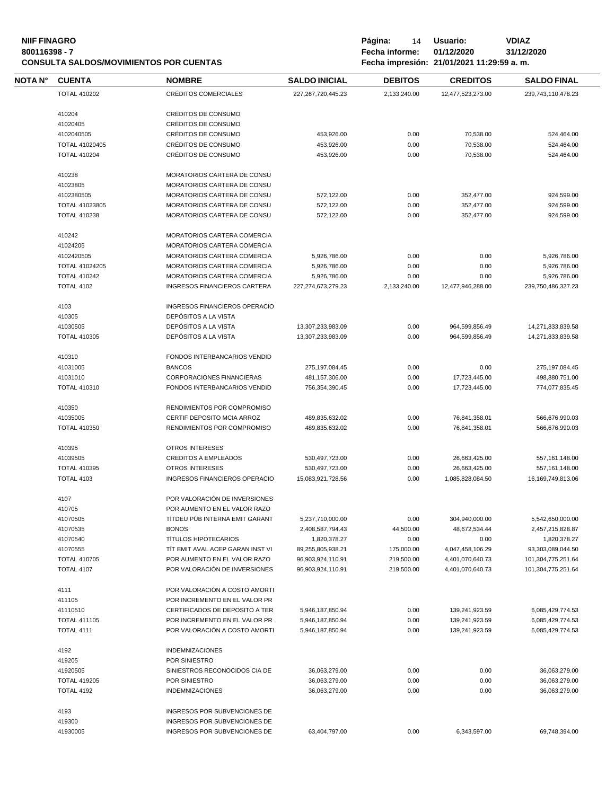| <b>NIIF FINAGRO</b><br>800116398 - 7 |                                     | <b>CONSULTA SALDOS/MOVIMIENTOS POR CUENTAS</b>             | Página:<br>14<br>Fecha informe:    | Usuario:<br>01/12/2020<br>Fecha impresión: 21/01/2021 11:29:59 a.m. | <b>VDIAZ</b><br>31/12/2020 |                                    |
|--------------------------------------|-------------------------------------|------------------------------------------------------------|------------------------------------|---------------------------------------------------------------------|----------------------------|------------------------------------|
| NOTA N°                              | <b>CUENTA</b>                       | <b>NOMBRE</b>                                              | <b>SALDO INICIAL</b>               | <b>DEBITOS</b>                                                      | <b>CREDITOS</b>            | <b>SALDO FINAL</b>                 |
|                                      | <b>TOTAL 410202</b>                 | <b>CRÉDITOS COMERCIALES</b>                                | 227, 267, 720, 445. 23             | 2,133,240.00                                                        | 12,477,523,273.00          | 239,743,110,478.23                 |
|                                      |                                     |                                                            |                                    |                                                                     |                            |                                    |
|                                      | 410204                              | CRÉDITOS DE CONSUMO                                        |                                    |                                                                     |                            |                                    |
|                                      | 41020405                            | CRÉDITOS DE CONSUMO                                        |                                    |                                                                     |                            |                                    |
|                                      | 4102040505                          | CRÉDITOS DE CONSUMO                                        | 453,926.00                         | 0.00                                                                | 70,538.00                  | 524,464.00                         |
|                                      | TOTAL 41020405                      | CRÉDITOS DE CONSUMO                                        | 453,926.00                         | 0.00                                                                | 70,538.00                  | 524,464.00                         |
|                                      | <b>TOTAL 410204</b>                 | CRÉDITOS DE CONSUMO                                        | 453,926.00                         | 0.00                                                                | 70,538.00                  | 524,464.00                         |
|                                      | 410238                              | MORATORIOS CARTERA DE CONSU                                |                                    |                                                                     |                            |                                    |
|                                      | 41023805                            | MORATORIOS CARTERA DE CONSU                                |                                    |                                                                     |                            |                                    |
|                                      | 4102380505                          | MORATORIOS CARTERA DE CONSU                                | 572,122.00                         | 0.00                                                                | 352,477.00                 | 924,599.00                         |
|                                      | TOTAL 41023805                      | MORATORIOS CARTERA DE CONSU                                | 572,122.00                         | 0.00                                                                | 352,477.00                 | 924,599.00                         |
|                                      | <b>TOTAL 410238</b>                 | MORATORIOS CARTERA DE CONSU                                | 572,122.00                         | 0.00                                                                | 352,477.00                 | 924,599.00                         |
|                                      | 410242                              | <b>MORATORIOS CARTERA COMERCIA</b>                         |                                    |                                                                     |                            |                                    |
|                                      | 41024205                            | MORATORIOS CARTERA COMERCIA                                |                                    |                                                                     |                            |                                    |
|                                      |                                     |                                                            |                                    |                                                                     |                            |                                    |
|                                      | 4102420505<br><b>TOTAL 41024205</b> | MORATORIOS CARTERA COMERCIA<br>MORATORIOS CARTERA COMERCIA | 5,926,786.00                       | 0.00                                                                | 0.00                       | 5,926,786.00                       |
|                                      | <b>TOTAL 410242</b>                 | MORATORIOS CARTERA COMERCIA                                | 5,926,786.00                       | 0.00                                                                | 0.00                       | 5,926,786.00                       |
|                                      | <b>TOTAL 4102</b>                   | INGRESOS FINANCIEROS CARTERA                               | 5,926,786.00<br>227,274,673,279.23 | 0.00<br>2,133,240.00                                                | 0.00<br>12,477,946,288.00  | 5,926,786.00<br>239,750,486,327.23 |
|                                      |                                     |                                                            |                                    |                                                                     |                            |                                    |
|                                      | 4103                                | <b>INGRESOS FINANCIEROS OPERACIO</b>                       |                                    |                                                                     |                            |                                    |
|                                      | 410305                              | DEPÓSITOS A LA VISTA                                       |                                    |                                                                     |                            |                                    |
|                                      | 41030505                            | DEPÓSITOS A LA VISTA                                       | 13,307,233,983.09                  | 0.00                                                                | 964,599,856.49             | 14,271,833,839.58                  |
|                                      | <b>TOTAL 410305</b>                 | DEPÓSITOS A LA VISTA                                       | 13,307,233,983.09                  | 0.00                                                                | 964,599,856.49             | 14,271,833,839.58                  |
|                                      | 410310                              | FONDOS INTERBANCARIOS VENDID                               |                                    |                                                                     |                            |                                    |
|                                      | 41031005                            | <b>BANCOS</b>                                              | 275,197,084.45                     | 0.00                                                                | 0.00                       | 275,197,084.45                     |
|                                      | 41031010                            | <b>CORPORACIONES FINANCIERAS</b>                           | 481,157,306.00                     | 0.00                                                                | 17,723,445.00              | 498,880,751.00                     |
|                                      | <b>TOTAL 410310</b>                 | FONDOS INTERBANCARIOS VENDID                               | 756,354,390.45                     | 0.00                                                                | 17,723,445.00              | 774,077,835.45                     |
|                                      |                                     |                                                            |                                    |                                                                     |                            |                                    |
|                                      | 410350                              | RENDIMIENTOS POR COMPROMISO                                |                                    |                                                                     |                            |                                    |
|                                      | 41035005                            | CERTIF DEPOSITO MCIA ARROZ                                 | 489,835,632.02                     | 0.00                                                                | 76,841,358.01              | 566,676,990.03                     |
|                                      | <b>TOTAL 410350</b>                 | RENDIMIENTOS POR COMPROMISO                                | 489,835,632.02                     | 0.00                                                                | 76,841,358.01              | 566.676.990.03                     |
|                                      | 410395                              | <b>OTROS INTERESES</b>                                     |                                    |                                                                     |                            |                                    |
|                                      | 41039505                            | <b>CREDITOS A EMPLEADOS</b>                                | 530,497,723.00                     | 0.00                                                                | 26,663,425.00              | 557,161,148.00                     |
|                                      | <b>TOTAL 410395</b>                 | <b>OTROS INTERESES</b>                                     | 530,497,723.00                     | 0.00                                                                | 26,663,425.00              | 557, 161, 148.00                   |
|                                      | <b>TOTAL 4103</b>                   | <b>INGRESOS FINANCIEROS OPERACIO</b>                       | 15,083,921,728.56                  | 0.00                                                                | 1,085,828,084.50           | 16,169,749,813.06                  |
|                                      | 4107                                | POR VALORACIÓN DE INVERSIONES                              |                                    |                                                                     |                            |                                    |
|                                      | 410705                              | POR AUMENTO EN EL VALOR RAZO                               |                                    |                                                                     |                            |                                    |
|                                      | 41070505                            | TÍTDEU PÚB INTERNA EMIT GARANT                             | 5,237,710,000.00                   | 0.00                                                                | 304,940,000.00             | 5,542,650,000.00                   |
|                                      | 41070535                            | <b>BONOS</b>                                               | 2,408,587,794.43                   | 44,500.00                                                           | 48,672,534.44              | 2,457,215,828.87                   |
|                                      | 41070540                            | <b>TÍTULOS HIPOTECARIOS</b>                                | 1,820,378.27                       | 0.00                                                                | 0.00                       | 1,820,378.27                       |
|                                      | 41070555                            | TIT EMIT AVAL ACEP GARAN INST VI                           | 89,255,805,938.21                  | 175,000.00                                                          | 4,047,458,106.29           | 93,303,089,044.50                  |
|                                      | <b>TOTAL 410705</b>                 | POR AUMENTO EN EL VALOR RAZO                               | 96,903,924,110.91                  | 219,500.00                                                          | 4,401,070,640.73           | 101,304,775,251.64                 |
|                                      | <b>TOTAL 4107</b>                   | POR VALORACIÓN DE INVERSIONES                              | 96,903,924,110.91                  | 219,500.00                                                          | 4,401,070,640.73           | 101,304,775,251.64                 |
|                                      |                                     |                                                            |                                    |                                                                     |                            |                                    |
|                                      | 4111                                | POR VALORACIÓN A COSTO AMORTI                              |                                    |                                                                     |                            |                                    |
|                                      | 411105                              | POR INCREMENTO EN EL VALOR PR                              |                                    |                                                                     |                            |                                    |
|                                      | 41110510                            | CERTIFICADOS DE DEPOSITO A TER                             | 5.946.187.850.94                   | 0.00                                                                | 139,241,923.59             | 6,085,429,774.53                   |
|                                      | <b>TOTAL 411105</b>                 | POR INCREMENTO EN EL VALOR PR                              | 5,946,187,850.94                   | 0.00                                                                | 139,241,923.59             | 6,085,429,774.53                   |
|                                      | <b>TOTAL 4111</b>                   | POR VALORACIÓN A COSTO AMORTI                              | 5,946,187,850.94                   | 0.00                                                                | 139,241,923.59             | 6,085,429,774.53                   |
|                                      | 4192                                | <b>INDEMNIZACIONES</b>                                     |                                    |                                                                     |                            |                                    |
|                                      | 419205                              | POR SINIESTRO                                              |                                    |                                                                     |                            |                                    |
|                                      | 41920505                            | SINIESTROS RECONOCIDOS CIA DE                              | 36,063,279.00                      | 0.00                                                                | 0.00                       | 36,063,279.00                      |
|                                      | <b>TOTAL 419205</b>                 | POR SINIESTRO                                              | 36,063,279.00                      | 0.00                                                                | 0.00                       | 36,063,279.00                      |
|                                      | <b>TOTAL 4192</b>                   | <b>INDEMNIZACIONES</b>                                     | 36,063,279.00                      | 0.00                                                                | 0.00                       | 36,063,279.00                      |
|                                      | 4193                                | INGRESOS POR SUBVENCIONES DE                               |                                    |                                                                     |                            |                                    |
|                                      | 419300                              | INGRESOS POR SUBVENCIONES DE                               |                                    |                                                                     |                            |                                    |
|                                      | 41930005                            | INGRESOS POR SUBVENCIONES DE                               | 63,404,797.00                      | 0.00                                                                | 6,343,597.00               | 69,748,394.00                      |
|                                      |                                     |                                                            |                                    |                                                                     |                            |                                    |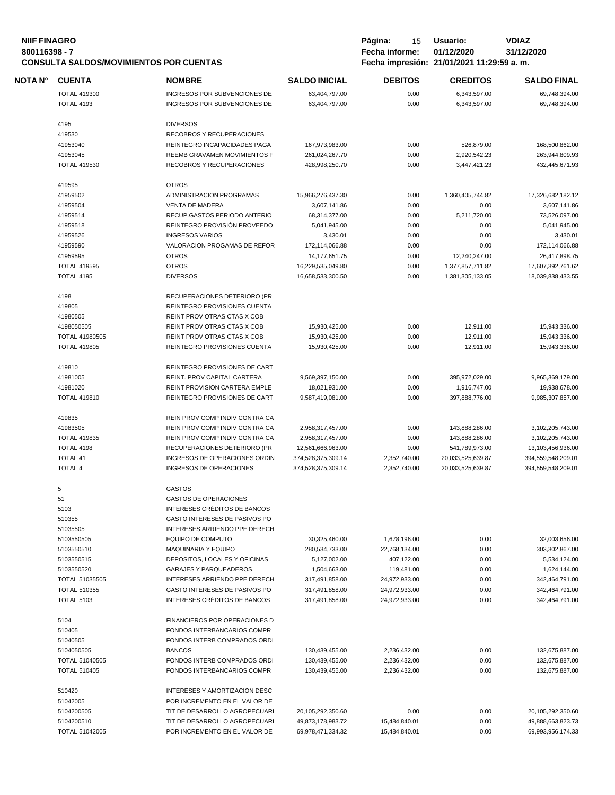# **NIIF FINAGRO P á g i n a :** 15 **U s u a r i o : VDIAZ CONSULTA SALDOS/MOVIMIENTOS POR CUENTAS**

**800116398 - 7 Fecha informe: 01/12/2020 31/12/2020**

| NOTA N° | <b>CUENTA</b>         | <b>NOMBRE</b>                  | <b>SALDO INICIAL</b> | <b>DEBITOS</b> | <b>CREDITOS</b>   | <b>SALDO FINAL</b> |
|---------|-----------------------|--------------------------------|----------------------|----------------|-------------------|--------------------|
|         | <b>TOTAL 419300</b>   | INGRESOS POR SUBVENCIONES DE   | 63,404,797.00        | 0.00           | 6,343,597.00      | 69,748,394.00      |
|         | <b>TOTAL 4193</b>     | INGRESOS POR SUBVENCIONES DE   | 63,404,797.00        | 0.00           | 6,343,597.00      | 69,748,394.00      |
|         |                       |                                |                      |                |                   |                    |
|         | 4195                  | <b>DIVERSOS</b>                |                      |                |                   |                    |
|         | 419530                | RECOBROS Y RECUPERACIONES      |                      |                |                   |                    |
|         | 41953040              | REINTEGRO INCAPACIDADES PAGA   | 167,973,983.00       | 0.00           | 526,879.00        | 168,500,862.00     |
|         | 41953045              | REEMB GRAVAMEN MOVIMIENTOS F   | 261,024,267.70       | 0.00           | 2,920,542.23      | 263,944,809.93     |
|         | <b>TOTAL 419530</b>   | RECOBROS Y RECUPERACIONES      | 428,998,250.70       | 0.00           | 3,447,421.23      | 432,445,671.93     |
|         | 419595                | <b>OTROS</b>                   |                      |                |                   |                    |
|         | 41959502              | ADMINISTRACION PROGRAMAS       | 15,966,276,437.30    | 0.00           | 1,360,405,744.82  | 17,326,682,182.12  |
|         | 41959504              | <b>VENTA DE MADERA</b>         | 3,607,141.86         | 0.00           | 0.00              | 3,607,141.86       |
|         | 41959514              | RECUP.GASTOS PERIODO ANTERIO   | 68,314,377.00        | 0.00           | 5,211,720.00      | 73,526,097.00      |
|         | 41959518              | REINTEGRO PROVISIÓN PROVEEDO   | 5,041,945.00         | 0.00           | 0.00              | 5,041,945.00       |
|         | 41959526              | <b>INGRESOS VARIOS</b>         | 3,430.01             | 0.00           | 0.00              | 3,430.01           |
|         | 41959590              | VALORACION PROGAMAS DE REFOR   | 172,114,066.88       | 0.00           | 0.00              | 172,114,066.88     |
|         | 41959595              | <b>OTROS</b>                   | 14,177,651.75        | 0.00           | 12,240,247.00     | 26,417,898.75      |
|         | <b>TOTAL 419595</b>   | <b>OTROS</b>                   | 16,229,535,049.80    | 0.00           | 1,377,857,711.82  | 17,607,392,761.62  |
|         | <b>TOTAL 4195</b>     | <b>DIVERSOS</b>                | 16,658,533,300.50    | 0.00           | 1,381,305,133.05  | 18,039,838,433.55  |
|         | 4198                  | RECUPERACIONES DETERIORO (PR   |                      |                |                   |                    |
|         | 419805                | REINTEGRO PROVISIONES CUENTA   |                      |                |                   |                    |
|         | 41980505              | REINT PROV OTRAS CTAS X COB    |                      |                |                   |                    |
|         | 4198050505            | REINT PROV OTRAS CTAS X COB    | 15,930,425.00        | 0.00           | 12,911.00         | 15,943,336.00      |
|         | TOTAL 41980505        | REINT PROV OTRAS CTAS X COB    | 15,930,425.00        | 0.00           | 12,911.00         | 15,943,336.00      |
|         | <b>TOTAL 419805</b>   | REINTEGRO PROVISIONES CUENTA   | 15,930,425.00        | 0.00           | 12,911.00         | 15,943,336.00      |
|         | 419810                | REINTEGRO PROVISIONES DE CART  |                      |                |                   |                    |
|         | 41981005              | REINT. PROV CAPITAL CARTERA    | 9,569,397,150.00     | 0.00           | 395,972,029.00    | 9,965,369,179.00   |
|         | 41981020              | REINT PROVISION CARTERA EMPLE  | 18,021,931.00        | 0.00           | 1,916,747.00      | 19,938,678.00      |
|         | <b>TOTAL 419810</b>   | REINTEGRO PROVISIONES DE CART  | 9,587,419,081.00     | 0.00           | 397,888,776.00    | 9,985,307,857.00   |
|         | 419835                | REIN PROV COMP INDIV CONTRA CA |                      |                |                   |                    |
|         | 41983505              | REIN PROV COMP INDIV CONTRA CA | 2,958,317,457.00     | 0.00           | 143,888,286.00    | 3,102,205,743.00   |
|         | <b>TOTAL 419835</b>   | REIN PROV COMP INDIV CONTRA CA | 2,958,317,457.00     | 0.00           | 143,888,286.00    | 3,102,205,743.00   |
|         | TOTAL 4198            | RECUPERACIONES DETERIORO (PR   | 12,561,666,963.00    | 0.00           | 541,789,973.00    | 13,103,456,936.00  |
|         | <b>TOTAL 41</b>       | INGRESOS DE OPERACIONES ORDIN  | 374,528,375,309.14   | 2,352,740.00   | 20,033,525,639.87 | 394,559,548,209.01 |
|         | <b>TOTAL 4</b>        | INGRESOS DE OPERACIONES        | 374,528,375,309.14   | 2,352,740.00   | 20,033,525,639.87 | 394,559,548,209.01 |
|         | 5                     | <b>GASTOS</b>                  |                      |                |                   |                    |
|         | 51                    | <b>GASTOS DE OPERACIONES</b>   |                      |                |                   |                    |
|         | 5103                  | INTERESES CRÉDITOS DE BANCOS   |                      |                |                   |                    |
|         | 510355                | GASTO INTERESES DE PASIVOS PO  |                      |                |                   |                    |
|         | 51035505              | INTERESES ARRIENDO PPE DERECH  |                      |                |                   |                    |
|         | 5103550505            | <b>EQUIPO DE COMPUTO</b>       | 30,325,460.00        | 1,678,196.00   | 0.00              | 32,003,656.00      |
|         | 5103550510            | <b>MAQUINARIA Y EQUIPO</b>     | 280,534,733.00       | 22,768,134.00  | 0.00              | 303,302,867.00     |
|         | 5103550515            | DEPOSITOS, LOCALES Y OFICINAS  | 5,127,002.00         | 407,122.00     | 0.00              | 5,534,124.00       |
|         | 5103550520            | <b>GARAJES Y PARQUEADEROS</b>  | 1,504,663.00         | 119,481.00     | 0.00              | 1,624,144.00       |
|         | <b>TOTAL 51035505</b> | INTERESES ARRIENDO PPE DERECH  | 317,491,858.00       | 24,972,933.00  | 0.00              | 342,464,791.00     |
|         | <b>TOTAL 510355</b>   | GASTO INTERESES DE PASIVOS PO  | 317,491,858.00       | 24,972,933.00  | 0.00              | 342,464,791.00     |
|         | <b>TOTAL 5103</b>     | INTERESES CRÉDITOS DE BANCOS   | 317,491,858.00       | 24,972,933.00  | 0.00              | 342,464,791.00     |
|         | 5104                  | FINANCIEROS POR OPERACIONES D  |                      |                |                   |                    |
|         | 510405                | FONDOS INTERBANCARIOS COMPR    |                      |                |                   |                    |
|         | 51040505              | FONDOS INTERB COMPRADOS ORDI   |                      |                |                   |                    |
|         | 5104050505            | <b>BANCOS</b>                  | 130,439,455.00       | 2,236,432.00   | 0.00              | 132,675,887.00     |
|         | <b>TOTAL 51040505</b> | FONDOS INTERB COMPRADOS ORDI   | 130,439,455.00       | 2,236,432.00   | 0.00              | 132,675,887.00     |
|         | <b>TOTAL 510405</b>   | FONDOS INTERBANCARIOS COMPR    | 130,439,455.00       | 2,236,432.00   | 0.00              | 132,675,887.00     |
|         | 510420                | INTERESES Y AMORTIZACION DESC  |                      |                |                   |                    |
|         | 51042005              | POR INCREMENTO EN EL VALOR DE  |                      |                |                   |                    |
|         | 5104200505            | TIT DE DESARROLLO AGROPECUARI  | 20,105,292,350.60    | 0.00           | 0.00              | 20,105,292,350.60  |
|         | 5104200510            | TIT DE DESARROLLO AGROPECUARI  | 49,873,178,983.72    | 15,484,840.01  | 0.00              | 49,888,663,823.73  |
|         | TOTAL 51042005        | POR INCREMENTO EN EL VALOR DE  | 69,978,471,334.32    | 15,484,840.01  | 0.00              | 69,993,956,174.33  |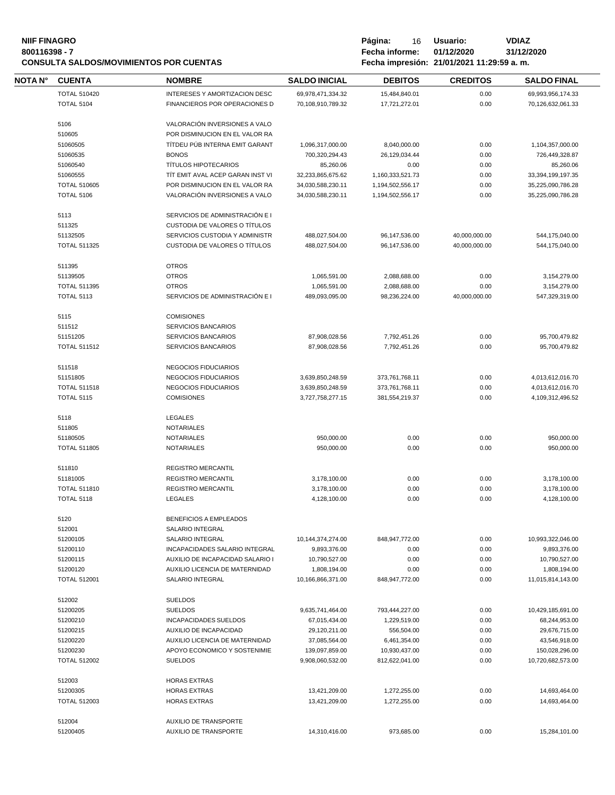| <b>NIIF FINAGRO</b><br>800116398 - 7<br><b>CONSULTA SALDOS/MOVIMIENTOS POR CUENTAS</b> |                     |                                                 |                      | Página:<br>16<br>Fecha informe: | <b>VDIAZ</b><br>Usuario:<br>01/12/2020<br>31/12/2020<br>Fecha impresión: 21/01/2021 11:29:59 a.m. |                    |
|----------------------------------------------------------------------------------------|---------------------|-------------------------------------------------|----------------------|---------------------------------|---------------------------------------------------------------------------------------------------|--------------------|
| <b>NOTA N°</b>                                                                         | <b>CUENTA</b>       | <b>NOMBRE</b>                                   | <b>SALDO INICIAL</b> | <b>DEBITOS</b>                  | <b>CREDITOS</b>                                                                                   | <b>SALDO FINAL</b> |
|                                                                                        | <b>TOTAL 510420</b> | INTERESES Y AMORTIZACION DESC                   | 69,978,471,334.32    | 15,484,840.01                   | 0.00                                                                                              | 69,993,956,174.33  |
|                                                                                        | <b>TOTAL 5104</b>   | FINANCIEROS POR OPERACIONES D                   | 70,108,910,789.32    | 17,721,272.01                   | 0.00                                                                                              | 70,126,632,061.33  |
|                                                                                        | 5106                | VALORACIÓN INVERSIONES A VALO                   |                      |                                 |                                                                                                   |                    |
|                                                                                        | 510605              | POR DISMINUCION EN EL VALOR RA                  |                      |                                 |                                                                                                   |                    |
|                                                                                        |                     |                                                 |                      |                                 |                                                                                                   |                    |
|                                                                                        | 51060505            | TÍTDEU PÚB INTERNA EMIT GARANT                  | 1,096,317,000.00     | 8,040,000.00                    | 0.00                                                                                              | 1,104,357,000.00   |
|                                                                                        | 51060535            | <b>BONOS</b>                                    | 700,320,294.43       | 26,129,034.44                   | 0.00                                                                                              | 726,449,328.87     |
|                                                                                        | 51060540            | <b>TÍTULOS HIPOTECARIOS</b>                     | 85,260.06            | 0.00                            | 0.00                                                                                              | 85,260.06          |
|                                                                                        | 51060555            | TÍT EMIT AVAL ACEP GARAN INST VI                | 32,233,865,675.62    | 1,160,333,521.73                | 0.00                                                                                              | 33,394,199,197.35  |
|                                                                                        | <b>TOTAL 510605</b> | POR DISMINUCION EN EL VALOR RA                  | 34,030,588,230.11    | 1,194,502,556.17                | 0.00                                                                                              | 35,225,090,786.28  |
|                                                                                        | <b>TOTAL 5106</b>   | VALORACIÓN INVERSIONES A VALO                   | 34,030,588,230.11    | 1,194,502,556.17                | 0.00                                                                                              | 35,225,090,786.28  |
|                                                                                        | 5113                | SERVICIOS DE ADMINISTRACIÓN E I                 |                      |                                 |                                                                                                   |                    |
|                                                                                        | 511325              | CUSTODIA DE VALORES O TÍTULOS                   |                      |                                 |                                                                                                   |                    |
|                                                                                        | 51132505            | SERVICIOS CUSTODIA Y ADMINISTR                  | 488,027,504.00       | 96,147,536.00                   | 40,000,000.00                                                                                     | 544,175,040.00     |
|                                                                                        | <b>TOTAL 511325</b> | CUSTODIA DE VALORES O TÍTULOS                   | 488,027,504.00       | 96,147,536.00                   | 40,000,000.00                                                                                     | 544,175,040.00     |
|                                                                                        |                     |                                                 |                      |                                 |                                                                                                   |                    |
|                                                                                        | 511395<br>51139505  | <b>OTROS</b><br><b>OTROS</b>                    | 1,065,591.00         | 2,088,688.00                    | 0.00                                                                                              | 3,154,279.00       |
|                                                                                        | <b>TOTAL 511395</b> | <b>OTROS</b>                                    | 1,065,591.00         | 2,088,688.00                    | 0.00                                                                                              | 3,154,279.00       |
|                                                                                        | <b>TOTAL 5113</b>   | SERVICIOS DE ADMINISTRACIÓN E I                 | 489,093,095.00       | 98,236,224.00                   | 40,000,000.00                                                                                     | 547,329,319.00     |
|                                                                                        |                     |                                                 |                      |                                 |                                                                                                   |                    |
|                                                                                        | 5115<br>511512      | <b>COMISIONES</b><br><b>SERVICIOS BANCARIOS</b> |                      |                                 |                                                                                                   |                    |
|                                                                                        | 51151205            | SERVICIOS BANCARIOS                             | 87,908,028.56        | 7,792,451.26                    | 0.00                                                                                              | 95,700,479.82      |
|                                                                                        | <b>TOTAL 511512</b> | SERVICIOS BANCARIOS                             | 87,908,028.56        | 7,792,451.26                    | 0.00                                                                                              | 95,700,479.82      |
|                                                                                        |                     |                                                 |                      |                                 |                                                                                                   |                    |
|                                                                                        | 511518              | NEGOCIOS FIDUCIARIOS                            |                      |                                 |                                                                                                   |                    |
|                                                                                        | 51151805            | NEGOCIOS FIDUCIARIOS                            | 3,639,850,248.59     | 373,761,768.11                  | 0.00                                                                                              | 4,013,612,016.70   |
|                                                                                        | <b>TOTAL 511518</b> | NEGOCIOS FIDUCIARIOS                            | 3,639,850,248.59     | 373,761,768.11                  | 0.00                                                                                              | 4,013,612,016.70   |
|                                                                                        | <b>TOTAL 5115</b>   | <b>COMISIONES</b>                               | 3,727,758,277.15     | 381,554,219.37                  | 0.00                                                                                              | 4,109,312,496.52   |
|                                                                                        | 5118                | <b>LEGALES</b>                                  |                      |                                 |                                                                                                   |                    |
|                                                                                        | 511805              | <b>NOTARIALES</b>                               |                      |                                 |                                                                                                   |                    |
|                                                                                        | 51180505            | <b>NOTARIALES</b>                               | 950,000.00           | 0.00                            | 0.00                                                                                              | 950.000.00         |
|                                                                                        | <b>TOTAL 511805</b> | <b>NOTARIALES</b>                               | 950,000.00           | 0.00                            | 0.00                                                                                              | 950,000.00         |
|                                                                                        |                     |                                                 |                      |                                 |                                                                                                   |                    |
|                                                                                        | 511810              | <b>REGISTRO MERCANTIL</b>                       |                      |                                 |                                                                                                   |                    |
|                                                                                        | 51181005            | <b>REGISTRO MERCANTIL</b>                       | 3,178,100.00         | 0.00                            | 0.00                                                                                              | 3,178,100.00       |
|                                                                                        | <b>TOTAL 511810</b> | <b>REGISTRO MERCANTIL</b>                       | 3,178,100.00         | 0.00                            | 0.00                                                                                              | 3,178,100.00       |
|                                                                                        | <b>TOTAL 5118</b>   | LEGALES                                         | 4,128,100.00         | 0.00                            | 0.00                                                                                              | 4,128,100.00       |
|                                                                                        | 5120                | <b>BENEFICIOS A EMPLEADOS</b>                   |                      |                                 |                                                                                                   |                    |
|                                                                                        | 512001              | SALARIO INTEGRAL                                |                      |                                 |                                                                                                   |                    |
|                                                                                        | 51200105            | SALARIO INTEGRAL                                | 10,144,374,274.00    | 848,947,772.00                  | 0.00                                                                                              | 10,993,322,046.00  |
|                                                                                        | 51200110            | INCAPACIDADES SALARIO INTEGRAL                  | 9,893,376.00         | 0.00                            | 0.00                                                                                              | 9,893,376.00       |
|                                                                                        | 51200115            | AUXILIO DE INCAPACIDAD SALARIO I                | 10,790,527.00        | 0.00                            | 0.00                                                                                              | 10,790,527.00      |
|                                                                                        | 51200120            | AUXILIO LICENCIA DE MATERNIDAD                  | 1,808,194.00         | 0.00                            | 0.00                                                                                              | 1,808,194.00       |
|                                                                                        | <b>TOTAL 512001</b> | SALARIO INTEGRAL                                | 10,166,866,371.00    | 848,947,772.00                  | 0.00                                                                                              | 11,015,814,143.00  |
|                                                                                        | 512002              | <b>SUELDOS</b>                                  |                      |                                 |                                                                                                   |                    |
|                                                                                        |                     |                                                 |                      |                                 |                                                                                                   |                    |
|                                                                                        | 51200205            | <b>SUELDOS</b>                                  | 9,635,741,464.00     | 793,444,227.00                  | 0.00                                                                                              | 10,429,185,691.00  |
|                                                                                        | 51200210            | INCAPACIDADES SUELDOS                           | 67,015,434.00        | 1,229,519.00                    | 0.00                                                                                              | 68,244,953.00      |
|                                                                                        | 51200215            | AUXILIO DE INCAPACIDAD                          | 29,120,211.00        | 556,504.00                      | 0.00                                                                                              | 29,676,715.00      |
|                                                                                        | 51200220            | AUXILIO LICENCIA DE MATERNIDAD                  | 37,085,564.00        | 6,461,354.00                    | 0.00                                                                                              | 43,546,918.00      |
|                                                                                        | 51200230            | APOYO ECONOMICO Y SOSTENIMIE                    | 139,097,859.00       | 10,930,437.00                   | 0.00                                                                                              | 150,028,296.00     |
|                                                                                        | <b>TOTAL 512002</b> | <b>SUELDOS</b>                                  | 9,908,060,532.00     | 812,622,041.00                  | 0.00                                                                                              | 10,720,682,573.00  |
|                                                                                        | 512003              | <b>HORAS EXTRAS</b>                             |                      |                                 |                                                                                                   |                    |
|                                                                                        | 51200305            | <b>HORAS EXTRAS</b>                             | 13,421,209.00        | 1,272,255.00                    | 0.00                                                                                              | 14,693,464.00      |
|                                                                                        | <b>TOTAL 512003</b> | <b>HORAS EXTRAS</b>                             | 13,421,209.00        | 1,272,255.00                    | 0.00                                                                                              | 14,693,464.00      |
|                                                                                        | 512004              | AUXILIO DE TRANSPORTE                           |                      |                                 |                                                                                                   |                    |
|                                                                                        | 51200405            | AUXILIO DE TRANSPORTE                           | 14,310,416.00        | 973,685.00                      | 0.00                                                                                              | 15,284,101.00      |
|                                                                                        |                     |                                                 |                      |                                 |                                                                                                   |                    |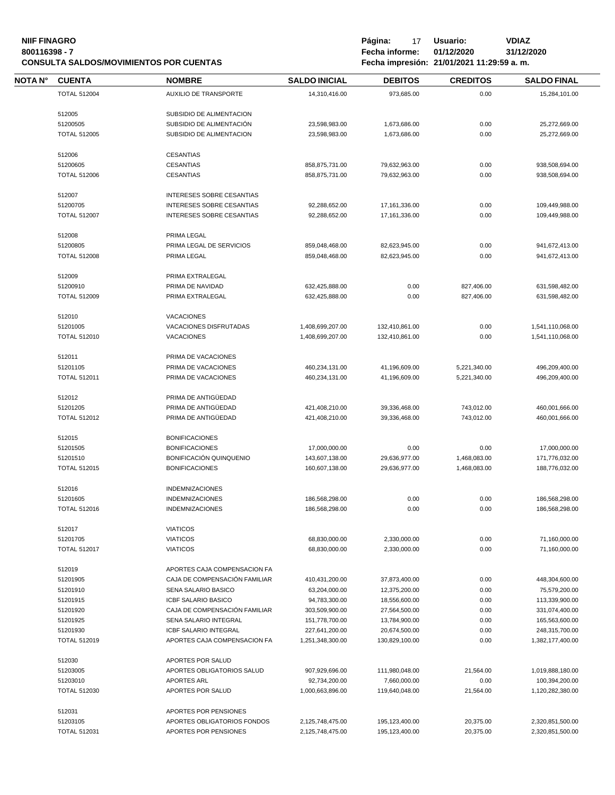| <b>NIIF FINAGRO</b><br>800116398 - 7<br><b>CONSULTA SALDOS/MOVIMIENTOS POR CUENTAS</b> |                     |                                  |                                  | Página:<br>17<br>Fecha informe: | Usuario:<br>01/12/2020<br>Fecha impresión: 21/01/2021 11:29:59 a.m. | <b>VDIAZ</b><br>31/12/2020       |  |
|----------------------------------------------------------------------------------------|---------------------|----------------------------------|----------------------------------|---------------------------------|---------------------------------------------------------------------|----------------------------------|--|
| <b>NOTA N°</b>                                                                         | <b>CUENTA</b>       | <b>NOMBRE</b>                    | <b>SALDO INICIAL</b>             | <b>DEBITOS</b>                  | <b>CREDITOS</b>                                                     | <b>SALDO FINAL</b>               |  |
|                                                                                        | <b>TOTAL 512004</b> | AUXILIO DE TRANSPORTE            | 14,310,416.00                    | 973,685.00                      | 0.00                                                                | 15,284,101.00                    |  |
|                                                                                        | 512005              | SUBSIDIO DE ALIMENTACION         |                                  |                                 |                                                                     |                                  |  |
|                                                                                        | 51200505            | SUBSIDIO DE ALIMENTACIÓN         | 23,598,983.00                    | 1,673,686.00                    | 0.00                                                                | 25,272,669.00                    |  |
|                                                                                        | <b>TOTAL 512005</b> | SUBSIDIO DE ALIMENTACION         | 23,598,983.00                    | 1,673,686.00                    | 0.00                                                                | 25,272,669.00                    |  |
|                                                                                        | 512006              | <b>CESANTIAS</b>                 |                                  |                                 |                                                                     |                                  |  |
|                                                                                        | 51200605            | <b>CESANTIAS</b>                 | 858,875,731.00                   | 79,632,963.00                   | 0.00                                                                | 938,508,694.00                   |  |
|                                                                                        | <b>TOTAL 512006</b> | <b>CESANTIAS</b>                 | 858,875,731.00                   | 79,632,963.00                   | 0.00                                                                | 938,508,694.00                   |  |
|                                                                                        | 512007              | INTERESES SOBRE CESANTIAS        |                                  |                                 |                                                                     |                                  |  |
|                                                                                        | 51200705            | INTERESES SOBRE CESANTIAS        | 92,288,652.00                    | 17,161,336.00                   | 0.00                                                                | 109,449,988.00                   |  |
|                                                                                        | <b>TOTAL 512007</b> | <b>INTERESES SOBRE CESANTIAS</b> | 92,288,652.00                    | 17,161,336.00                   | 0.00                                                                | 109,449,988.00                   |  |
|                                                                                        | 512008              | PRIMA LEGAL                      |                                  |                                 |                                                                     |                                  |  |
|                                                                                        | 51200805            | PRIMA LEGAL DE SERVICIOS         |                                  |                                 |                                                                     |                                  |  |
|                                                                                        | <b>TOTAL 512008</b> | PRIMA LEGAL                      | 859,048,468.00<br>859,048,468.00 | 82,623,945.00<br>82,623,945.00  | 0.00<br>0.00                                                        | 941,672,413.00<br>941,672,413.00 |  |
|                                                                                        |                     |                                  |                                  |                                 |                                                                     |                                  |  |
|                                                                                        | 512009              | PRIMA EXTRALEGAL                 |                                  |                                 |                                                                     |                                  |  |
|                                                                                        | 51200910            | PRIMA DE NAVIDAD                 | 632,425,888.00                   | 0.00                            | 827,406.00                                                          | 631,598,482.00                   |  |
|                                                                                        | <b>TOTAL 512009</b> | PRIMA EXTRALEGAL                 | 632,425,888.00                   | 0.00                            | 827,406.00                                                          | 631,598,482.00                   |  |
|                                                                                        | 512010              | <b>VACACIONES</b>                |                                  |                                 |                                                                     |                                  |  |
|                                                                                        | 51201005            | VACACIONES DISFRUTADAS           | 1,408,699,207.00                 | 132,410,861.00                  | 0.00                                                                | 1,541,110,068.00                 |  |
|                                                                                        | <b>TOTAL 512010</b> | <b>VACACIONES</b>                | 1,408,699,207.00                 | 132,410,861.00                  | 0.00                                                                | 1,541,110,068.00                 |  |
|                                                                                        | 512011              | PRIMA DE VACACIONES              |                                  |                                 |                                                                     |                                  |  |
|                                                                                        | 51201105            | PRIMA DE VACACIONES              | 460,234,131.00                   | 41,196,609.00                   | 5,221,340.00                                                        | 496,209,400.00                   |  |
|                                                                                        | <b>TOTAL 512011</b> | PRIMA DE VACACIONES              | 460,234,131.00                   | 41,196,609.00                   | 5,221,340.00                                                        | 496,209,400.00                   |  |
|                                                                                        | 512012              | PRIMA DE ANTIGÜEDAD              |                                  |                                 |                                                                     |                                  |  |
|                                                                                        | 51201205            | PRIMA DE ANTIGÜEDAD              | 421,408,210.00                   | 39,336,468.00                   | 743,012.00                                                          | 460,001,666.00                   |  |
|                                                                                        | <b>TOTAL 512012</b> | PRIMA DE ANTIGÜEDAD              | 421,408,210.00                   | 39,336,468.00                   | 743,012.00                                                          | 460,001,666.00                   |  |
|                                                                                        | 512015              | <b>BONIFICACIONES</b>            |                                  |                                 |                                                                     |                                  |  |
|                                                                                        | 51201505            | <b>BONIFICACIONES</b>            | 17,000,000.00                    | 0.00                            | 0.00                                                                | 17,000,000.00                    |  |
|                                                                                        | 51201510            | BONIFICACIÓN QUINQUENIO          | 143,607,138.00                   | 29,636,977.00                   | 1,468,083.00                                                        | 171,776,032.00                   |  |
|                                                                                        | <b>TOTAL 512015</b> | <b>BONIFICACIONES</b>            | 160,607,138.00                   | 29,636,977.00                   | 1,468,083.00                                                        | 188,776,032.00                   |  |
|                                                                                        |                     |                                  |                                  |                                 |                                                                     |                                  |  |
|                                                                                        | 512016              | <b>INDEMNIZACIONES</b>           |                                  |                                 |                                                                     |                                  |  |
|                                                                                        | 51201605            | <b>INDEMNIZACIONES</b>           | 186,568,298.00                   | 0.00                            | 0.00                                                                | 186,568,298.00                   |  |
|                                                                                        | <b>TOTAL 512016</b> | <b>INDEMNIZACIONES</b>           | 186,568,298.00                   | 0.00                            | 0.00                                                                | 186,568,298.00                   |  |
|                                                                                        | 512017              | <b>VIATICOS</b>                  |                                  |                                 |                                                                     |                                  |  |
|                                                                                        | 51201705            | <b>VIATICOS</b>                  | 68,830,000.00                    | 2,330,000.00                    | 0.00                                                                | 71,160,000.00                    |  |
|                                                                                        | <b>TOTAL 512017</b> | <b>VIATICOS</b>                  | 68,830,000.00                    | 2,330,000.00                    | 0.00                                                                | 71,160,000.00                    |  |
|                                                                                        | 512019              | APORTES CAJA COMPENSACION FA     |                                  |                                 |                                                                     |                                  |  |
|                                                                                        | 51201905            | CAJA DE COMPENSACIÓN FAMILIAR    | 410,431,200.00                   | 37,873,400.00                   | 0.00                                                                | 448,304,600.00                   |  |
|                                                                                        | 51201910            | <b>SENA SALARIO BASICO</b>       | 63,204,000.00                    | 12,375,200.00                   | 0.00                                                                | 75,579,200.00                    |  |
|                                                                                        | 51201915            | <b>ICBF SALARIO BASICO</b>       | 94,783,300.00                    | 18,556,600.00                   | 0.00                                                                | 113,339,900.00                   |  |
|                                                                                        | 51201920            | CAJA DE COMPENSACIÓN FAMILIAR    | 303,509,900.00                   | 27,564,500.00                   | 0.00                                                                | 331,074,400.00                   |  |
|                                                                                        | 51201925            | SENA SALARIO INTEGRAL            | 151,778,700.00                   | 13,784,900.00                   | 0.00                                                                | 165,563,600.00                   |  |
|                                                                                        | 51201930            | ICBF SALARIO INTEGRAL            | 227,641,200.00                   | 20,674,500.00                   | 0.00                                                                | 248,315,700.00                   |  |
|                                                                                        | <b>TOTAL 512019</b> | APORTES CAJA COMPENSACION FA     | 1,251,348,300.00                 | 130,829,100.00                  | 0.00                                                                | 1,382,177,400.00                 |  |
|                                                                                        | 512030              | APORTES POR SALUD                |                                  |                                 |                                                                     |                                  |  |
|                                                                                        | 51203005            | APORTES OBLIGATORIOS SALUD       | 907,929,696.00                   | 111,980,048.00                  | 21,564.00                                                           | 1,019,888,180.00                 |  |
|                                                                                        | 51203010            | <b>APORTES ARL</b>               | 92,734,200.00                    | 7,660,000.00                    | 0.00                                                                | 100,394,200.00                   |  |
|                                                                                        | <b>TOTAL 512030</b> | APORTES POR SALUD                | 1,000,663,896.00                 | 119,640,048.00                  | 21,564.00                                                           | 1,120,282,380.00                 |  |
|                                                                                        | 512031              | APORTES POR PENSIONES            |                                  |                                 |                                                                     |                                  |  |
|                                                                                        | 51203105            | APORTES OBLIGATORIOS FONDOS      | 2,125,748,475.00                 | 195,123,400.00                  | 20,375.00                                                           | 2,320,851,500.00                 |  |
|                                                                                        | <b>TOTAL 512031</b> | APORTES POR PENSIONES            | 2,125,748,475.00                 | 195,123,400.00                  | 20,375.00                                                           | 2,320,851,500.00                 |  |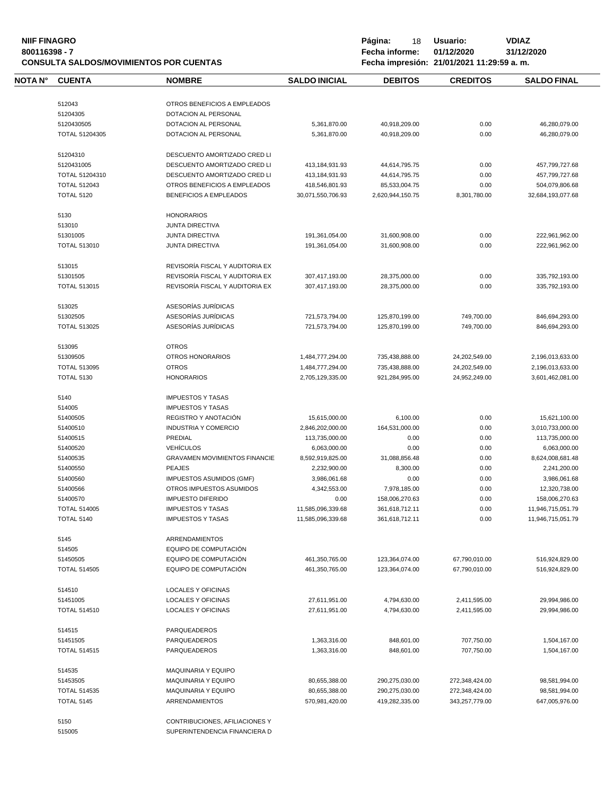| <b>NIIF FINAGRO</b><br>800116398 - 7<br><b>CONSULTA SALDOS/MOVIMIENTOS POR CUENTAS</b> |                     |                                      | Página:<br>18<br>Fecha informe: | Usuario:<br>01/12/2020<br>Fecha impresión: 21/01/2021 11:29:59 a.m. | <b>VDIAZ</b><br>31/12/2020 |                    |
|----------------------------------------------------------------------------------------|---------------------|--------------------------------------|---------------------------------|---------------------------------------------------------------------|----------------------------|--------------------|
| NOTA N°                                                                                | <b>CUENTA</b>       | <b>NOMBRE</b>                        | <b>SALDO INICIAL</b>            | <b>DEBITOS</b>                                                      | <b>CREDITOS</b>            | <b>SALDO FINAL</b> |
|                                                                                        | 512043              | OTROS BENEFICIOS A EMPLEADOS         |                                 |                                                                     |                            |                    |
|                                                                                        | 51204305            | DOTACION AL PERSONAL                 |                                 |                                                                     |                            |                    |
|                                                                                        | 5120430505          | DOTACION AL PERSONAL                 | 5,361,870.00                    | 40,918,209.00                                                       | 0.00                       | 46,280,079.00      |
|                                                                                        | TOTAL 51204305      | DOTACION AL PERSONAL                 | 5,361,870.00                    | 40,918,209.00                                                       | 0.00                       | 46,280,079.00      |
|                                                                                        | 51204310            | DESCUENTO AMORTIZADO CRED LI         |                                 |                                                                     |                            |                    |
|                                                                                        | 5120431005          | DESCUENTO AMORTIZADO CRED LI         | 413,184,931.93                  | 44,614,795.75                                                       | 0.00                       | 457,799,727.68     |
|                                                                                        | TOTAL 51204310      | DESCUENTO AMORTIZADO CRED LI         | 413,184,931.93                  | 44,614,795.75                                                       | 0.00                       | 457,799,727.68     |
|                                                                                        | <b>TOTAL 512043</b> | OTROS BENEFICIOS A EMPLEADOS         | 418,546,801.93                  | 85,533,004.75                                                       | 0.00                       | 504,079,806.68     |
|                                                                                        | <b>TOTAL 5120</b>   | BENEFICIOS A EMPLEADOS               | 30,071,550,706.93               | 2,620,944,150.75                                                    | 8,301,780.00               | 32,684,193,077.68  |
|                                                                                        | 5130                | <b>HONORARIOS</b>                    |                                 |                                                                     |                            |                    |
|                                                                                        | 513010              | <b>JUNTA DIRECTIVA</b>               |                                 |                                                                     |                            |                    |
|                                                                                        | 51301005            | <b>JUNTA DIRECTIVA</b>               | 191,361,054.00                  | 31,600,908.00                                                       | 0.00                       | 222,961,962.00     |
|                                                                                        | <b>TOTAL 513010</b> | <b>JUNTA DIRECTIVA</b>               | 191,361,054.00                  | 31,600,908.00                                                       | 0.00                       | 222,961,962.00     |
|                                                                                        | 513015              | REVISORÍA FISCAL Y AUDITORIA EX      |                                 |                                                                     |                            |                    |
|                                                                                        | 51301505            | REVISORÍA FISCAL Y AUDITORIA EX      | 307,417,193.00                  | 28,375,000.00                                                       | 0.00                       | 335,792,193.00     |
|                                                                                        | <b>TOTAL 513015</b> | REVISORÍA FISCAL Y AUDITORIA EX      | 307,417,193.00                  | 28,375,000.00                                                       | 0.00                       | 335,792,193.00     |
|                                                                                        | 513025              | ASESORÍAS JURÍDICAS                  |                                 |                                                                     |                            |                    |
|                                                                                        | 51302505            | ASESORÍAS JURÍDICAS                  | 721,573,794.00                  | 125,870,199.00                                                      | 749,700.00                 | 846,694,293.00     |
|                                                                                        | <b>TOTAL 513025</b> | ASESORÍAS JURÍDICAS                  | 721,573,794.00                  | 125,870,199.00                                                      | 749,700.00                 | 846,694,293.00     |
|                                                                                        | 513095              | <b>OTROS</b>                         |                                 |                                                                     |                            |                    |
|                                                                                        | 51309505            | OTROS HONORARIOS                     | 1,484,777,294.00                | 735,438,888.00                                                      | 24,202,549.00              | 2,196,013,633.00   |
|                                                                                        | <b>TOTAL 513095</b> | <b>OTROS</b>                         | 1,484,777,294.00                | 735,438,888.00                                                      | 24,202,549.00              | 2,196,013,633.00   |
|                                                                                        | <b>TOTAL 5130</b>   | <b>HONORARIOS</b>                    | 2,705,129,335.00                | 921,284,995.00                                                      | 24,952,249.00              | 3,601,462,081.00   |
|                                                                                        | 5140                | <b>IMPUESTOS Y TASAS</b>             |                                 |                                                                     |                            |                    |
|                                                                                        | 514005              | <b>IMPUESTOS Y TASAS</b>             |                                 |                                                                     |                            |                    |
|                                                                                        | 51400505            | REGISTRO Y ANOTACIÓN                 | 15,615,000.00                   | 6,100.00                                                            | 0.00                       | 15,621,100.00      |
|                                                                                        | 51400510            | <b>INDUSTRIA Y COMERCIO</b>          | 2,846,202,000.00                | 164,531,000.00                                                      | 0.00                       | 3,010,733,000.00   |
|                                                                                        | 51400515            | PREDIAL                              | 113,735,000.00                  | 0.00                                                                | 0.00                       | 113,735,000.00     |
|                                                                                        | 51400520            | <b>VEHÍCULOS</b>                     | 6,063,000.00                    | 0.00                                                                | 0.00                       | 6,063,000.00       |
|                                                                                        | 51400535            | <b>GRAVAMEN MOVIMIENTOS FINANCIE</b> | 8,592,919,825.00                | 31,088,856.48                                                       | 0.00                       | 8,624,008,681.48   |
|                                                                                        | 51400550            | <b>PEAJES</b>                        | 2,232,900.00                    | 8,300.00                                                            | 0.00                       | 2,241,200.00       |
|                                                                                        | 51400560            | IMPUESTOS ASUMIDOS (GMF)             | 3,986,061.68                    | 0.00                                                                | 0.00                       | 3,986,061.68       |
|                                                                                        | 51400566            | OTROS IMPUESTOS ASUMIDOS             | 4,342,553.00                    | 7,978,185.00                                                        | 0.00                       | 12,320,738.00      |
|                                                                                        | 51400570            | <b>IMPUESTO DIFERIDO</b>             | 0.00                            | 158,006,270.63                                                      | 0.00                       | 158,006,270.63     |
|                                                                                        | <b>TOTAL 514005</b> | <b>IMPUESTOS Y TASAS</b>             | 11,585,096,339.68               | 361,618,712.11                                                      | 0.00                       | 11,946,715,051.79  |
|                                                                                        | <b>TOTAL 5140</b>   | <b>IMPUESTOS Y TASAS</b>             | 11,585,096,339.68               | 361,618,712.11                                                      | 0.00                       | 11,946,715,051.79  |
|                                                                                        | 5145                | ARRENDAMIENTOS                       |                                 |                                                                     |                            |                    |
|                                                                                        | 514505              | EQUIPO DE COMPUTACIÓN                |                                 |                                                                     |                            |                    |
|                                                                                        | 51450505            | EQUIPO DE COMPUTACIÓN                | 461,350,765.00                  | 123,364,074.00                                                      | 67,790,010.00              | 516,924,829.00     |
|                                                                                        | <b>TOTAL 514505</b> | EQUIPO DE COMPUTACIÓN                | 461,350,765.00                  | 123,364,074.00                                                      | 67,790,010.00              | 516,924,829.00     |
|                                                                                        | 514510              | LOCALES Y OFICINAS                   |                                 |                                                                     |                            |                    |
|                                                                                        | 51451005            | <b>LOCALES Y OFICINAS</b>            | 27,611,951.00                   | 4,794,630.00                                                        | 2,411,595.00               | 29,994,986.00      |
|                                                                                        | <b>TOTAL 514510</b> | LOCALES Y OFICINAS                   | 27,611,951.00                   | 4,794,630.00                                                        | 2,411,595.00               | 29,994,986.00      |
|                                                                                        | 514515              | PARQUEADEROS                         |                                 |                                                                     |                            |                    |
|                                                                                        | 51451505            | PARQUEADEROS                         | 1,363,316.00                    | 848,601.00                                                          | 707,750.00                 | 1,504,167.00       |
|                                                                                        | <b>TOTAL 514515</b> | PARQUEADEROS                         | 1,363,316.00                    | 848,601.00                                                          | 707,750.00                 | 1,504,167.00       |
|                                                                                        | 514535              | <b>MAQUINARIA Y EQUIPO</b>           |                                 |                                                                     |                            |                    |
|                                                                                        | 51453505            | MAQUINARIA Y EQUIPO                  | 80,655,388.00                   | 290,275,030.00                                                      | 272,348,424.00             | 98,581,994.00      |
|                                                                                        | <b>TOTAL 514535</b> | MAQUINARIA Y EQUIPO                  | 80,655,388.00                   | 290,275,030.00                                                      | 272,348,424.00             | 98,581,994.00      |
|                                                                                        | <b>TOTAL 5145</b>   | ARRENDAMIENTOS                       | 570,981,420.00                  | 419,282,335.00                                                      | 343,257,779.00             | 647,005,976.00     |
|                                                                                        | 5150                | CONTRIBUCIONES, AFILIACIONES Y       |                                 |                                                                     |                            |                    |
|                                                                                        |                     |                                      |                                 |                                                                     |                            |                    |

SUPERINTENDENCIA FINANCIERA D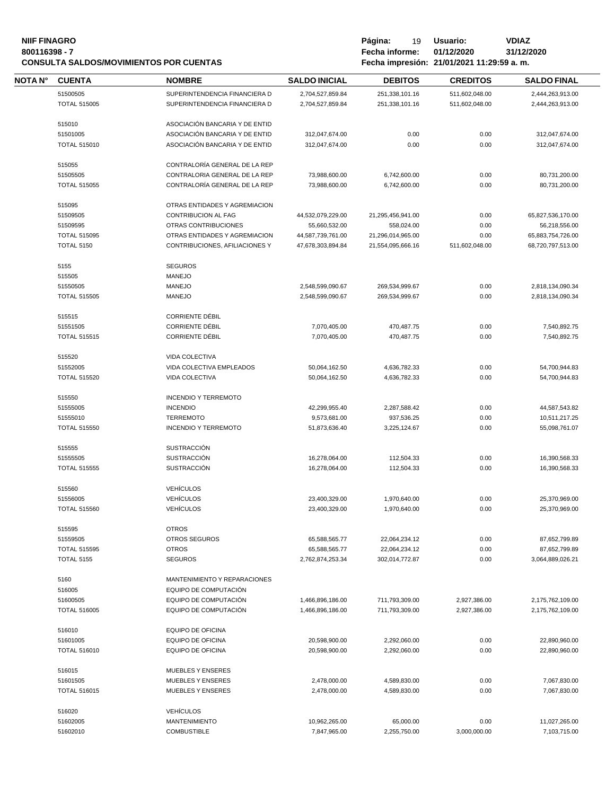# **NIIF FINAGRO P á g i n a :** 19 **U s u a r i o : VDIAZ CONSULTA SALDOS/MOVIMIENTOS POR CUENTAS**

| <b>NOTA N°</b> | <b>CUENTA</b>       | <b>NOMBRE</b>                  | <b>SALDO INICIAL</b>          | <b>DEBITOS</b>             | <b>CREDITOS</b> | <b>SALDO FINAL</b>             |
|----------------|---------------------|--------------------------------|-------------------------------|----------------------------|-----------------|--------------------------------|
|                | 51500505            | SUPERINTENDENCIA FINANCIERA D  | 2,704,527,859.84              | 251,338,101.16             | 511,602,048.00  | 2,444,263,913.00               |
|                | <b>TOTAL 515005</b> | SUPERINTENDENCIA FINANCIERA D  | 2,704,527,859.84              | 251.338.101.16             | 511,602,048.00  | 2,444,263,913.00               |
|                | 515010              | ASOCIACIÓN BANCARIA Y DE ENTID |                               |                            |                 |                                |
|                | 51501005            | ASOCIACIÓN BANCARIA Y DE ENTID | 312,047,674.00                | 0.00                       | 0.00            | 312,047,674.00                 |
|                | <b>TOTAL 515010</b> | ASOCIACIÓN BANCARIA Y DE ENTID | 312,047,674.00                | 0.00                       | 0.00            | 312,047,674.00                 |
|                |                     |                                |                               |                            |                 |                                |
|                | 515055              | CONTRALORÍA GENERAL DE LA REP  |                               |                            |                 |                                |
|                | 51505505            | CONTRALORIA GENERAL DE LA REP  | 73,988,600.00                 | 6,742,600.00               | 0.00            | 80,731,200.00                  |
|                | <b>TOTAL 515055</b> | CONTRALORÍA GENERAL DE LA REP  | 73,988,600.00                 | 6,742,600.00               | 0.00            | 80,731,200.00                  |
|                | 515095              | OTRAS ENTIDADES Y AGREMIACION  |                               |                            |                 |                                |
|                | 51509505            | CONTRIBUCION AL FAG            | 44,532,079,229.00             | 21,295,456,941.00          | 0.00            | 65,827,536,170.00              |
|                | 51509595            | OTRAS CONTRIBUCIONES           | 55,660,532.00                 | 558,024.00                 | 0.00            | 56,218,556.00                  |
|                | <b>TOTAL 515095</b> | OTRAS ENTIDADES Y AGREMIACION  | 44,587,739,761.00             | 21,296,014,965.00          | 0.00            | 65,883,754,726.00              |
|                | <b>TOTAL 5150</b>   | CONTRIBUCIONES, AFILIACIONES Y | 47,678,303,894.84             | 21,554,095,666.16          | 511,602,048.00  | 68,720,797,513.00              |
|                |                     |                                |                               |                            |                 |                                |
|                | 5155                | <b>SEGUROS</b>                 |                               |                            |                 |                                |
|                | 515505              | <b>MANEJO</b>                  |                               |                            |                 |                                |
|                | 51550505            | <b>MANEJO</b>                  | 2,548,599,090.67              | 269,534,999.67             | 0.00            | 2,818,134,090.34               |
|                | <b>TOTAL 515505</b> | <b>MANEJO</b>                  | 2,548,599,090.67              | 269,534,999.67             | 0.00            | 2,818,134,090.34               |
|                | 515515              | <b>CORRIENTE DÉBIL</b>         |                               |                            |                 |                                |
|                | 51551505            | <b>CORRIENTE DÉBIL</b>         | 7,070,405.00                  | 470,487.75                 | 0.00            | 7,540,892.75                   |
|                | <b>TOTAL 515515</b> | <b>CORRIENTE DÉBIL</b>         | 7,070,405.00                  | 470,487.75                 | 0.00            | 7,540,892.75                   |
|                |                     |                                |                               |                            |                 |                                |
|                | 515520              | VIDA COLECTIVA                 |                               |                            |                 |                                |
|                | 51552005            | VIDA COLECTIVA EMPLEADOS       | 50,064,162.50                 | 4,636,782.33               | 0.00            | 54,700,944.83                  |
|                | <b>TOTAL 515520</b> | <b>VIDA COLECTIVA</b>          | 50,064,162.50                 | 4,636,782.33               | 0.00            | 54,700,944.83                  |
|                | 515550              | <b>INCENDIO Y TERREMOTO</b>    |                               |                            |                 |                                |
|                | 51555005            | <b>INCENDIO</b>                | 42,299,955.40                 | 2,287,588.42               | 0.00            | 44,587,543.82                  |
|                | 51555010            | <b>TERREMOTO</b>               |                               |                            | 0.00            |                                |
|                | <b>TOTAL 515550</b> | <b>INCENDIO Y TERREMOTO</b>    | 9,573,681.00<br>51,873,636.40 | 937,536.25<br>3,225,124.67 | 0.00            | 10,511,217.25<br>55,098,761.07 |
|                |                     |                                |                               |                            |                 |                                |
|                | 515555              | <b>SUSTRACCIÓN</b>             |                               |                            |                 |                                |
|                | 51555505            | <b>SUSTRACCIÓN</b>             | 16,278,064.00                 | 112.504.33                 | 0.00            | 16,390,568.33                  |
|                | <b>TOTAL 515555</b> | <b>SUSTRACCIÓN</b>             | 16,278,064.00                 | 112,504.33                 | 0.00            | 16,390,568.33                  |
|                | 515560              | <b>VEHÍCULOS</b>               |                               |                            |                 |                                |
|                | 51556005            | <b>VEHÍCULOS</b>               | 23,400,329.00                 | 1,970,640.00               | 0.00            | 25,370,969.00                  |
|                | <b>TOTAL 515560</b> | <b>VEHÍCULOS</b>               | 23,400,329.00                 | 1,970,640.00               | 0.00            | 25,370,969.00                  |
|                |                     |                                |                               |                            |                 |                                |
|                | 515595              | <b>OTROS</b>                   |                               |                            |                 |                                |
|                | 51559505            | <b>OTROS SEGUROS</b>           | 65,588,565.77                 | 22,064,234.12              | 0.00            | 87,652,799.89                  |
|                | <b>TOTAL 515595</b> | <b>OTROS</b>                   | 65,588,565.77                 | 22,064,234.12              | 0.00            | 87,652,799.89                  |
|                | <b>TOTAL 5155</b>   | <b>SEGUROS</b>                 | 2,762,874,253.34              | 302,014,772.87             | 0.00            | 3,064,889,026.21               |
|                | 5160                | MANTENIMIENTO Y REPARACIONES   |                               |                            |                 |                                |
|                | 516005              | EQUIPO DE COMPUTACIÓN          |                               |                            |                 |                                |
|                | 51600505            | EQUIPO DE COMPUTACIÓN          | 1,466,896,186.00              | 711,793,309.00             | 2,927,386.00    | 2,175,762,109.00               |
|                | <b>TOTAL 516005</b> | EQUIPO DE COMPUTACIÓN          | 1,466,896,186.00              | 711,793,309.00             | 2,927,386.00    | 2,175,762,109.00               |
|                |                     |                                |                               |                            |                 |                                |
|                | 516010              | <b>EQUIPO DE OFICINA</b>       |                               | 2,292,060.00               |                 |                                |
|                | 51601005            | EQUIPO DE OFICINA              | 20,598,900.00                 |                            | 0.00            | 22,890,960.00                  |
|                | <b>TOTAL 516010</b> | EQUIPO DE OFICINA              | 20,598,900.00                 | 2,292,060.00               | 0.00            | 22,890,960.00                  |
|                | 516015              | <b>MUEBLES Y ENSERES</b>       |                               |                            |                 |                                |
|                | 51601505            | <b>MUEBLES Y ENSERES</b>       | 2,478,000.00                  | 4,589,830.00               | 0.00            | 7,067,830.00                   |
|                | <b>TOTAL 516015</b> | <b>MUEBLES Y ENSERES</b>       | 2,478,000.00                  | 4,589,830.00               | 0.00            | 7,067,830.00                   |
|                |                     |                                |                               |                            |                 |                                |
|                | 516020              | <b>VEHÍCULOS</b>               |                               |                            |                 |                                |
|                | 51602005            | <b>MANTENIMIENTO</b>           | 10,962,265.00                 | 65,000.00                  | 0.00            | 11,027,265.00                  |
|                | 51602010            | <b>COMBUSTIBLE</b>             | 7,847,965.00                  | 2,255,750.00               | 3,000,000.00    | 7,103,715.00                   |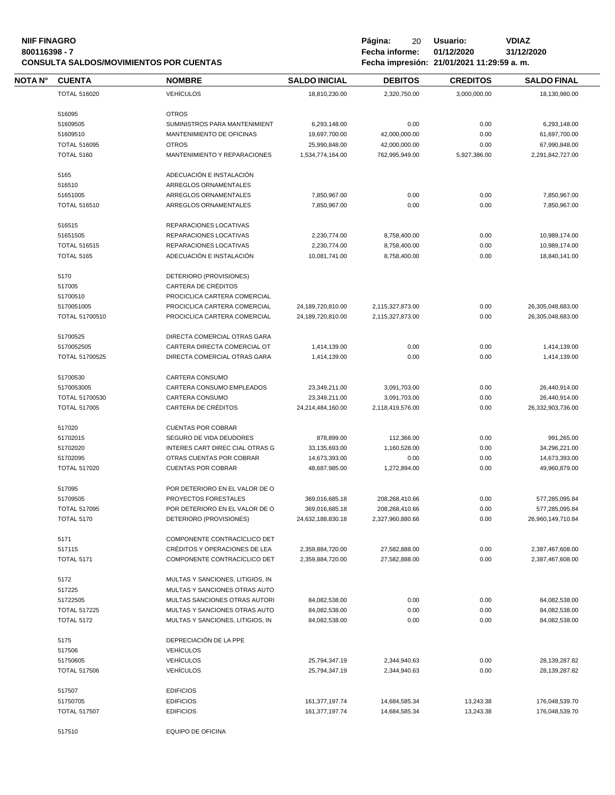# **NIIF FINAGRO P á g i n a :** 20 **U s u a r i o : VDIAZ CONSULTA SALDOS/MOVIMIENTOS POR CUENTAS**

| <b>NOTAN°</b> | <b>CUENTA</b>                   | <b>NOMBRE</b>                                             | <b>SALDO INICIAL</b>                | <b>DEBITOS</b>                     | <b>CREDITOS</b> | <b>SALDO FINAL</b>                  |
|---------------|---------------------------------|-----------------------------------------------------------|-------------------------------------|------------------------------------|-----------------|-------------------------------------|
|               | <b>TOTAL 516020</b>             | <b>VEHÍCULOS</b>                                          | 18,810,230.00                       | 2,320,750.00                       | 3,000,000.00    | 18,130,980.00                       |
|               |                                 | <b>OTROS</b>                                              |                                     |                                    |                 |                                     |
|               | 516095<br>51609505              | SUMINISTROS PARA MANTENIMIENT                             | 6,293,148.00                        | 0.00                               | 0.00            | 6,293,148.00                        |
|               |                                 |                                                           |                                     |                                    |                 |                                     |
|               | 51609510                        | MANTENIMIENTO DE OFICINAS                                 | 19,697,700.00                       | 42,000,000.00                      | 0.00            | 61,697,700.00                       |
|               | <b>TOTAL 516095</b>             | <b>OTROS</b>                                              | 25,990,848.00                       | 42,000,000.00                      | 0.00            | 67,990,848.00                       |
|               | <b>TOTAL 5160</b>               | MANTENIMIENTO Y REPARACIONES                              | 1,534,774,164.00                    | 762,995,949.00                     | 5,927,386.00    | 2,291,842,727.00                    |
|               | 5165                            | ADECUACIÓN E INSTALACIÓN                                  |                                     |                                    |                 |                                     |
|               | 516510                          | ARREGLOS ORNAMENTALES                                     |                                     |                                    |                 |                                     |
|               | 51651005                        | ARREGLOS ORNAMENTALES                                     | 7,850,967.00                        | 0.00                               | 0.00            | 7,850,967.00                        |
|               | <b>TOTAL 516510</b>             | ARREGLOS ORNAMENTALES                                     | 7,850,967.00                        | 0.00                               | 0.00            | 7,850,967.00                        |
|               | 516515                          | REPARACIONES LOCATIVAS                                    |                                     |                                    |                 |                                     |
|               | 51651505                        | REPARACIONES LOCATIVAS                                    | 2,230,774.00                        | 8,758,400.00                       | 0.00            | 10,989,174.00                       |
|               | <b>TOTAL 516515</b>             | REPARACIONES LOCATIVAS                                    | 2,230,774.00                        | 8,758,400.00                       | 0.00            | 10,989,174.00                       |
|               |                                 | ADECUACIÓN E INSTALACIÓN                                  |                                     |                                    |                 |                                     |
|               | <b>TOTAL 5165</b>               |                                                           | 10,081,741.00                       | 8,758,400.00                       | 0.00            | 18,840,141.00                       |
|               | 5170                            | DETERIORO (PROVISIONES)                                   |                                     |                                    |                 |                                     |
|               | 517005                          | CARTERA DE CRÉDITOS                                       |                                     |                                    |                 |                                     |
|               | 51700510                        | PROCICLICA CARTERA COMERCIAL                              |                                     |                                    |                 |                                     |
|               | 5170051005                      | PROCICLICA CARTERA COMERCIAL                              | 24,189,720,810.00                   | 2,115,327,873.00                   | 0.00            | 26,305,048,683.00                   |
|               | TOTAL 51700510                  | PROCICLICA CARTERA COMERCIAL                              | 24,189,720,810.00                   | 2,115,327,873.00                   | 0.00            | 26,305,048,683.00                   |
|               | 51700525                        | DIRECTA COMERCIAL OTRAS GARA                              |                                     |                                    |                 |                                     |
|               | 5170052505                      | CARTERA DIRECTA COMERCIAL OT                              | 1,414,139.00                        | 0.00                               | 0.00            | 1,414,139.00                        |
|               | TOTAL 51700525                  | DIRECTA COMERCIAL OTRAS GARA                              | 1,414,139.00                        | 0.00                               | 0.00            | 1,414,139.00                        |
|               | 51700530                        | CARTERA CONSUMO                                           |                                     |                                    |                 |                                     |
|               |                                 |                                                           |                                     |                                    |                 |                                     |
|               | 5170053005                      | CARTERA CONSUMO EMPLEADOS                                 | 23,349,211.00                       | 3,091,703.00                       | 0.00            | 26,440,914.00                       |
|               | TOTAL 51700530                  | CARTERA CONSUMO                                           | 23,349,211.00                       | 3,091,703.00                       | 0.00            | 26,440,914.00                       |
|               | <b>TOTAL 517005</b>             | CARTERA DE CRÉDITOS                                       | 24,214,484,160.00                   | 2,118,419,576.00                   | 0.00            | 26,332,903,736.00                   |
|               | 517020                          | <b>CUENTAS POR COBRAR</b>                                 |                                     |                                    |                 |                                     |
|               | 51702015                        | SEGURO DE VIDA DEUDORES                                   | 878,899.00                          | 112,366.00                         | 0.00            | 991,265.00                          |
|               | 51702020                        | INTERES CART DIREC CIAL OTRAS G                           | 33,135,693.00                       | 1,160,528.00                       | 0.00            | 34,296,221.00                       |
|               | 51702095                        | OTRAS CUENTAS POR COBRAR                                  | 14,673,393.00                       | 0.00                               | 0.00            | 14,673,393.00                       |
|               | <b>TOTAL 517020</b>             | <b>CUENTAS POR COBRAR</b>                                 | 48,687,985.00                       | 1,272,894.00                       | 0.00            | 49,960,879.00                       |
|               | 517095                          | POR DETERIORO EN EL VALOR DE O                            |                                     |                                    |                 |                                     |
|               | 51709505                        | PROYECTOS FORESTALES                                      | 369,016,685.18                      | 208,268,410.66                     | 0.00            | 577,285,095.84                      |
|               | <b>TOTAL 517095</b>             |                                                           |                                     |                                    |                 |                                     |
|               | <b>TOTAL 5170</b>               | POR DETERIORO EN EL VALOR DE O<br>DETERIORO (PROVISIONES) | 369,016,685.18<br>24,632,188,830.18 | 208,268,410.66<br>2,327,960,880.66 | 0.00<br>0.00    | 577,285,095.84<br>26,960,149,710.84 |
|               |                                 |                                                           |                                     |                                    |                 |                                     |
|               | 5171                            | COMPONENTE CONTRACÍCLICO DET                              |                                     |                                    |                 |                                     |
|               | 517115                          | CRÉDITOS Y OPERACIONES DE LEA                             | 2,359,884,720.00                    | 27,582,888.00                      | 0.00            | 2,387,467,608.00                    |
|               | <b>TOTAL 5171</b>               | COMPONENTE CONTRACÍCLICO DET                              | 2,359,884,720.00                    | 27,582,888.00                      | 0.00            | 2,387,467,608.00                    |
|               | 5172                            | MULTAS Y SANCIONES, LITIGIOS, IN                          |                                     |                                    |                 |                                     |
|               | 517225                          | MULTAS Y SANCIONES OTRAS AUTO                             |                                     |                                    |                 |                                     |
|               | 51722505                        | MULTAS SANCIONES OTRAS AUTORI                             | 84,082,538.00                       | 0.00                               | 0.00            | 84,082,538.00                       |
|               | <b>TOTAL 517225</b>             | MULTAS Y SANCIONES OTRAS AUTO                             | 84,082,538.00                       | 0.00                               | 0.00            | 84,082,538.00                       |
|               | <b>TOTAL 5172</b>               | MULTAS Y SANCIONES, LITIGIOS, IN                          | 84,082,538.00                       | 0.00                               | 0.00            | 84,082,538.00                       |
|               |                                 |                                                           |                                     |                                    |                 |                                     |
|               | 5175                            | DEPRECIACIÓN DE LA PPE                                    |                                     |                                    |                 |                                     |
|               | 517506                          | <b>VEHÍCULOS</b>                                          |                                     |                                    |                 |                                     |
|               | 51750605<br><b>TOTAL 517506</b> | <b>VEHÍCULOS</b><br><b>VEHÍCULOS</b>                      | 25,794,347.19<br>25,794,347.19      | 2,344,940.63<br>2,344,940.63       | 0.00<br>0.00    | 28,139,287.82<br>28,139,287.82      |
|               |                                 |                                                           |                                     |                                    |                 |                                     |
|               | 517507<br>51750705              | <b>EDIFICIOS</b><br><b>EDIFICIOS</b>                      | 161,377,197.74                      | 14,684,585.34                      | 13,243.38       | 176,048,539.70                      |
|               |                                 |                                                           |                                     |                                    |                 |                                     |
|               | <b>TOTAL 517507</b>             | <b>EDIFICIOS</b>                                          | 161,377,197.74                      | 14,684,585.34                      | 13,243.38       | 176,048,539.70                      |
|               | 517510                          | EQUIPO DE OFICINA                                         |                                     |                                    |                 |                                     |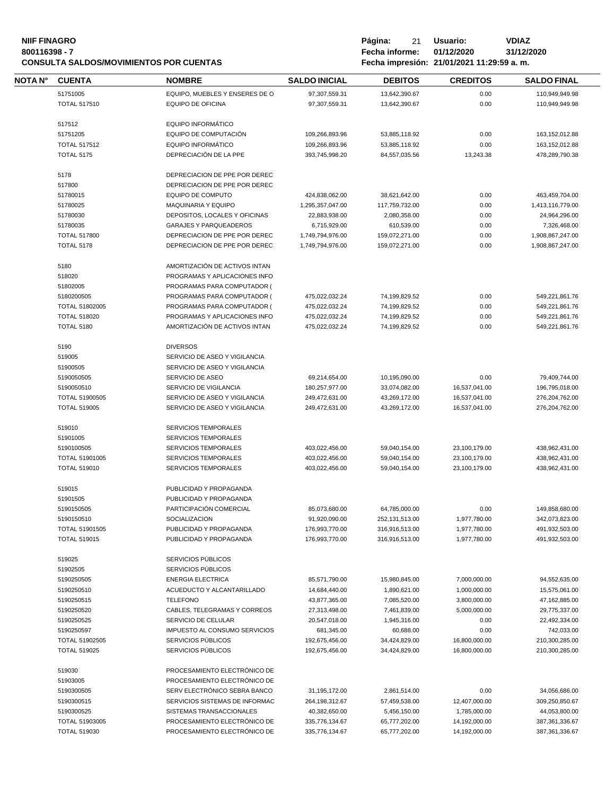# **NIIF FINAGRO P á g i n a :** 21 **U s u a r i o : VDIAZ CONSULTA SALDOS/MOVIMIENTOS POR CUENTAS**

| NOTA N° | <b>CUENTA</b>                | <b>NOMBRE</b>                                            | <b>SALDO INICIAL</b>            | <b>DEBITOS</b>                | <b>CREDITOS</b>               | <b>SALDO FINAL</b>                                |
|---------|------------------------------|----------------------------------------------------------|---------------------------------|-------------------------------|-------------------------------|---------------------------------------------------|
|         | 51751005                     | EQUIPO, MUEBLES Y ENSERES DE O                           | 97,307,559.31                   | 13,642,390.67                 | 0.00                          | 110,949,949.98                                    |
|         | <b>TOTAL 517510</b>          | <b>EQUIPO DE OFICINA</b>                                 | 97,307,559.31                   | 13,642,390.67                 | 0.00                          | 110,949,949.98                                    |
|         |                              |                                                          |                                 |                               |                               |                                                   |
|         | 517512                       | <b>EQUIPO INFORMÁTICO</b>                                |                                 |                               |                               |                                                   |
|         | 51751205                     | EQUIPO DE COMPUTACIÓN                                    | 109,266,893.96                  | 53,885,118.92                 | 0.00                          | 163, 152, 012.88                                  |
|         | <b>TOTAL 517512</b>          | <b>EQUIPO INFORMÁTICO</b>                                | 109,266,893.96                  | 53,885,118.92                 | 0.00                          | 163, 152, 012.88                                  |
|         | <b>TOTAL 5175</b>            | DEPRECIACIÓN DE LA PPE                                   | 393,745,998.20                  | 84,557,035.56                 | 13,243.38                     | 478,289,790.38                                    |
|         | 5178                         | DEPRECIACION DE PPE POR DEREC                            |                                 |                               |                               |                                                   |
|         | 517800                       | DEPRECIACION DE PPE POR DEREC                            |                                 |                               |                               |                                                   |
|         | 51780015                     | <b>EQUIPO DE COMPUTO</b>                                 | 424,838,062.00                  | 38,621,642.00                 | 0.00                          | 463,459,704.00                                    |
|         | 51780025                     | <b>MAQUINARIA Y EQUIPO</b>                               | 1,295,357,047.00                | 117,759,732.00                | 0.00                          | 1,413,116,779.00                                  |
|         | 51780030                     | DEPOSITOS, LOCALES Y OFICINAS                            | 22,883,938.00                   | 2,080,358.00                  | 0.00                          | 24,964,296.00                                     |
|         | 51780035                     | <b>GARAJES Y PARQUEADEROS</b>                            | 6,715,929.00                    | 610,539.00                    | 0.00                          | 7,326,468.00                                      |
|         | <b>TOTAL 517800</b>          | DEPRECIACION DE PPE POR DEREC                            | 1,749,794,976.00                | 159,072,271.00                | 0.00                          | 1,908,867,247.00                                  |
|         | <b>TOTAL 5178</b>            | DEPRECIACION DE PPE POR DEREC                            | 1,749,794,976.00                | 159,072,271.00                | 0.00                          | 1,908,867,247.00                                  |
|         |                              |                                                          |                                 |                               |                               |                                                   |
|         | 5180                         | AMORTIZACIÓN DE ACTIVOS INTAN                            |                                 |                               |                               |                                                   |
|         | 518020                       | PROGRAMAS Y APLICACIONES INFO                            |                                 |                               |                               |                                                   |
|         | 51802005                     | PROGRAMAS PARA COMPUTADOR (                              |                                 |                               |                               |                                                   |
|         | 5180200505                   | PROGRAMAS PARA COMPUTADOR (                              | 475,022,032.24                  | 74,199,829.52                 | 0.00                          | 549,221,861.76                                    |
|         | <b>TOTAL 51802005</b>        | PROGRAMAS PARA COMPUTADOR (                              | 475,022,032.24                  | 74,199,829.52                 | 0.00                          | 549,221,861.76                                    |
|         | <b>TOTAL 518020</b>          | PROGRAMAS Y APLICACIONES INFO                            | 475,022,032.24                  | 74,199,829.52                 | 0.00                          | 549,221,861.76                                    |
|         | <b>TOTAL 5180</b>            | AMORTIZACIÓN DE ACTIVOS INTAN                            | 475,022,032.24                  | 74,199,829.52                 | 0.00                          | 549,221,861.76                                    |
|         | 5190                         | <b>DIVERSOS</b>                                          |                                 |                               |                               |                                                   |
|         | 519005                       | SERVICIO DE ASEO Y VIGILANCIA                            |                                 |                               |                               |                                                   |
|         | 51900505                     | SERVICIO DE ASEO Y VIGILANCIA                            |                                 |                               |                               |                                                   |
|         | 5190050505                   | SERVICIO DE ASEO                                         | 69,214,654.00                   | 10,195,090.00                 | 0.00                          | 79,409,744.00                                     |
|         | 5190050510                   | SERVICIO DE VIGILANCIA                                   | 180,257,977.00                  | 33,074,082.00                 | 16,537,041.00                 | 196,795,018.00                                    |
|         | TOTAL 51900505               | SERVICIO DE ASEO Y VIGILANCIA                            | 249,472,631.00                  | 43,269,172.00                 | 16,537,041.00                 | 276,204,762.00                                    |
|         | <b>TOTAL 519005</b>          | SERVICIO DE ASEO Y VIGILANCIA                            | 249,472,631.00                  | 43,269,172.00                 | 16,537,041.00                 | 276,204,762.00                                    |
|         |                              |                                                          |                                 |                               |                               |                                                   |
|         | 519010                       | <b>SERVICIOS TEMPORALES</b>                              |                                 |                               |                               |                                                   |
|         | 51901005                     | <b>SERVICIOS TEMPORALES</b>                              |                                 |                               |                               |                                                   |
|         | 5190100505                   | <b>SERVICIOS TEMPORALES</b>                              | 403,022,456.00                  | 59,040,154.00                 | 23,100,179.00                 | 438,962,431.00                                    |
|         | TOTAL 51901005               | <b>SERVICIOS TEMPORALES</b>                              | 403,022,456.00                  | 59,040,154.00                 | 23,100,179.00                 | 438,962,431.00                                    |
|         | <b>TOTAL 519010</b>          | SERVICIOS TEMPORALES                                     | 403,022,456.00                  | 59,040,154.00                 | 23,100,179.00                 | 438,962,431.00                                    |
|         | 519015                       | PUBLICIDAD Y PROPAGANDA                                  |                                 |                               |                               |                                                   |
|         | 51901505                     | PUBLICIDAD Y PROPAGANDA                                  |                                 |                               |                               |                                                   |
|         | 5190150505                   | PARTICIPACIÓN COMERCIAL                                  | 85,073,680.00                   | 64,785,000.00                 | 0.00                          | 149,858,680.00                                    |
|         | 5190150510                   | SOCIALIZACION                                            | 91,920,090.00                   | 252,131,513.00                | 1,977,780.00                  | 342,073,823.00                                    |
|         | <b>TOTAL 51901505</b>        | PUBLICIDAD Y PROPAGANDA                                  | 176,993,770.00                  | 316,916,513.00                | 1,977,780.00                  | 491,932,503.00                                    |
|         | <b>TOTAL 519015</b>          | PUBLICIDAD Y PROPAGANDA                                  | 176,993,770.00                  | 316,916,513.00                | 1,977,780.00                  | 491,932,503.00                                    |
|         |                              |                                                          |                                 |                               |                               |                                                   |
|         | 519025<br>51902505           | SERVICIOS PÚBLICOS<br>SERVICIOS PÚBLICOS                 |                                 |                               |                               |                                                   |
|         | 5190250505                   | <b>ENERGIA ELECTRICA</b>                                 | 85,571,790.00                   | 15,980,845.00                 | 7,000,000.00                  | 94,552,635.00                                     |
|         | 5190250510                   | ACUEDUCTO Y ALCANTARILLADO                               | 14,684,440.00                   | 1,890,621.00                  | 1,000,000.00                  | 15,575,061.00                                     |
|         | 5190250515                   | <b>TELEFONO</b>                                          | 43,877,365.00                   | 7,085,520.00                  | 3,800,000.00                  | 47,162,885.00                                     |
|         | 5190250520                   | CABLES, TELEGRAMAS Y CORREOS                             | 27,313,498.00                   | 7,461,839.00                  | 5,000,000.00                  | 29,775,337.00                                     |
|         | 5190250525                   | SERVICIO DE CELULAR                                      | 20,547,018.00                   | 1,945,316.00                  | 0.00                          | 22,492,334.00                                     |
|         | 5190250597                   | IMPUESTO AL CONSUMO SERVICIOS                            | 681,345.00                      | 60,688.00                     | 0.00                          | 742,033.00                                        |
|         | TOTAL 51902505               | SERVICIOS PÚBLICOS                                       | 192,675,456.00                  | 34,424,829.00                 | 16,800,000.00                 | 210,300,285.00                                    |
|         | <b>TOTAL 519025</b>          | SERVICIOS PÚBLICOS                                       | 192,675,456.00                  | 34,424,829.00                 | 16,800,000.00                 | 210,300,285.00                                    |
|         |                              |                                                          |                                 |                               |                               |                                                   |
|         | 519030                       | PROCESAMIENTO ELECTRÓNICO DE                             |                                 |                               |                               |                                                   |
|         | 51903005                     | PROCESAMIENTO ELECTRÓNICO DE                             |                                 |                               |                               |                                                   |
|         | 5190300505                   | SERV ELECTRÓNICO SEBRA BANCO                             | 31,195,172.00                   | 2,861,514.00                  | 0.00                          | 34,056,686.00                                     |
|         |                              |                                                          |                                 |                               |                               |                                                   |
|         | 5190300515                   | SERVICIOS SISTEMAS DE INFORMAC                           | 264,198,312.67                  | 57,459,538.00                 | 12,407,000.00                 |                                                   |
|         | 5190300525<br>TOTAL 51903005 | SISTEMAS TRANSACCIONALES<br>PROCESAMIENTO ELECTRÓNICO DE | 40,382,650.00<br>335,776,134.67 | 5,456,150.00<br>65,777,202.00 | 1,785,000.00<br>14,192,000.00 | 309,250,850.67<br>44,053,800.00<br>387,361,336.67 |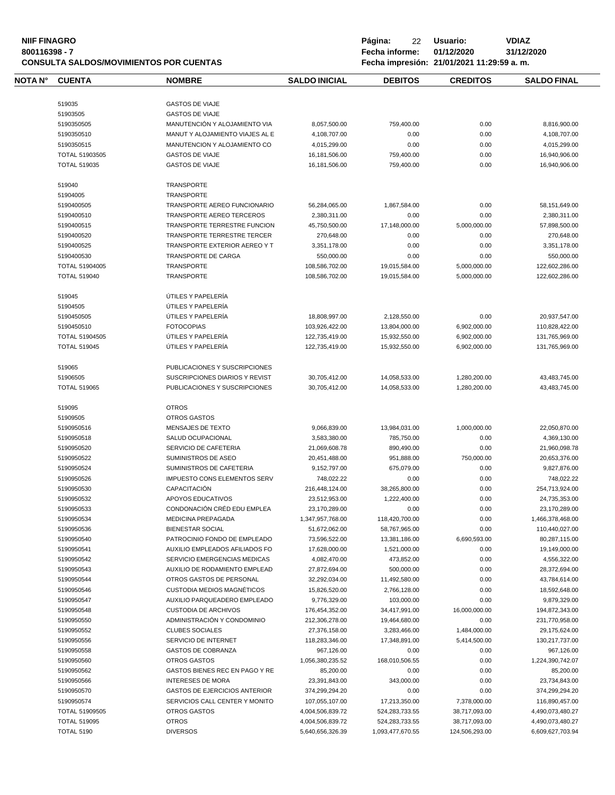| 800116398 - 7 | <b>NIIF FINAGRO</b>   | <b>CONSULTA SALDOS/MOVIMIENTOS POR CUENTAS</b> | Página:<br>22<br>Fecha informe: | Usuario:<br>01/12/2020<br>Fecha impresión: 21/01/2021 11:29:59 a.m. | <b>VDIAZ</b><br>31/12/2020 |                                    |
|---------------|-----------------------|------------------------------------------------|---------------------------------|---------------------------------------------------------------------|----------------------------|------------------------------------|
| NOTA N°       | <b>CUENTA</b>         | <b>NOMBRE</b>                                  | <b>SALDO INICIAL</b>            | <b>DEBITOS</b>                                                      | <b>CREDITOS</b>            | <b>SALDO FINAL</b>                 |
|               | 519035                | <b>GASTOS DE VIAJE</b>                         |                                 |                                                                     |                            |                                    |
|               | 51903505              | <b>GASTOS DE VIAJE</b>                         |                                 |                                                                     |                            |                                    |
|               | 5190350505            | MANUTENCIÓN Y ALOJAMIENTO VIA                  | 8,057,500.00                    | 759,400.00                                                          | 0.00                       | 8,816,900.00                       |
|               | 5190350510            | MANUT Y ALOJAMIENTO VIAJES AL E                | 4,108,707.00                    | 0.00                                                                | 0.00                       | 4,108,707.00                       |
|               | 5190350515            | MANUTENCION Y ALOJAMIENTO CO                   | 4,015,299.00                    | 0.00                                                                | 0.00                       | 4,015,299.00                       |
|               |                       |                                                |                                 |                                                                     |                            |                                    |
|               | TOTAL 51903505        | <b>GASTOS DE VIAJE</b>                         | 16,181,506.00                   | 759,400.00                                                          | 0.00                       | 16,940,906.00                      |
|               | <b>TOTAL 519035</b>   | <b>GASTOS DE VIAJE</b>                         | 16,181,506.00                   | 759,400.00                                                          | 0.00                       | 16,940,906.00                      |
|               | 519040                | TRANSPORTE                                     |                                 |                                                                     |                            |                                    |
|               | 51904005              | TRANSPORTE                                     |                                 |                                                                     |                            |                                    |
|               | 5190400505            | <b>TRANSPORTE AEREO FUNCIONARIO</b>            | 56,284,065.00                   | 1,867,584.00                                                        | 0.00                       | 58,151,649.00                      |
|               | 5190400510            | TRANSPORTE AEREO TERCEROS                      | 2,380,311.00                    | 0.00                                                                | 0.00                       | 2,380,311.00                       |
|               | 5190400515            | TRANSPORTE TERRESTRE FUNCION                   | 45,750,500.00                   | 17,148,000.00                                                       | 5,000,000.00               | 57,898,500.00                      |
|               | 5190400520            | TRANSPORTE TERRESTRE TERCER                    | 270,648.00                      | 0.00                                                                | 0.00                       | 270,648.00                         |
|               | 5190400525            | TRANSPORTE EXTERIOR AEREO Y T                  |                                 | 0.00                                                                | 0.00                       |                                    |
|               |                       |                                                | 3,351,178.00                    |                                                                     |                            | 3,351,178.00                       |
|               | 5190400530            | TRANSPORTE DE CARGA                            | 550,000.00                      | 0.00                                                                | 0.00                       | 550,000.00                         |
|               | TOTAL 51904005        | TRANSPORTE                                     | 108,586,702.00                  | 19,015,584.00                                                       | 5,000,000.00               | 122,602,286.00                     |
|               | <b>TOTAL 519040</b>   | TRANSPORTE                                     | 108,586,702.00                  | 19,015,584.00                                                       | 5,000,000.00               | 122,602,286.00                     |
|               | 519045                | ÚTILES Y PAPELERÍA                             |                                 |                                                                     |                            |                                    |
|               | 51904505              | ÚTILES Y PAPELERÍA                             |                                 |                                                                     |                            |                                    |
|               | 5190450505            | ÚTILES Y PAPELERÍA                             | 18,808,997.00                   | 2,128,550.00                                                        | 0.00                       | 20,937,547.00                      |
|               | 5190450510            | <b>FOTOCOPIAS</b>                              | 103,926,422.00                  | 13,804,000.00                                                       | 6,902,000.00               | 110,828,422.00                     |
|               | TOTAL 51904505        | ÚTILES Y PAPELERÍA                             | 122,735,419.00                  | 15,932,550.00                                                       | 6,902,000.00               | 131,765,969.00                     |
|               |                       |                                                |                                 |                                                                     |                            |                                    |
|               | <b>TOTAL 519045</b>   | ÚTILES Y PAPELERÍA                             | 122,735,419.00                  | 15,932,550.00                                                       | 6,902,000.00               | 131,765,969.00                     |
|               | 519065                | PUBLICACIONES Y SUSCRIPCIONES                  |                                 |                                                                     |                            |                                    |
|               | 51906505              | <b>SUSCRIPCIONES DIARIOS Y REVIST</b>          | 30,705,412.00                   | 14,058,533.00                                                       | 1,280,200.00               | 43,483,745.00                      |
|               | <b>TOTAL 519065</b>   | PUBLICACIONES Y SUSCRIPCIONES                  | 30,705,412.00                   | 14,058,533.00                                                       | 1,280,200.00               | 43,483,745.00                      |
|               | 519095                | <b>OTROS</b>                                   |                                 |                                                                     |                            |                                    |
|               | 51909505              | OTROS GASTOS                                   |                                 |                                                                     |                            |                                    |
|               | 5190950516            | MENSAJES DE TEXTO                              | 9,066,839.00                    | 13,984,031.00                                                       | 1,000,000.00               | 22,050,870.00                      |
|               |                       |                                                |                                 |                                                                     |                            |                                    |
|               | 5190950518            | SALUD OCUPACIONAL                              | 3,583,380.00                    | 785,750.00                                                          | 0.00                       | 4,369,130.00                       |
|               | 5190950520            | SERVICIO DE CAFETERIA                          | 21,069,608.78                   | 890,490.00                                                          | 0.00                       | 21,960,098.78                      |
|               | 5190950522            | SUMINISTROS DE ASEO                            | 20,451,488.00                   | 951,888.00                                                          | 750,000.00                 | 20,653,376.00                      |
|               | 5190950524            | SUMINISTROS DE CAFETERIA                       | 9,152,797.00                    | 675,079.00                                                          | 0.00                       | 9,827,876.00                       |
|               | 5190950526            | <b>IMPUESTO CONS ELEMENTOS SERV</b>            | 748,022.22                      | 0.00                                                                | 0.00                       | 748,022.22                         |
|               | 5190950530            | CAPACITACION                                   | 216,448,124.00                  | 38,265,800.00                                                       | 0.00                       | 254,713,924.00                     |
|               | 5190950532            | APOYOS EDUCATIVOS                              | 23,512,953.00                   | 1,222,400.00                                                        | 0.00                       | 24,735,353.00                      |
|               | 5190950533            | CONDONACIÓN CRÉD EDU EMPLEA                    | 23,170,289.00                   | 0.00                                                                | 0.00                       | 23,170,289.00                      |
|               |                       |                                                |                                 |                                                                     |                            |                                    |
|               | 5190950534            | <b>MEDICINA PREPAGADA</b>                      | 1,347,957,768.00                | 118,420,700.00                                                      | 0.00                       | 1,466,378,468.00                   |
|               | 5190950536            | <b>BIENESTAR SOCIAL</b>                        | 51,672,062.00                   | 58,767,965.00                                                       | 0.00                       | 110,440,027.00                     |
|               | 5190950540            | PATROCINIO FONDO DE EMPLEADO                   | 73,596,522.00                   | 13,381,186.00                                                       | 6,690,593.00               | 80,287,115.00                      |
|               | 5190950541            | AUXILIO EMPLEADOS AFILIADOS FO                 | 17,628,000.00                   | 1,521,000.00                                                        | 0.00                       | 19,149,000.00                      |
|               | 5190950542            | SERVICIO EMERGENCIAS MEDICAS                   | 4,082,470.00                    | 473,852.00                                                          | 0.00                       | 4,556,322.00                       |
|               | 5190950543            | AUXILIO DE RODAMIENTO EMPLEAD                  | 27,872,694.00                   | 500,000.00                                                          | 0.00                       | 28,372,694.00                      |
|               | 5190950544            | OTROS GASTOS DE PERSONAL                       | 32,292,034.00                   | 11,492,580.00                                                       | 0.00                       | 43,784,614.00                      |
|               |                       | CUSTODIA MEDIOS MAGNÉTICOS                     | 15,826,520.00                   |                                                                     | 0.00                       |                                    |
|               | 5190950546            |                                                |                                 | 2,766,128.00                                                        |                            | 18,592,648.00                      |
|               | 5190950547            | AUXILIO PARQUEADERO EMPLEADO                   | 9,776,329.00                    | 103,000.00                                                          | 0.00                       | 9,879,329.00                       |
|               | 5190950548            | <b>CUSTODIA DE ARCHIVOS</b>                    | 176,454,352.00                  | 34,417,991.00                                                       | 16,000,000.00              | 194,872,343.00                     |
|               | 5190950550            | ADMINISTRACIÓN Y CONDOMINIO                    | 212,306,278.00                  | 19,464,680.00                                                       | 0.00                       | 231,770,958.00                     |
|               | 5190950552            | <b>CLUBES SOCIALES</b>                         | 27,376,158.00                   | 3,283,466.00                                                        | 1,484,000.00               | 29,175,624.00                      |
|               | 5190950556            | SERVICIO DE INTERNET                           | 118,283,346.00                  | 17,348,891.00                                                       | 5,414,500.00               | 130,217,737.00                     |
|               | 5190950558            | <b>GASTOS DE COBRANZA</b>                      | 967,126.00                      | 0.00                                                                | 0.00                       | 967,126.00                         |
|               | 5190950560            | <b>OTROS GASTOS</b>                            | 1,056,380,235.52                | 168,010,506.55                                                      | 0.00                       | 1,224,390,742.07                   |
|               | 5190950562            | GASTOS BIENES REC EN PAGO Y RE                 |                                 |                                                                     |                            |                                    |
|               |                       |                                                | 85,200.00                       | 0.00                                                                | 0.00                       | 85,200.00                          |
|               | 5190950566            | <b>INTERESES DE MORA</b>                       | 23,391,843.00                   | 343,000.00                                                          | 0.00                       | 23,734,843.00                      |
|               |                       | GASTOS DE EJERCICIOS ANTERIOR                  | 374,299,294.20                  | 0.00                                                                | 0.00                       | 374,299,294.20                     |
|               | 5190950570            |                                                |                                 |                                                                     |                            |                                    |
|               | 5190950574            | SERVICIOS CALL CENTER Y MONITO                 | 107,055,107.00                  | 17,213,350.00                                                       | 7,378,000.00               |                                    |
|               | <b>TOTAL 51909505</b> | OTROS GASTOS                                   | 4,004,506,839.72                | 524,283,733.55                                                      | 38,717,093.00              | 4,490,073,480.27                   |
|               | <b>TOTAL 519095</b>   | <b>OTROS</b>                                   | 4,004,506,839.72                | 524,283,733.55                                                      | 38,717,093.00              | 116,890,457.00<br>4,490,073,480.27 |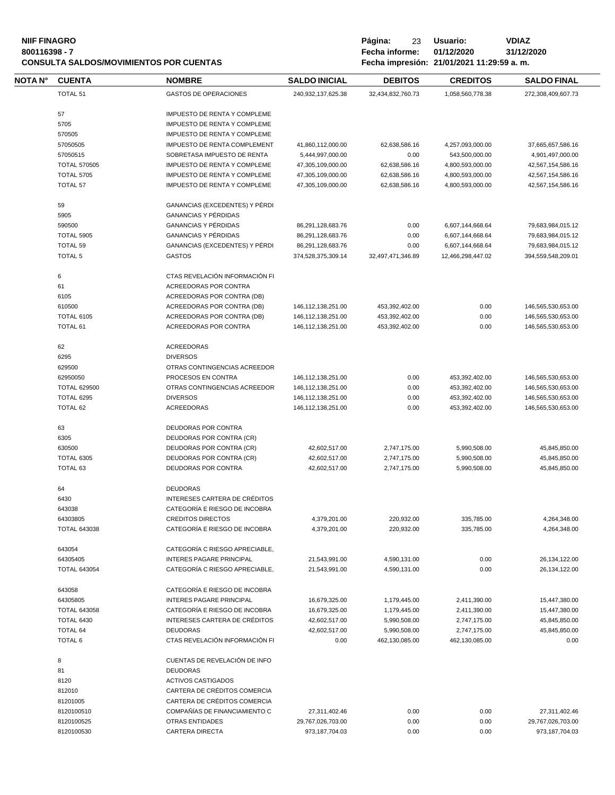| <b>NIIF FINAGRO</b><br>800116398 - 7 |                     | <b>CONSULTA SALDOS/MOVIMIENTOS POR CUENTAS</b> |                          | Página:<br>23<br>Fecha informe: | Usuario:<br>01/12/2020<br>Fecha impresión: 21/01/2021 11:29:59 a.m. | <b>VDIAZ</b><br>31/12/2020 |
|--------------------------------------|---------------------|------------------------------------------------|--------------------------|---------------------------------|---------------------------------------------------------------------|----------------------------|
| <b>NOTA N°</b>                       | <b>CUENTA</b>       | <b>NOMBRE</b>                                  | <b>SALDO INICIAL</b>     | <b>DEBITOS</b>                  | <b>CREDITOS</b>                                                     | <b>SALDO FINAL</b>         |
|                                      | <b>TOTAL 51</b>     | <b>GASTOS DE OPERACIONES</b>                   | 240,932,137,625.38       | 32,434,832,760.73               | 1,058,560,778.38                                                    | 272,308,409,607.73         |
|                                      | 57                  | <b>IMPUESTO DE RENTA Y COMPLEME</b>            |                          |                                 |                                                                     |                            |
|                                      | 5705                | <b>IMPUESTO DE RENTA Y COMPLEME</b>            |                          |                                 |                                                                     |                            |
|                                      | 570505              | <b>IMPUESTO DE RENTA Y COMPLEME</b>            |                          |                                 |                                                                     |                            |
|                                      | 57050505            | <b>IMPUESTO DE RENTA COMPLEMENT</b>            | 41,860,112,000.00        | 62,638,586.16                   | 4,257,093,000.00                                                    | 37,665,657,586.16          |
|                                      | 57050515            | SOBRETASA IMPUESTO DE RENTA                    | 5,444,997,000.00         | 0.00                            | 543,500,000.00                                                      | 4,901,497,000.00           |
|                                      | <b>TOTAL 570505</b> | <b>IMPUESTO DE RENTA Y COMPLEME</b>            | 47,305,109,000.00        | 62,638,586.16                   | 4,800,593,000.00                                                    | 42,567,154,586.16          |
|                                      | <b>TOTAL 5705</b>   | <b>IMPUESTO DE RENTA Y COMPLEME</b>            | 47,305,109,000.00        | 62,638,586.16                   | 4,800,593,000.00                                                    | 42,567,154,586.16          |
|                                      | <b>TOTAL 57</b>     | <b>IMPUESTO DE RENTA Y COMPLEME</b>            | 47,305,109,000.00        | 62,638,586.16                   | 4,800,593,000.00                                                    | 42,567,154,586.16          |
|                                      | 59                  | GANANCIAS (EXCEDENTES) Y PÉRDI                 |                          |                                 |                                                                     |                            |
|                                      | 5905                | <b>GANANCIAS Y PÉRDIDAS</b>                    |                          |                                 |                                                                     |                            |
|                                      | 500500              | CANANCIAS V DÉDNINAS                           | <b>96 201 128 692 76</b> | n nn                            | 6.607 111.669 61                                                    | 70.692.094.015.12          |

| 5905                | <b>GANANCIAS Y PÉRDIDAS</b>                       |                       |                                |                                |                       |
|---------------------|---------------------------------------------------|-----------------------|--------------------------------|--------------------------------|-----------------------|
| 590500              | <b>GANANCIAS Y PÉRDIDAS</b>                       | 86,291,128,683.76     | 0.00                           | 6,607,144,668.64               | 79,683,984,015.12     |
| <b>TOTAL 5905</b>   | <b>GANANCIAS Y PÉRDIDAS</b>                       | 86,291,128,683.76     | 0.00                           | 6,607,144,668.64               | 79,683,984,015.12     |
| TOTAL 59            | GANANCIAS (EXCEDENTES) Y PÉRDI                    | 86,291,128,683.76     | 0.00                           | 6,607,144,668.64               | 79,683,984,015.12     |
| <b>TOTAL 5</b>      | <b>GASTOS</b>                                     | 374,528,375,309.14    | 32,497,471,346.89              | 12,466,298,447.02              | 394,559,548,209.01    |
| 6                   | CTAS REVELACIÓN INFORMACIÓN FI                    |                       |                                |                                |                       |
| 61                  | ACREEDORAS POR CONTRA                             |                       |                                |                                |                       |
| 6105                | ACREEDORAS POR CONTRA (DB)                        |                       |                                |                                |                       |
| 610500              | ACREEDORAS POR CONTRA (DB)                        | 146, 112, 138, 251.00 | 453,392,402.00                 | 0.00                           | 146,565,530,653.00    |
| <b>TOTAL 6105</b>   | ACREEDORAS POR CONTRA (DB)                        | 146, 112, 138, 251.00 | 453,392,402.00                 | 0.00                           | 146,565,530,653.00    |
| TOTAL 61            | ACREEDORAS POR CONTRA                             | 146, 112, 138, 251.00 | 453,392,402.00                 | 0.00                           | 146,565,530,653.00    |
| 62                  | <b>ACREEDORAS</b>                                 |                       |                                |                                |                       |
| 6295                | <b>DIVERSOS</b>                                   |                       |                                |                                |                       |
| 629500              | OTRAS CONTINGENCIAS ACREEDOR                      |                       |                                |                                |                       |
| 62950050            | PROCESOS EN CONTRA                                | 146, 112, 138, 251.00 | 0.00                           | 453,392,402.00                 | 146,565,530,653.00    |
| <b>TOTAL 629500</b> | OTRAS CONTINGENCIAS ACREEDOR                      | 146, 112, 138, 251.00 | 0.00                           | 453,392,402.00                 | 146,565,530,653.00    |
| TOTAL 6295          | <b>DIVERSOS</b>                                   | 146, 112, 138, 251.00 | 0.00                           | 453,392,402.00                 | 146,565,530,653.00    |
| TOTAL 62            | <b>ACREEDORAS</b>                                 | 146, 112, 138, 251.00 | 0.00                           | 453,392,402.00                 | 146,565,530,653.00    |
| 63                  | DEUDORAS POR CONTRA                               |                       |                                |                                |                       |
| 6305                | DEUDORAS POR CONTRA (CR)                          |                       |                                |                                |                       |
| 630500              | DEUDORAS POR CONTRA (CR)                          | 42,602,517.00         | 2,747,175.00                   | 5,990,508.00                   | 45,845,850.00         |
| <b>TOTAL 6305</b>   | DEUDORAS POR CONTRA (CR)                          | 42,602,517.00         | 2,747,175.00                   | 5,990,508.00                   | 45,845,850.00         |
| TOTAL 63            | <b>DEUDORAS POR CONTRA</b>                        | 42,602,517.00         | 2,747,175.00                   | 5,990,508.00                   | 45,845,850.00         |
| 64                  | <b>DEUDORAS</b>                                   |                       |                                |                                |                       |
| 6430                | INTERESES CARTERA DE CRÉDITOS                     |                       |                                |                                |                       |
| 643038              | CATEGORÍA E RIESGO DE INCOBRA                     |                       |                                |                                |                       |
| 64303805            | <b>CREDITOS DIRECTOS</b>                          | 4,379,201.00          | 220,932.00                     | 335,785.00                     | 4,264,348.00          |
| <b>TOTAL 643038</b> | CATEGORÍA E RIESGO DE INCOBRA                     | 4,379,201.00          | 220,932.00                     | 335,785.00                     | 4,264,348.00          |
| 643054              | CATEGORÍA C RIESGO APRECIABLE,                    |                       |                                |                                |                       |
| 64305405            | <b>INTERES PAGARE PRINCIPAL</b>                   | 21,543,991.00         | 4,590,131.00                   | 0.00                           | 26,134,122.00         |
| <b>TOTAL 643054</b> | CATEGORÍA C RIESGO APRECIABLE,                    | 21,543,991.00         | 4,590,131.00                   | 0.00                           | 26,134,122.00         |
| 643058              | CATEGORÍA E RIESGO DE INCOBRA                     |                       |                                |                                |                       |
| 64305805            | <b>INTERES PAGARE PRINCIPAL</b>                   | 16,679,325.00         | 1,179,445.00                   | 2,411,390.00                   | 15,447,380.00         |
| <b>TOTAL 643058</b> | CATEGORÍA E RIESGO DE INCOBRA                     | 16,679,325.00         | 1,179,445.00                   | 2,411,390.00                   | 15,447,380.00         |
| <b>TOTAL 6430</b>   | INTERESES CARTERA DE CRÉDITOS                     | 42,602,517.00         | 5,990,508.00                   | 2,747,175.00                   | 45,845,850.00         |
| TOTAL 64<br>TOTAL 6 | <b>DEUDORAS</b><br>CTAS REVELACIÓN INFORMACIÓN FI | 42,602,517.00<br>0.00 | 5,990,508.00<br>462,130,085.00 | 2,747,175.00<br>462,130,085.00 | 45,845,850.00<br>0.00 |
| 8                   | CUENTAS DE REVELACIÓN DE INFO                     |                       |                                |                                |                       |
| 81                  | <b>DEUDORAS</b>                                   |                       |                                |                                |                       |
| 8120                | <b>ACTIVOS CASTIGADOS</b>                         |                       |                                |                                |                       |
| 812010              | CARTERA DE CRÉDITOS COMERCIA                      |                       |                                |                                |                       |
| 81201005            | CARTERA DE CRÉDITOS COMERCIA                      |                       |                                |                                |                       |
| 8120100510          | COMPAÑÍAS DE FINANCIAMIENTO C                     | 27,311,402.46         | 0.00                           | 0.00                           | 27,311,402.46         |
| 8120100525          | OTRAS ENTIDADES                                   | 29,767,026,703.00     | 0.00                           | 0.00                           | 29,767,026,703.00     |
| 8120100530          | <b>CARTERA DIRECTA</b>                            | 973,187,704.03        | 0.00                           | 0.00                           | 973,187,704.03        |
|                     |                                                   |                       |                                |                                |                       |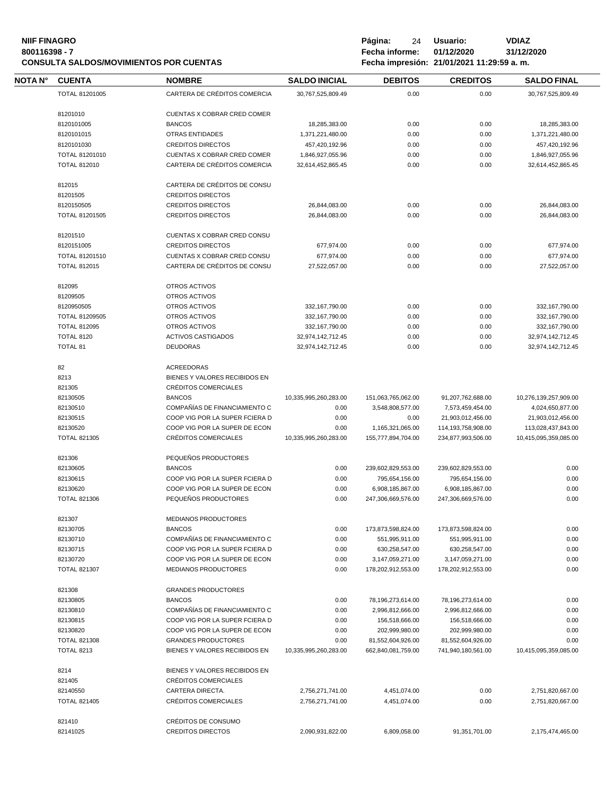# **NIIF FINAGRO P á g i n a :** 24 **U s u a r i o : VDIAZ CONSULTA SALDOS/MOVIMIENTOS POR CUENTAS**

|                       |                                | <b>SALDO INICIAL</b>  | <b>DEBITOS</b>     | <b>CREDITOS</b>       | <b>SALDO FINAL</b>    |
|-----------------------|--------------------------------|-----------------------|--------------------|-----------------------|-----------------------|
| TOTAL 81201005        | CARTERA DE CRÉDITOS COMERCIA   | 30,767,525,809.49     | 0.00               | 0.00                  | 30,767,525,809.49     |
| 81201010              | CUENTAS X COBRAR CRED COMER    |                       |                    |                       |                       |
| 8120101005            | <b>BANCOS</b>                  | 18,285,383.00         | 0.00               | 0.00                  | 18,285,383.00         |
| 8120101015            | <b>OTRAS ENTIDADES</b>         | 1,371,221,480.00      | 0.00               | 0.00                  | 1,371,221,480.00      |
| 8120101030            | <b>CREDITOS DIRECTOS</b>       | 457,420,192.96        | 0.00               | 0.00                  | 457,420,192.96        |
| TOTAL 81201010        | CUENTAS X COBRAR CRED COMER    | 1,846,927,055.96      | 0.00               | 0.00                  | 1,846,927,055.96      |
| <b>TOTAL 812010</b>   | CARTERA DE CRÉDITOS COMERCIA   | 32,614,452,865.45     | 0.00               | 0.00                  | 32,614,452,865.45     |
|                       |                                |                       |                    |                       |                       |
| 812015                | CARTERA DE CRÉDITOS DE CONSU   |                       |                    |                       |                       |
| 81201505              | <b>CREDITOS DIRECTOS</b>       |                       |                    |                       |                       |
| 8120150505            | <b>CREDITOS DIRECTOS</b>       | 26,844,083.00         | 0.00               | 0.00                  | 26,844,083.00         |
| <b>TOTAL 81201505</b> | <b>CREDITOS DIRECTOS</b>       | 26,844,083.00         | 0.00               | 0.00                  | 26,844,083.00         |
| 81201510              | CUENTAS X COBRAR CRED CONSU    |                       |                    |                       |                       |
| 8120151005            | <b>CREDITOS DIRECTOS</b>       | 677,974.00            | 0.00               | 0.00                  | 677,974.00            |
| TOTAL 81201510        | CUENTAS X COBRAR CRED CONSU    | 677,974.00            | 0.00               | 0.00                  | 677,974.00            |
| <b>TOTAL 812015</b>   | CARTERA DE CRÉDITOS DE CONSU   | 27,522,057.00         | 0.00               | 0.00                  | 27,522,057.00         |
| 812095                | OTROS ACTIVOS                  |                       |                    |                       |                       |
| 81209505              | OTROS ACTIVOS                  |                       |                    |                       |                       |
| 8120950505            | OTROS ACTIVOS                  | 332,167,790.00        | 0.00               | 0.00                  | 332,167,790.00        |
|                       |                                |                       |                    |                       |                       |
| TOTAL 81209505        | OTROS ACTIVOS                  | 332,167,790.00        | 0.00               | 0.00                  | 332,167,790.00        |
| <b>TOTAL 812095</b>   | OTROS ACTIVOS                  | 332,167,790.00        | 0.00               | 0.00                  | 332,167,790.00        |
| <b>TOTAL 8120</b>     | <b>ACTIVOS CASTIGADOS</b>      | 32,974,142,712.45     | 0.00               | 0.00                  | 32,974,142,712.45     |
| <b>TOTAL 81</b>       | <b>DEUDORAS</b>                | 32,974,142,712.45     | 0.00               | 0.00                  | 32,974,142,712.45     |
| 82                    | <b>ACREEDORAS</b>              |                       |                    |                       |                       |
| 8213                  | BIENES Y VALORES RECIBIDOS EN  |                       |                    |                       |                       |
| 821305                | CRÉDITOS COMERCIALES           |                       |                    |                       |                       |
| 82130505              | <b>BANCOS</b>                  | 10,335,995,260,283.00 | 151,063,765,062.00 | 91,207,762,688.00     | 10,276,139,257,909.00 |
| 82130510              | COMPAÑÍAS DE FINANCIAMIENTO C  | 0.00                  | 3,548,808,577.00   | 7,573,459,454.00      | 4,024,650,877.00      |
| 82130515              | COOP VIG POR LA SUPER FCIERA D | 0.00                  | 0.00               | 21,903,012,456.00     | 21,903,012,456.00     |
| 82130520              | COOP VIG POR LA SUPER DE ECON  | 0.00                  | 1,165,321,065.00   | 114, 193, 758, 908.00 | 113,028,437,843.00    |
| <b>TOTAL 821305</b>   | CRÉDITOS COMERCIALES           | 10,335,995,260,283.00 | 155,777,894,704.00 | 234,877,993,506.00    | 10,415,095,359,085.00 |
| 821306                | PEQUEÑOS PRODUCTORES           |                       |                    |                       |                       |
|                       |                                |                       |                    |                       |                       |
| 82130605              | <b>BANCOS</b>                  | 0.00                  | 239,602,829,553.00 | 239,602,829,553.00    | 0.00                  |
| 82130615              | COOP VIG POR LA SUPER FCIERA D | 0.00                  | 795,654,156.00     | 795,654,156.00        | 0.00                  |
| 82130620              | COOP VIG POR LA SUPER DE ECON  | 0.00                  | 6,908,185,867.00   | 6,908,185,867.00      | 0.00                  |
| <b>TOTAL 821306</b>   | PEQUEÑOS PRODUCTORES           | 0.00                  | 247,306,669,576.00 | 247,306,669,576.00    | 0.00                  |
| 821307                | <b>MEDIANOS PRODUCTORES</b>    |                       |                    |                       |                       |
| 82130705              | <b>BANCOS</b>                  | 0.00                  | 173,873,598,824.00 | 173,873,598,824.00    | 0.00                  |
| 82130710              | COMPAÑÍAS DE FINANCIAMIENTO C  | 0.00                  | 551,995,911.00     | 551,995,911.00        | 0.00                  |
| 82130715              | COOP VIG POR LA SUPER FCIERA D | 0.00                  | 630,258,547.00     | 630,258,547.00        | 0.00                  |
| 82130720              | COOP VIG POR LA SUPER DE ECON  | 0.00                  | 3,147,059,271.00   | 3,147,059,271.00      | 0.00                  |
| <b>TOTAL 821307</b>   | MEDIANOS PRODUCTORES           | 0.00                  | 178,202,912,553.00 | 178,202,912,553.00    | 0.00                  |
| 821308                | <b>GRANDES PRODUCTORES</b>     |                       |                    |                       |                       |
| 82130805              | <b>BANCOS</b>                  | 0.00                  |                    |                       | 0.00                  |
|                       |                                |                       | 78,196,273,614.00  | 78,196,273,614.00     |                       |
| 82130810              | COMPAÑÍAS DE FINANCIAMIENTO C  | 0.00                  | 2,996,812,666.00   | 2,996,812,666.00      | 0.00                  |
| 82130815              | COOP VIG POR LA SUPER FCIERA D | 0.00                  | 156,518,666.00     | 156,518,666.00        | 0.00                  |
| 82130820              | COOP VIG POR LA SUPER DE ECON  | 0.00                  | 202,999,980.00     | 202,999,980.00        | 0.00                  |
| <b>TOTAL 821308</b>   | <b>GRANDES PRODUCTORES</b>     | 0.00                  | 81,552,604,926.00  | 81,552,604,926.00     | 0.00                  |
| <b>TOTAL 8213</b>     | BIENES Y VALORES RECIBIDOS EN  | 10,335,995,260,283.00 | 662,840,081,759.00 | 741,940,180,561.00    | 10,415,095,359,085.00 |
| 8214                  | BIENES Y VALORES RECIBIDOS EN  |                       |                    |                       |                       |
| 821405                | CRÉDITOS COMERCIALES           |                       |                    |                       |                       |
|                       |                                | 2,756,271,741.00      | 4,451,074.00       | 0.00                  | 2,751,820,667.00      |
| 82140550              | CARTERA DIRECTA.               |                       |                    |                       |                       |
| <b>TOTAL 821405</b>   | CRÉDITOS COMERCIALES           | 2,756,271,741.00      | 4,451,074.00       | 0.00                  | 2,751,820,667.00      |
| 821410                | CRÉDITOS DE CONSUMO            |                       |                    |                       |                       |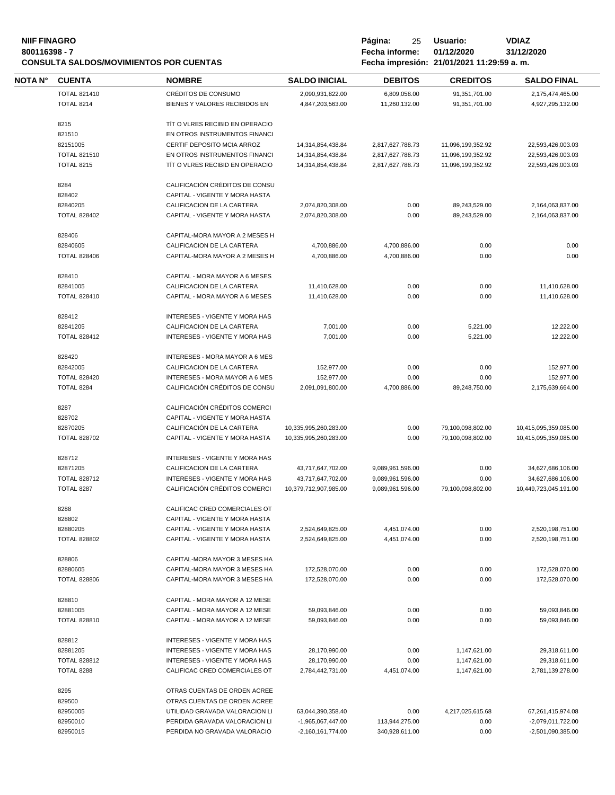#### **NIIF FINAGRO 800116398 - 7 Fecha informe: 01/12/2020 31/12/2020 CONSULTA SALDOS/MOVIMIENTOS POR CUENTAS**

| Página:                                   | 25 | Usuario: | <b>VDIAZ</b> |
|-------------------------------------------|----|----------|--------------|
| Fecha informe: 01/12/2020                 |    |          | 31/12/2020   |
| Fecha impresión: 21/01/2021 11:29:59 a.m. |    |          |              |

-

| NOTA N° | <b>CUENTA</b>       | <b>NOMBRE</b>                         | <b>SALDO INICIAL</b>  | <b>DEBITOS</b>   | <b>CREDITOS</b>   | <b>SALDO FINAL</b>    |
|---------|---------------------|---------------------------------------|-----------------------|------------------|-------------------|-----------------------|
|         | <b>TOTAL 821410</b> | CRÉDITOS DE CONSUMO                   | 2,090,931,822.00      | 6,809,058.00     | 91,351,701.00     | 2,175,474,465.00      |
|         | <b>TOTAL 8214</b>   | BIENES Y VALORES RECIBIDOS EN         | 4,847,203,563.00      | 11,260,132.00    | 91,351,701.00     | 4,927,295,132.00      |
|         |                     |                                       |                       |                  |                   |                       |
|         | 8215                | TIT O VLRES RECIBID EN OPERACIO       |                       |                  |                   |                       |
|         | 821510              | EN OTROS INSTRUMENTOS FINANCI         |                       |                  |                   |                       |
|         | 82151005            | CERTIF DEPOSITO MCIA ARROZ            | 14,314,854,438.84     | 2,817,627,788.73 | 11,096,199,352.92 | 22,593,426,003.03     |
|         | <b>TOTAL 821510</b> | EN OTROS INSTRUMENTOS FINANCI         | 14,314,854,438.84     | 2,817,627,788.73 | 11,096,199,352.92 | 22,593,426,003.03     |
|         | <b>TOTAL 8215</b>   | TIT O VLRES RECIBID EN OPERACIO       | 14,314,854,438.84     | 2,817,627,788.73 | 11,096,199,352.92 | 22,593,426,003.03     |
|         |                     |                                       |                       |                  |                   |                       |
|         | 8284                | CALIFICACIÓN CRÉDITOS DE CONSU        |                       |                  |                   |                       |
|         | 828402              | CAPITAL - VIGENTE Y MORA HASTA        |                       |                  |                   |                       |
|         | 82840205            | CALIFICACION DE LA CARTERA            | 2,074,820,308.00      | 0.00             | 89,243,529.00     | 2,164,063,837.00      |
|         | <b>TOTAL 828402</b> | CAPITAL - VIGENTE Y MORA HASTA        | 2,074,820,308.00      | 0.00             | 89,243,529.00     | 2,164,063,837.00      |
|         |                     |                                       |                       |                  |                   |                       |
|         | 828406              | CAPITAL-MORA MAYOR A 2 MESES H        |                       |                  |                   |                       |
|         | 82840605            | CALIFICACION DE LA CARTERA            | 4,700,886.00          | 4,700,886.00     | 0.00              | 0.00                  |
|         | <b>TOTAL 828406</b> | CAPITAL-MORA MAYOR A 2 MESES H        | 4,700,886.00          | 4,700,886.00     | 0.00              | 0.00                  |
|         |                     |                                       |                       |                  |                   |                       |
|         | 828410              | CAPITAL - MORA MAYOR A 6 MESES        |                       |                  |                   |                       |
|         | 82841005            | CALIFICACION DE LA CARTERA            | 11,410,628.00         | 0.00             | 0.00              | 11,410,628.00         |
|         | <b>TOTAL 828410</b> | CAPITAL - MORA MAYOR A 6 MESES        | 11,410,628.00         | 0.00             | 0.00              | 11,410,628.00         |
|         |                     |                                       |                       |                  |                   |                       |
|         | 828412              | INTERESES - VIGENTE Y MORA HAS        |                       |                  |                   |                       |
|         | 82841205            | CALIFICACION DE LA CARTERA            | 7,001.00              | 0.00             | 5,221.00          | 12,222.00             |
|         | <b>TOTAL 828412</b> | <b>INTERESES - VIGENTE Y MORA HAS</b> | 7,001.00              | 0.00             | 5,221.00          | 12,222.00             |
|         |                     |                                       |                       |                  |                   |                       |
|         | 828420              | <b>INTERESES - MORA MAYOR A 6 MES</b> |                       |                  |                   |                       |
|         | 82842005            | CALIFICACION DE LA CARTERA            | 152,977.00            | 0.00             | 0.00              | 152,977.00            |
|         | <b>TOTAL 828420</b> | <b>INTERESES - MORA MAYOR A 6 MES</b> | 152,977.00            | 0.00             | 0.00              | 152,977.00            |
|         | TOTAL 8284          | CALIFICACIÓN CRÉDITOS DE CONSU        | 2,091,091,800.00      | 4,700,886.00     | 89,248,750.00     | 2,175,639,664.00      |
|         |                     |                                       |                       |                  |                   |                       |
|         | 8287                | CALIFICACIÓN CRÉDITOS COMERCI         |                       |                  |                   |                       |
|         | 828702              | CAPITAL - VIGENTE Y MORA HASTA        |                       |                  |                   |                       |
|         | 82870205            | CALIFICACIÓN DE LA CARTERA            | 10,335,995,260,283.00 | 0.00             | 79,100,098,802.00 | 10,415,095,359,085.00 |
|         | <b>TOTAL 828702</b> | CAPITAL - VIGENTE Y MORA HASTA        | 10,335,995,260,283.00 | 0.00             | 79,100,098,802.00 | 10,415,095,359,085.00 |
|         |                     |                                       |                       |                  |                   |                       |
|         | 828712              | INTERESES - VIGENTE Y MORA HAS        |                       |                  |                   |                       |
|         | 82871205            | CALIFICACION DE LA CARTERA            | 43,717,647,702.00     | 9,089,961,596.00 | 0.00              | 34,627,686,106.00     |
|         | <b>TOTAL 828712</b> | <b>INTERESES - VIGENTE Y MORA HAS</b> | 43,717,647,702.00     | 9,089,961,596.00 | 0.00              | 34,627,686,106.00     |
|         | TOTAL 8287          | CALIFICACIÓN CRÉDITOS COMERCI         | 10,379,712,907,985.00 | 9,089,961,596.00 | 79,100,098,802.00 | 10,449,723,045,191.00 |
|         |                     |                                       |                       |                  |                   |                       |
|         | 8288                | CALIFICAC CRED COMERCIALES OT         |                       |                  |                   |                       |
|         | 828802              | CAPITAL - VIGENTE Y MORA HASTA        |                       |                  |                   |                       |
|         | 82880205            | CAPITAL - VIGENTE Y MORA HASTA        | 2,524,649,825.00      | 4,451,074.00     | 0.00              | 2,520,198,751.00      |
|         | <b>TOTAL 828802</b> | CAPITAL - VIGENTE Y MORA HASTA        | 2,524,649,825.00      | 4,451,074.00     | 0.00              | 2,520,198,751.00      |
|         |                     |                                       |                       |                  |                   |                       |
|         | 828806              | CAPITAL-MORA MAYOR 3 MESES HA         |                       |                  |                   |                       |
|         | 82880605            | CAPITAL-MORA MAYOR 3 MESES HA         | 172,528,070.00        | 0.00             | 0.00              | 172,528,070.00        |
|         | <b>TOTAL 828806</b> | CAPITAL-MORA MAYOR 3 MESES HA         | 172,528,070.00        | 0.00             | 0.00              | 172,528,070.00        |
|         |                     |                                       |                       |                  |                   |                       |
|         | 828810              | CAPITAL - MORA MAYOR A 12 MESE        |                       |                  |                   |                       |
|         | 82881005            | CAPITAL - MORA MAYOR A 12 MESE        | 59,093,846.00         | 0.00             | 0.00              | 59,093,846.00         |
|         | <b>TOTAL 828810</b> | CAPITAL - MORA MAYOR A 12 MESE        | 59,093,846.00         | 0.00             | 0.00              | 59,093,846.00         |
|         |                     |                                       |                       |                  |                   |                       |
|         | 828812              | INTERESES - VIGENTE Y MORA HAS        |                       |                  |                   |                       |
|         | 82881205            | INTERESES - VIGENTE Y MORA HAS        | 28,170,990.00         | 0.00             | 1,147,621.00      | 29,318,611.00         |
|         | <b>TOTAL 828812</b> | INTERESES - VIGENTE Y MORA HAS        | 28,170,990.00         | 0.00             | 1,147,621.00      | 29,318,611.00         |
|         | TOTAL 8288          | CALIFICAC CRED COMERCIALES OT         | 2,784,442,731.00      | 4,451,074.00     | 1,147,621.00      | 2,781,139,278.00      |
|         |                     |                                       |                       |                  |                   |                       |
|         | 8295                | OTRAS CUENTAS DE ORDEN ACREE          |                       |                  |                   |                       |
|         | 829500              | OTRAS CUENTAS DE ORDEN ACREE          |                       |                  |                   |                       |
|         | 82950005            | UTILIDAD GRAVADA VALORACION LI        | 63,044,390,358.40     | 0.00             | 4,217,025,615.68  | 67,261,415,974.08     |
|         | 82950010            | PERDIDA GRAVADA VALORACION LI         | -1,965,067,447.00     | 113,944,275.00   | 0.00              | -2,079,011,722.00     |
|         | 82950015            | PERDIDA NO GRAVADA VALORACIO          | $-2,160,161,774.00$   | 340,928,611.00   | 0.00              | $-2,501,090,385.00$   |
|         |                     |                                       |                       |                  |                   |                       |